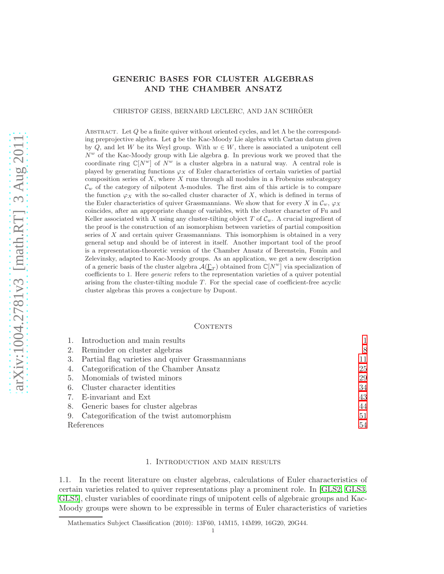# GENERIC BASES FOR CLUSTER ALGEBRAS AND THE CHAMBER ANSATZ

CHRISTOF GEISS, BERNARD LECLERC, AND JAN SCHRÖER

ABSTRACT. Let Q be a finite quiver without oriented cycles, and let  $\Lambda$  be the corresponding preprojective algebra. Let g be the Kac-Moody Lie algebra with Cartan datum given by Q, and let W be its Weyl group. With  $w \in W$ , there is associated a unipotent cell  $N^w$  of the Kac-Moody group with Lie algebra  $\mathfrak{g}$ . In previous work we proved that the coordinate ring  $\mathbb{C}[N^w]$  of  $N^w$  is a cluster algebra in a natural way. A central role is played by generating functions  $\varphi_X$  of Euler characteristics of certain varieties of partial composition series of  $X$ , where  $X$  runs through all modules in a Frobenius subcategory  $\mathcal{C}_w$  of the category of nilpotent Λ-modules. The first aim of this article is to compare the function  $\varphi_X$  with the so-called cluster character of X, which is defined in terms of the Euler characteristics of quiver Grassmannians. We show that for every X in  $\mathcal{C}_w$ ,  $\varphi_X$ coincides, after an appropriate change of variables, with the cluster character of Fu and Keller associated with X using any cluster-tilting object T of  $\mathcal{C}_w$ . A crucial ingredient of the proof is the construction of an isomorphism between varieties of partial composition series of  $X$  and certain quiver Grassmannians. This isomorphism is obtained in a very general setup and should be of interest in itself. Another important tool of the proof is a representation-theoretic version of the Chamber Ansatz of Berenstein, Fomin and Zelevinsky, adapted to Kac-Moody groups. As an application, we get a new description of a generic basis of the cluster algebra  $\mathcal{A}(\underline{\Gamma}_T)$  obtained from  $\mathbb{C}[N^w]$  via specialization of coefficients to 1. Here generic refers to the representation varieties of a quiver potential arising from the cluster-tilting module T. For the special case of coefficient-free acyclic cluster algebras this proves a conjecture by Dupont.

### **CONTENTS**

|            | 1. Introduction and main results                   |    |
|------------|----------------------------------------------------|----|
|            | 2. Reminder on cluster algebras                    | 8  |
|            | 3. Partial flag varieties and quiver Grassmannians | 11 |
|            | 4. Categorification of the Chamber Ansatz          | 25 |
|            | 5. Monomials of twisted minors                     | 29 |
|            | 6. Cluster character identities                    | 34 |
|            | 7. E-invariant and Ext                             | 43 |
|            | 8. Generic bases for cluster algebras              | 44 |
|            | 9. Categorification of the twist automorphism      | 51 |
| References | 54                                                 |    |

# 1. Introduction and main results

<span id="page-0-0"></span>1.1. In the recent literature on cluster algebras, calculations of Euler characteristics of certain varieties related to quiver representations play a prominent role. In [\[GLS2,](#page-53-1) [GLS3,](#page-53-2) [GLS5\]](#page-54-0), cluster variables of coordinate rings of unipotent cells of algebraic groups and Kac-Moody groups were shown to be expressible in terms of Euler characteristics of varieties

Mathematics Subject Classification (2010): 13F60, 14M15, 14M99, 16G20, 20G44.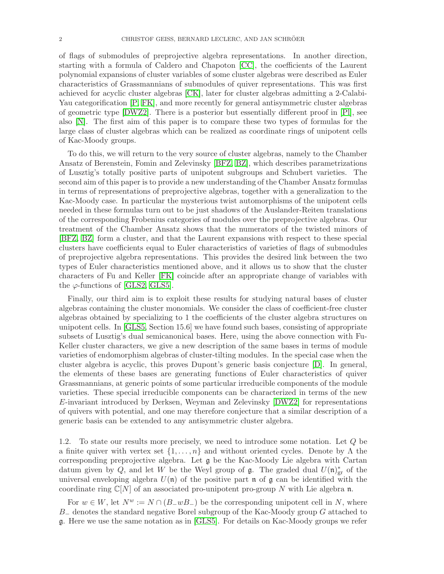of flags of submodules of preprojective algebra representations. In another direction, starting with a formula of Caldero and Chapoton [\[CC\]](#page-53-3), the coefficients of the Laurent polynomial expansions of cluster variables of some cluster algebras were described as Euler characteristics of Grassmannians of submodules of quiver representations. This was first achieved for acyclic cluster algebras [\[CK\]](#page-53-4), later for cluster algebras admitting a 2-Calabi-Yau categorification  $[P, FK]$  $[P, FK]$ , and more recently for general antisymmetric cluster algebras of geometric type [\[DWZ2\]](#page-53-6). There is a posterior but essentially different proof in [\[Pl\]](#page-54-2), see also [\[N\]](#page-54-3). The first aim of this paper is to compare these two types of formulas for the large class of cluster algebras which can be realized as coordinate rings of unipotent cells of Kac-Moody groups.

To do this, we will return to the very source of cluster algebras, namely to the Chamber Ansatz of Berenstein, Fomin and Zelevinsky [\[BFZ,](#page-53-7) [BZ\]](#page-53-8), which describes parametrizations of Lusztig's totally positive parts of unipotent subgroups and Schubert varieties. The second aim of this paper is to provide a new understanding of the Chamber Ansatz formulas in terms of representations of preprojective algebras, together with a generalization to the Kac-Moody case. In particular the mysterious twist automorphisms of the unipotent cells needed in these formulas turn out to be just shadows of the Auslander-Reiten translations of the corresponding Frobenius categories of modules over the preprojective algebras. Our treatment of the Chamber Ansatz shows that the numerators of the twisted minors of [\[BFZ,](#page-53-7) [BZ\]](#page-53-8) form a cluster, and that the Laurent expansions with respect to these special clusters have coefficients equal to Euler characteristics of varieties of flags of submodules of preprojective algebra representations. This provides the desired link between the two types of Euler characteristics mentioned above, and it allows us to show that the cluster characters of Fu and Keller [\[FK\]](#page-53-5) coincide after an appropriate change of variables with the  $\varphi$ -functions of [\[GLS2,](#page-53-1) [GLS5\]](#page-54-0).

Finally, our third aim is to exploit these results for studying natural bases of cluster algebras containing the cluster monomials. We consider the class of coefficient-free cluster algebras obtained by specializing to 1 the coefficients of the cluster algebra structures on unipotent cells. In [\[GLS5,](#page-54-0) Section 15.6] we have found such bases, consisting of appropriate subsets of Lusztig's dual semicanonical bases. Here, using the above connection with Fu-Keller cluster characters, we give a new description of the same bases in terms of module varieties of endomorphism algebras of cluster-tilting modules. In the special case when the cluster algebra is acyclic, this proves Dupont's generic basis conjecture [\[D\]](#page-53-9). In general, the elements of these bases are generating functions of Euler characteristics of quiver Grassmannians, at generic points of some particular irreducible components of the module varieties. These special irreducible components can be characterized in terms of the new E-invariant introduced by Derksen, Weyman and Zelevinsky [\[DWZ2\]](#page-53-6) for representations of quivers with potential, and one may therefore conjecture that a similar description of a generic basis can be extended to any antisymmetric cluster algebra.

<span id="page-1-0"></span>1.2. To state our results more precisely, we need to introduce some notation. Let Q be a finite quiver with vertex set  $\{1, \ldots, n\}$  and without oriented cycles. Denote by  $\Lambda$  the corresponding preprojective algebra. Let g be the Kac-Moody Lie algebra with Cartan datum given by Q, and let W be the Weyl group of  $\mathfrak{g}$ . The graded dual  $U(\mathfrak{n})_{\rm gr}^*$  of the universal enveloping algebra  $U(\mathfrak{n})$  of the positive part  $\mathfrak{n}$  of  $\mathfrak{g}$  can be identified with the coordinate ring  $\mathbb{C}[N]$  of an associated pro-unipotent pro-group N with Lie algebra n.

For  $w \in W$ , let  $N^w := N \cap (B_{-}wB_{-})$  be the corresponding unipotent cell in N, where  $B_-\$  denotes the standard negative Borel subgroup of the Kac-Moody group G attached to g. Here we use the same notation as in [\[GLS5\]](#page-54-0). For details on Kac-Moody groups we refer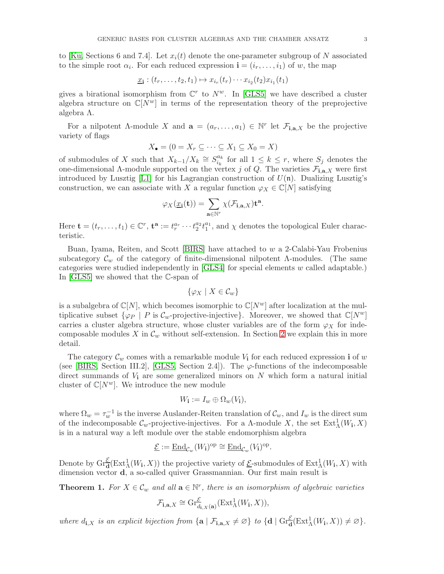to [\[Ku,](#page-54-4) Sections 6 and 7.4]. Let  $x_i(t)$  denote the one-parameter subgroup of N associated to the simple root  $\alpha_i$ . For each reduced expression  $\mathbf{i} = (i_r, \dots, i_1)$  of w, the map

$$
\underline{x}_{\mathbf{i}} : (t_r, \dots, t_2, t_1) \mapsto x_{i_r}(t_r) \cdots x_{i_2}(t_2) x_{i_1}(t_1)
$$

gives a birational isomorphism from  $\mathbb{C}^r$  to  $N^w$ . In [\[GLS5\]](#page-54-0) we have described a cluster algebra structure on  $\mathbb{C}[N^w]$  in terms of the representation theory of the preprojective algebra Λ.

For a nilpotent  $\Lambda$ -module X and  $\mathbf{a} = (a_r, \ldots, a_1) \in \mathbb{N}^r$  let  $\mathcal{F}_{\mathbf{i}, \mathbf{a}, X}$  be the projective variety of flags

$$
X_{\bullet} = (0 = X_r \subseteq \cdots \subseteq X_1 \subseteq X_0 = X)
$$

of submodules of X such that  $X_{k-1}/X_k \cong S_{i_k}^{a_k}$  $\frac{a_k}{i_k}$  for all  $1 \leq k \leq r$ , where  $S_j$  denotes the one-dimensional A-module supported on the vertex j of Q. The varieties  $\mathcal{F}_{i,a,X}$  were first introduced by Lusztig [\[L1\]](#page-54-5) for his Lagrangian construction of  $U(\mathfrak{n})$ . Dualizing Lusztig's construction, we can associate with X a regular function  $\varphi_X \in \mathbb{C}[N]$  satisfying

$$
\varphi_X(\underline{x}_{\mathbf{i}}(\mathbf{t})) = \sum_{\mathbf{a} \in \mathbb{N}^r} \chi(\mathcal{F}_{\mathbf{i},\mathbf{a},X}) \mathbf{t}^{\mathbf{a}}.
$$

Here  $\mathbf{t} = (t_r, \ldots, t_1) \in \mathbb{C}^r$ ,  $\mathbf{t}^{\mathbf{a}} := t_r^{a_r} \cdots t_2^{a_2} t_1^{a_1}$ , and  $\chi$  denotes the topological Euler characteristic.

Buan, Iyama, Reiten, and Scott [\[BIRS\]](#page-53-10) have attached to w a 2-Calabi-Yau Frobenius subcategory  $\mathcal{C}_w$  of the category of finite-dimensional nilpotent Λ-modules. (The same categories were studied independently in  $[GLS4]$  for special elements w called adaptable.) In [\[GLS5\]](#page-54-0) we showed that the C-span of

$$
\{\varphi_X \mid X \in \mathcal{C}_w\}
$$

is a subalgebra of  $\mathbb{C}[N]$ , which becomes isomorphic to  $\mathbb{C}[N^w]$  after localization at the multiplicative subset  $\{\varphi_P \mid P \text{ is } C_w\text{-projective-injective}\}\.$  Moreover, we showed that  $\mathbb{C}[N^w]$ carries a cluster algebra structure, whose cluster variables are of the form  $\varphi_X$  for indecomposable modules X in  $\mathcal{C}_w$  without self-extension. In Section [2](#page-7-0) we explain this in more detail.

The category  $\mathcal{C}_w$  comes with a remarkable module  $V_i$  for each reduced expression **i** of w (see [\[BIRS,](#page-53-10) Section III.2], [\[GLS5,](#page-54-0) Section 2.4]). The  $\varphi$ -functions of the indecomposable direct summands of  $V_i$  are some generalized minors on N which form a natural initial cluster of  $\mathbb{C}[N^w]$ . We introduce the new module

$$
W_{\mathbf{i}} := I_w \oplus \Omega_w(V_{\mathbf{i}}),
$$

where  $\Omega_w = \tau_w^{-1}$  is the inverse Auslander-Reiten translation of  $\mathcal{C}_w$ , and  $I_w$  is the direct sum of the indecomposable  $\mathcal{C}_w$ -projective-injectives. For a  $\Lambda$ -module X, the set  $\text{Ext}^1_\Lambda(W_i, X)$ is in a natural way a left module over the stable endomorphism algebra

$$
\underline{\mathcal{E}} := \underline{\operatorname{End}}_{\mathcal{C}_w}(W_{\mathbf{i}})^{\mathrm{op}} \cong \underline{\operatorname{End}}_{\mathcal{C}_w}(V_{\mathbf{i}})^{\mathrm{op}}.
$$

Denote by  $\text{Gr}_{\mathbf{d}}^{\mathcal{E}}(\text{Ext}_{\Lambda}^1(W_{\mathbf{i}}, X))$  the projective variety of  $\underline{\mathcal{E}}$ -submodules of  $\text{Ext}_{\Lambda}^1(W_{\mathbf{i}}, X)$  with dimension vector d, a so-called quiver Grassmannian. Our first main result is

<span id="page-2-0"></span>**Theorem 1.** For  $X \in \mathcal{C}_w$  and all  $\mathbf{a} \in \mathbb{N}^r$ , there is an isomorphism of algebraic varieties

$$
\mathcal{F}_{\mathbf{i},\mathbf{a},X} \cong \mathrm{Gr}_{d_{\mathbf{i},X}(\mathbf{a})}^{\mathcal{E}}(\mathrm{Ext}_{\Lambda}^{1}(W_{\mathbf{i}},X)),
$$

where  $d_{\mathbf{i},X}$  is an explicit bijection from  $\{ \mathbf{a} \mid \mathcal{F}_{\mathbf{i},\mathbf{a},X} \neq \emptyset \}$  to  $\{ \mathbf{d} \mid \text{Gr}_{\mathbf{d}}^{\mathcal{E}}(\text{Ext}_{\Lambda}^1(W_{\mathbf{i}},X)) \neq \emptyset \}$ .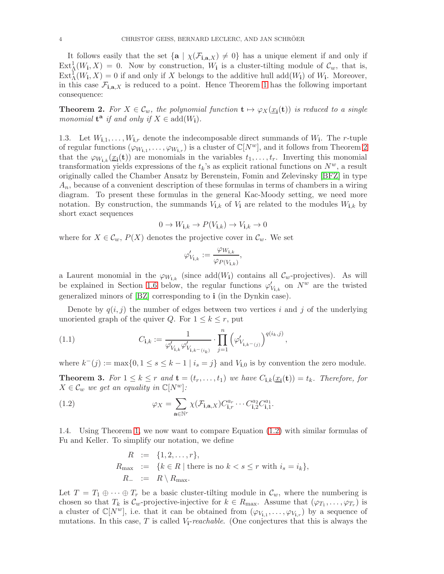It follows easily that the set  $\{a \mid \chi(\mathcal{F}_{i,a,X}) \neq 0\}$  has a unique element if and only if  $Ext^1_{\Lambda}(W_1, X) = 0$ . Now by construction,  $W_1$  is a cluster-tilting module of  $\mathcal{C}_w$ , that is,  $\text{Ext}_{\Lambda}^{\mathcal{I}}(W_{\mathbf{i}},X)=0$  if and only if X belongs to the additive hull add $(W_{\mathbf{i}})$  of  $W_{\mathbf{i}}$ . Moreover, in this case  $\mathcal{F}_{i,a,X}$  is reduced to a point. Hence Theorem [1](#page-2-0) has the following important consequence:

<span id="page-3-0"></span>**Theorem 2.** For  $X \in \mathcal{C}_w$ , the polynomial function  $\mathbf{t} \mapsto \varphi_X(\underline{x_i}(\mathbf{t}))$  is reduced to a single monomial  $t^a$  if and only if  $X \in \text{add}(W_i)$ .

1.3. Let  $W_{i,1}, \ldots, W_{i,r}$  denote the indecomposable direct summands of  $W_i$ . The *r*-tuple of regular functions  $(\varphi_{W_{i,1}}, \ldots, \varphi_{W_{i,r}})$  is a cluster of  $\mathbb{C}[N^w]$ , and it follows from Theorem [2](#page-3-0) that the  $\varphi_{W_{i,k}}(\underline{x_i}(t))$  are monomials in the variables  $t_1, \ldots, t_r$ . Inverting this monomial transformation yields expressions of the  $t_k$ 's as explicit rational functions on  $N^w$ , a result originally called the Chamber Ansatz by Berenstein, Fomin and Zelevinsky [\[BFZ\]](#page-53-7) in type  $A_n$ , because of a convenient description of these formulas in terms of chambers in a wiring diagram. To present these formulas in the general Kac-Moody setting, we need more notation. By construction, the summands  $V_{i,k}$  of  $V_i$  are related to the modules  $W_{i,k}$  by short exact sequences

$$
0 \to W_{\mathbf{i},k} \to P(V_{\mathbf{i},k}) \to V_{\mathbf{i},k} \to 0
$$

where for  $X \in \mathcal{C}_w$ ,  $P(X)$  denotes the projective cover in  $\mathcal{C}_w$ . We set

$$
\varphi'_{V_{\mathbf{i},k}} := \frac{\varphi_{W_{\mathbf{i},k}}}{\varphi_{P(V_{\mathbf{i},k})}},
$$

a Laurent monomial in the  $\varphi_{W_{1,k}}$  (since add( $W_1$ ) contains all  $\mathcal{C}_w$ -projectives). As will be explained in Section [1.6](#page-6-0) below, the regular functions  $\varphi'_{V_{i,k}}$  on  $N^w$  are the twisted generalized minors of [\[BZ\]](#page-53-8) corresponding to i (in the Dynkin case).

Denote by  $q(i, j)$  the number of edges between two vertices i and j of the underlying unoriented graph of the quiver Q. For  $1 \leq k \leq r$ , put

<span id="page-3-4"></span>(1.1) 
$$
C_{\mathbf{i},k} := \frac{1}{\varphi'_{V_{\mathbf{i},k}} \varphi'_{V_{\mathbf{i},k} - (i_k)}} \cdot \prod_{j=1}^{n} (\varphi'_{V_{\mathbf{i},k} - (j)})^{q(i_k,j)},
$$

where  $k^-(j) := \max\{0, 1 \le s \le k-1 \mid i_s = j\}$  and  $V_{i,0}$  is by convention the zero module.

<span id="page-3-2"></span>**Theorem 3.** For  $1 \leq k \leq r$  and  $\mathbf{t} = (t_r, \ldots, t_1)$  we have  $C_{\mathbf{i},k}(\underline{x_i}(\mathbf{t})) = t_k$ . Therefore, for  $X \in \mathcal{C}_w$  we get an equality in  $\mathbb{C}[N^w]$ :

(1.2) 
$$
\varphi_X = \sum_{\mathbf{a} \in \mathbb{N}^r} \chi(\mathcal{F}_{\mathbf{i}, \mathbf{a}, X}) C_{\mathbf{i}, r}^{a_r} \cdots C_{\mathbf{i}, 2}^{a_2} C_{\mathbf{i}, 1}^{a_1}.
$$

<span id="page-3-3"></span>1.4. Using Theorem [1,](#page-2-0) we now want to compare Equation [\(1.2\)](#page-3-1) with similar formulas of Fu and Keller. To simplify our notation, we define

<span id="page-3-1"></span>
$$
R := \{1, 2, \dots, r\},
$$
  
\n
$$
R_{\text{max}} := \{k \in R \mid \text{there is no } k < s \le r \text{ with } i_s = i_k\},
$$
  
\n
$$
R_{-} := R \setminus R_{\text{max}}.
$$

Let  $T = T_1 \oplus \cdots \oplus T_r$  be a basic cluster-tilting module in  $\mathcal{C}_w$ , where the numbering is chosen so that  $T_k$  is  $\mathcal{C}_w$ -projective-injective for  $k \in R_{\text{max}}$ . Assume that  $(\varphi_{T_1}, \ldots, \varphi_{T_r})$  is a cluster of  $\mathbb{C}[N^w]$ , i.e. that it can be obtained from  $(\varphi_{V_{i,1}}, \ldots, \varphi_{V_{i,r}})$  by a sequence of mutations. In this case, T is called  $V_i$ -reachable. (One conjectures that this is always the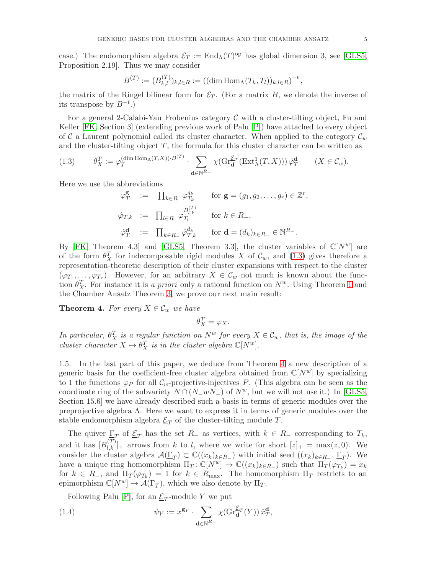case.) The endomorphism algebra  $\mathcal{E}_T := \text{End}_{\Lambda}(T)^{\text{op}}$  has global dimension 3, see [\[GLS5,](#page-54-0) Proposition 2.19]. Thus we may consider

$$
B^{(T)} := (B_{k,l}^{(T)})_{k,l \in R} := ((\dim \text{Hom}_{\Lambda}(T_k, T_l))_{k,l \in R})^{-t},
$$

the matrix of the Ringel bilinear form for  $\mathcal{E}_T$ . (For a matrix B, we denote the inverse of its transpose by  $B^{-t}$ .)

For a general 2-Calabi-Yau Frobenius category  $\mathcal C$  with a cluster-tilting object, Fu and Keller [\[FK,](#page-53-5) Section 3] (extending previous work of Palu [\[P\]](#page-54-1)) have attached to every object of C a Laurent polynomial called its cluster character. When applied to the category  $\mathcal{C}_w$ and the cluster-tilting object  $T$ , the formula for this cluster character can be written as

<span id="page-4-0"></span>(1.3) 
$$
\theta_X^T := \varphi_T^{(\underline{\dim} \operatorname{Hom}_\Lambda(T,X)) \cdot B^{(T)}} \cdot \sum_{\mathbf{d} \in \mathbb{N}^{R_-}} \chi(\operatorname{Gr}_{\mathbf{d}}^{\mathcal{E}_T}(\operatorname{Ext}_\Lambda^1(T,X))) \hat{\varphi}_T^{\mathbf{d}} \qquad (X \in \mathcal{C}_w).
$$

Here we use the abbreviations

$$
\varphi_T^{\mathbf{g}} := \prod_{k \in R} \varphi_{T_k}^{g_k} \quad \text{for } \mathbf{g} = (g_1, g_2, \dots, g_r) \in \mathbb{Z}
$$
  

$$
\hat{\varphi}_{T,k} := \prod_{l \in R} \varphi_{T_l}^{B_{l,k}^{(T)}} \quad \text{for } k \in R_-,
$$
  

$$
\hat{\varphi}_T^{\mathbf{d}} := \prod_{k \in R_-} \hat{\varphi}_{T,k}^{d_k} \quad \text{for } \mathbf{d} = (d_k)_{k \in R_-} \in \mathbb{N}^{R_-}.
$$

By [\[FK,](#page-53-5) Theorem 4.3] and [\[GLS5,](#page-54-0) Theorem 3.3], the cluster variables of  $\mathbb{C}[N^w]$  are of the form  $\theta_X^T$  for indecomposable rigid modules X of  $\mathcal{C}_w$ , and [\(1.3\)](#page-4-0) gives therefore a representation-theoretic description of their cluster expansions with respect to the cluster  $(\varphi_{T_1},\ldots,\varphi_{T_r})$ . However, for an arbitrary  $X \in \mathcal{C}_w$  not much is known about the function  $\theta_X^T$ . For instance it is a priori only a rational function on  $N^w$ . Using Theorem [1](#page-2-0) and the Chamber Ansatz Theorem [3,](#page-3-2) we prove our next main result:

<span id="page-4-1"></span>**Theorem 4.** For every  $X \in \mathcal{C}_w$  we have

 $\theta_X^T = \varphi_X.$ 

In particular,  $\theta_X^T$  is a regular function on  $N^w$  for every  $X \in \mathcal{C}_w$ , that is, the image of the cluster character  $X \mapsto \theta_X^T$  is in the cluster algebra  $\mathbb{C}[N^w]$ .

<span id="page-4-2"></span>1.5. In the last part of this paper, we deduce from Theorem [4](#page-4-1) a new description of a generic basis for the coefficient-free cluster algebra obtained from  $\mathbb{C}[N^w]$  by specializing to 1 the functions  $\varphi_P$  for all  $\mathcal{C}_w$ -projective-injectives P. (This algebra can be seen as the coordinate ring of the subvariety  $N \cap (N-wN_-)$  of  $N^w$ , but we will not use it.) In [\[GLS5,](#page-54-0) Section 15.6] we have already described such a basis in terms of generic modules over the preprojective algebra  $\Lambda$ . Here we want to express it in terms of generic modules over the stable endomorphism algebra  $\underline{\mathcal{E}}_T$  of the cluster-tilting module T.

The quiver  $\underline{\Gamma}_T$  of  $\underline{\mathcal{E}}_T$  has the set  $R_-\,$  as vertices, with  $k \in R_-\,$  corresponding to  $T_k$ , and it has  $[B_{l,k}^{(T)}]_+$  arrows from k to l, where we write for short  $[z]_+ = \max(z, 0)$ . We consider the cluster algebra  $\mathcal{A}(\underline{\Gamma}_T) \subset \mathbb{C}((x_k)_{k \in R_-})$  with initial seed  $((x_k)_{k \in R_-}, \underline{\Gamma}_T)$ . We have a unique ring homomorphism  $\Pi_T: \mathbb{C}[N^w] \to \mathbb{C}((x_k)_{k \in R_-})$  such that  $\Pi_T(\varphi_{T_k}) = x_k$ for  $k \in R_-,$  and  $\Pi_T(\varphi_{T_k}) = 1$  for  $k \in R_{\text{max}}$ . The homomorphism  $\Pi_T$  restricts to an epimorphism  $\mathbb{C}[N^w] \to \mathcal{A}(\underline{\Gamma}_T)$ , which we also denote by  $\Pi_T$ .

Following Palu [\[P\]](#page-54-1), for an  $\underline{\mathcal{E}}_T$ -module Y we put

(1.4) 
$$
\psi_Y := x^{\mathbf{g}_Y} \cdot \sum_{\mathbf{d} \in \mathbb{N}^{R_-}} \chi(\mathrm{Gr}_{\mathbf{d}}^{\mathcal{E}_T}(Y)) \hat{x}_T^{\mathbf{d}},
$$

r ,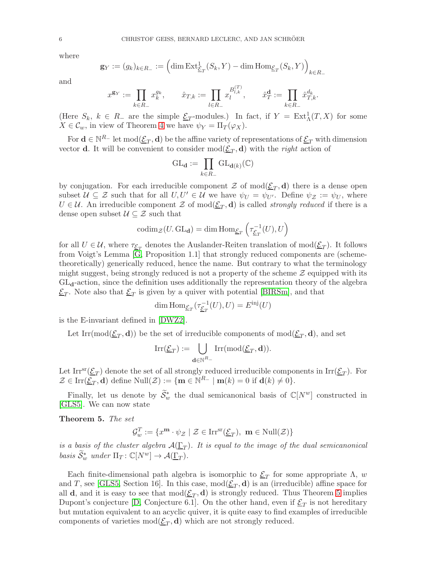where

$$
\mathbf{g}_Y:=(g_k)_{k\in R_-}:=\Big(\mathrm{dim}\,\mathrm{Ext}^1_{\underline{\mathcal{E}}_T}(S_k,Y)-\mathrm{dim}\,\mathrm{Hom}_{\underline{\mathcal{E}}_T}(S_k,Y)\Big)_{k\in R_-}
$$

and

$$
x^{\mathbf{g}_Y}:=\prod_{k\in R_-}x_k^{g_k},\qquad \hat x_{T,k}:=\prod_{l\in R_-}x_l^{B^{(T)}_{l,k}},\qquad \hat x_T^{\mathbf{d}}:=\prod_{k\in R_-}\hat x_{T,k}^{d_k}.
$$

(Here  $S_k$ ,  $k \in R_-$  are the simple  $\underline{\mathcal{E}}_T$ -modules.) In fact, if  $Y = \text{Ext}^1_{\Lambda}(T, X)$  for some  $X \in \mathcal{C}_w$ , in view of Theorem [4](#page-4-1) we have  $\psi_Y = \Pi_T(\varphi_X)$ .

For  $\mathbf{d} \in \mathbb{N}^{R_-}$  let  $\text{mod}(\underline{\mathcal{E}}_T,\mathbf{d})$  be the affine variety of representations of  $\underline{\mathcal{E}}_T$  with dimension vector **d**. It will be convenient to consider  $\text{mod}(\underline{\mathcal{E}}_T, \mathbf{d})$  with the *right* action of

$$
\mathrm{GL}_{\mathbf{d}}:=\prod_{k\in R_-}\mathrm{GL}_{\mathbf{d}(k)}(\mathbb{C})
$$

by conjugation. For each irreducible component  $\mathcal Z$  of  $\text{mod}(\underline{\mathcal E}_T,\mathbf d)$  there is a dense open subset  $\mathcal{U} \subseteq \mathcal{Z}$  such that for all  $U, U' \in \mathcal{U}$  we have  $\psi_U = \psi_{U'}$ . Define  $\psi_{\mathcal{Z}} := \psi_U$ , where  $U \in \mathcal{U}$ . An irreducible component  $\mathcal{Z}$  of mod $(\underline{\mathcal{E}}_T, \mathbf{d})$  is called *strongly reduced* if there is a dense open subset  $\mathcal{U} \subseteq \mathcal{Z}$  such that

$$
\mathrm{codim}_{\mathcal{Z}}(U, \mathrm{GL}_{\mathbf{d}}) = \dim \mathrm{Hom}_{\underline{\mathcal{E}}_T}\left(\tau_{\underline{\mathcal{E}}_T}^{-1}(U), U\right)
$$

for all  $U \in \mathcal{U}$ , where  $\tau_{\underline{\mathcal{E}}_T}$  denotes the Auslander-Reiten translation of  $mod(\underline{\mathcal{E}}_T)$ . It follows from Voigt's Lemma [\[G,](#page-53-11) Proposition 1.1] that strongly reduced components are (schemetheoretically) generically reduced, hence the name. But contrary to what the terminology might suggest, being strongly reduced is not a property of the scheme  $\mathcal Z$  equipped with its  $GL_d$ -action, since the definition uses additionally the representation theory of the algebra  $\underline{\mathcal{E}}_T$ . Note also that  $\underline{\mathcal{E}}_T$  is given by a quiver with potential [\[BIRSm\]](#page-53-12), and that

$$
\dim \operatorname{Hom}_{\underline{\mathcal{E}}_T}(\tau_{\underline{\mathcal{E}}_T}^{-1}(U), U) = E^{\text{inj}}(U)
$$

is the E-invariant defined in [\[DWZ2\]](#page-53-6).

Let Irr(mod( $\underline{\mathcal{E}}_T$ , **d**)) be the set of irreducible components of mod( $\underline{\mathcal{E}}_T$ , **d**), and set

$$
\mathrm{Irr}(\underline{\mathcal{E}}_T):=\bigcup_{{\mathbf{d}}\in{\mathbb{N}}^{R_-}}\mathrm{Irr}(\mathrm{mod}(\underline{\mathcal{E}}_T,{\mathbf{d}})).
$$

Let Irr<sup>sr</sup>( $\underline{\mathcal{E}}_T$ ) denote the set of all strongly reduced irreducible components in Irr( $\underline{\mathcal{E}}_T$ ). For  $\mathcal{Z} \in \text{Irr}(\underline{\mathcal{E}}_T, \mathbf{d})$  define  $\text{Null}(\mathcal{Z}) := \{ \mathbf{m} \in \mathbb{N}^{R_-} \mid \mathbf{m}(k) = 0 \text{ if } \mathbf{d}(k) \neq 0 \}.$ 

Finally, let us denote by  $\widetilde{S}_w^*$  the dual semicanonical basis of  $\mathbb{C}[N^w]$  constructed in [\[GLS5\]](#page-54-0). We can now state

<span id="page-5-0"></span>Theorem 5. The set

$$
\mathcal{G}_{w}^{T} := \{ x^{\mathbf{m}} \cdot \psi_{\mathcal{Z}} \mid \mathcal{Z} \in \text{Irr}^{\text{sr}}(\underline{\mathcal{E}}_{T}), \ \mathbf{m} \in \text{Null}(\mathcal{Z}) \}
$$

is a basis of the cluster algebra  $\mathcal{A}(\underline{\Gamma}_T)$ . It is equal to the image of the dual semicanonical basis  $\widetilde{\mathcal{S}}_w^*$  under  $\Pi_T: \mathbb{C}[N^w] \to \mathcal{A}(\underline{\Gamma}_T)$ .

Each finite-dimensional path algebra is isomorphic to  $\underline{\mathcal{E}}_T$  for some appropriate  $\Lambda$ , w and T, see [\[GLS5,](#page-54-0) Section 16]. In this case,  $mod(\underline{\mathcal{E}}_T, \mathbf{d})$  is an (irreducible) affine space for all **d**, and it is easy to see that  $mod(\underline{\mathcal{E}}_T, \mathbf{d})$  is strongly reduced. Thus Theorem [5](#page-5-0) implies Dupont's conjecture [\[D,](#page-53-9) Conjecture 6.1]. On the other hand, even if  $\underline{\mathcal{E}}_T$  is not hereditary but mutation equivalent to an acyclic quiver, it is quite easy to find examples of irreducible components of varieties  $mod(\underline{\mathcal{E}}_T, \mathbf{d})$  which are not strongly reduced.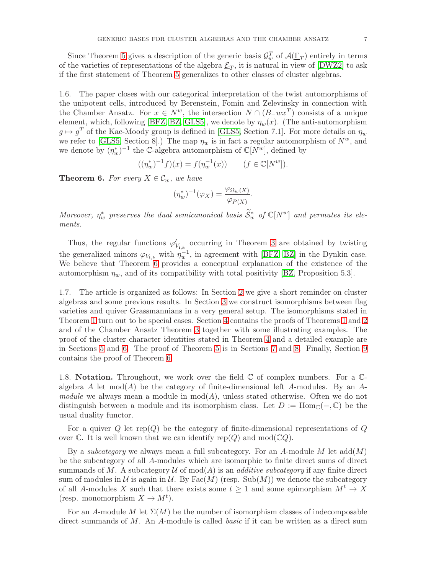Since Theorem [5](#page-5-0) gives a description of the generic basis  $\mathcal{G}_{w}^{T}$  of  $\mathcal{A}(\underline{\Gamma}_{T})$  entirely in terms of the varieties of representations of the algebra  $\underline{\mathcal{E}}_T$ , it is natural in view of [\[DWZ2\]](#page-53-6) to ask if the first statement of Theorem [5](#page-5-0) generalizes to other classes of cluster algebras.

<span id="page-6-0"></span>1.6. The paper closes with our categorical interpretation of the twist automorphisms of the unipotent cells, introduced by Berenstein, Fomin and Zelevinsky in connection with the Chamber Ansatz. For  $x \in N^w$ , the intersection  $N \cap (B_{\neg} wx^T)$  consists of a unique element, which, following [\[BFZ,](#page-53-7) [BZ,](#page-53-8) [GLS5\]](#page-54-0), we denote by  $\eta_w(x)$ . (The anti-automorphism  $g \mapsto g^T$  of the Kac-Moody group is defined in [\[GLS5,](#page-54-0) Section 7.1]. For more details on  $\eta_w$ we refer to [\[GLS5,](#page-54-0) Section 8].) The map  $\eta_w$  is in fact a regular automorphism of  $N^w$ , and we denote by  $(\eta_w^*)^{-1}$  the C-algebra automorphism of  $\mathbb{C}[N^w]$ , defined by

$$
((\eta_w^*)^{-1}f)(x) = f(\eta_w^{-1}(x)) \qquad (f \in \mathbb{C}[N^w]).
$$

<span id="page-6-1"></span>**Theorem 6.** For every  $X \in \mathcal{C}_w$ , we have

$$
(\eta_w^*)^{-1}(\varphi_X) = \frac{\varphi_{\Omega_w(X)}}{\varphi_{P(X)}}.
$$

Moreover,  $\eta_w^*$  preserves the dual semicanonical basis  $\widetilde{S}_w^*$  of  $\mathbb{C}[N^w]$  and permutes its elements.

Thus, the regular functions  $\varphi'_{V_{i,k}}$  occurring in Theorem [3](#page-3-2) are obtained by twisting the generalized minors  $\varphi_{V_{i,k}}$  with  $\eta_w^{-1}$ , in agreement with [\[BFZ,](#page-53-7) [BZ\]](#page-53-8) in the Dynkin case. We believe that Theorem [6](#page-6-1) provides a conceptual explanation of the existence of the automorphism  $\eta_w$ , and of its compatibility with total positivity [\[BZ,](#page-53-8) Proposition 5.3].

1.7. The article is organized as follows: In Section [2](#page-7-0) we give a short reminder on cluster algebras and some previous results. In Section [3](#page-10-0) we construct isomorphisms between flag varieties and quiver Grassmannians in a very general setup. The isomorphisms stated in Theorem [1](#page-2-0) turn out to be special cases. Section [4](#page-24-0) contains the proofs of Theorems [1](#page-2-0) and [2](#page-3-0) and of the Chamber Ansatz Theorem [3](#page-3-2) together with some illustrating examples. The proof of the cluster character identities stated in Theorem [4](#page-4-1) and a detailed example are in Sections [5](#page-28-0) and [6.](#page-33-0) The proof of Theorem [5](#page-5-0) is in Sections [7](#page-42-0) and [8.](#page-43-0) Finally, Section [9](#page-50-0) contains the proof of Theorem [6.](#page-6-1)

1.8. **Notation.** Throughout, we work over the field  $\mathbb C$  of complex numbers. For a  $\mathbb C$ algebra A let  $mod(A)$  be the category of finite-dimensional left A-modules. By an A*module* we always mean a module in  $mod(A)$ , unless stated otherwise. Often we do not distinguish between a module and its isomorphism class. Let  $D := \text{Hom}_{\mathbb{C}}(-, \mathbb{C})$  be the usual duality functor.

For a quiver  $Q$  let rep( $Q$ ) be the category of finite-dimensional representations of  $Q$ over  $\mathbb C$ . It is well known that we can identify rep(Q) and mod( $\mathbb CQ$ ).

By a *subcategory* we always mean a full subcategory. For an A-module M let  $add(M)$ be the subcategory of all A-modules which are isomorphic to finite direct sums of direct summands of M. A subcategory  $\mathcal U$  of mod(A) is an *additive subcategory* if any finite direct sum of modules in U is again in U. By Fac(M) (resp. Sub(M)) we denote the subcategory of all A-modules X such that there exists some  $t \geq 1$  and some epimorphism  $M^t \to X$ (resp. monomorphism  $X \to M^t$ ).

For an A-module M let  $\Sigma(M)$  be the number of isomorphism classes of indecomposable direct summands of M. An A-module is called *basic* if it can be written as a direct sum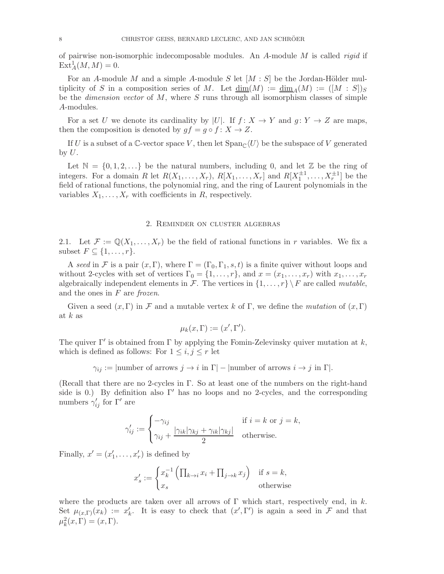of pairwise non-isomorphic indecomposable modules. An  $A$ -module  $M$  is called *rigid* if  $\text{Ext}^1_A(M,M) = 0.$ 

For an A-module M and a simple A-module S let  $[M : S]$  be the Jordan-Hölder multiplicity of S in a composition series of M. Let  $\dim(M) := \dim_A(M) := (M : S|)$ be the *dimension vector* of  $M$ , where  $S$  runs through all isomorphism classes of simple A-modules.

For a set U we denote its cardinality by |U|. If  $f: X \to Y$  and  $g: Y \to Z$  are maps, then the composition is denoted by  $gf = g \circ f : X \to Z$ .

If U is a subset of a C-vector space V, then let  $\text{Span}_{\mathbb{C}}\langle U\rangle$  be the subspace of V generated by  $U$ .

Let  $\mathbb{N} = \{0, 1, 2, \ldots\}$  be the natural numbers, including 0, and let  $\mathbb{Z}$  be the ring of integers. For a domain R let  $R(X_1, \ldots, X_r)$ ,  $R[X_1, \ldots, X_r]$  and  $R[X_1^{\pm 1}, \ldots, X_r^{\pm 1}]$  be the field of rational functions, the polynomial ring, and the ring of Laurent polynomials in the variables  $X_1, \ldots, X_r$  with coefficients in R, respectively.

# 2. Reminder on cluster algebras

<span id="page-7-0"></span>2.1. Let  $\mathcal{F} := \mathbb{Q}(X_1, \ldots, X_r)$  be the field of rational functions in r variables. We fix a subset  $F \subseteq \{1, \ldots, r\}.$ 

A seed in F is a pair  $(x, \Gamma)$ , where  $\Gamma = (\Gamma_0, \Gamma_1, s, t)$  is a finite quiver without loops and without 2-cycles with set of vertices  $\Gamma_0 = \{1, \ldots, r\}$ , and  $x = (x_1, \ldots, x_r)$  with  $x_1, \ldots, x_r$ algebraically independent elements in F. The vertices in  $\{1, \ldots, r\} \backslash F$  are called mutable, and the ones in  $F$  are frozen.

Given a seed  $(x, \Gamma)$  in F and a mutable vertex k of  $\Gamma$ , we define the mutation of  $(x, \Gamma)$ at  $k$  as

$$
\mu_k(x,\Gamma):=(x',\Gamma').
$$

The quiver  $\Gamma'$  is obtained from  $\Gamma$  by applying the Fomin-Zelevinsky quiver mutation at k, which is defined as follows: For  $1 \leq i, j \leq r$  let

 $\gamma_{ij} := |\text{number of arrows } j \to i \text{ in } \Gamma| - |\text{number of arrows } i \to j \text{ in } \Gamma|.$ 

(Recall that there are no 2-cycles in Γ. So at least one of the numbers on the right-hand side is 0.) By definition also  $\Gamma'$  has no loops and no 2-cycles, and the corresponding numbers  $\gamma_{ij}'$  for  $\Gamma'$  are

$$
\gamma'_{ij} := \begin{cases}\n-\gamma_{ij} & \text{if } i = k \text{ or } j = k, \\
\gamma_{ij} + \frac{|\gamma_{ik}| \gamma_{kj} + \gamma_{ik} |\gamma_{kj}|}{2} & \text{otherwise.} \n\end{cases}
$$

Finally,  $x' = (x'_1, \ldots, x'_r)$  is defined by

$$
x'_{s} := \begin{cases} x_k^{-1} \left( \prod_{k \to i} x_i + \prod_{j \to k} x_j \right) & \text{if } s = k, \\ x_s & \text{otherwise} \end{cases}
$$

where the products are taken over all arrows of  $\Gamma$  which start, respectively end, in k. Set  $\mu_{(x,\Gamma)}(x_k) := x'_k$ . It is easy to check that  $(x',\Gamma')$  is again a seed in F and that  $\mu_k^2(x,\Gamma) = (x,\Gamma).$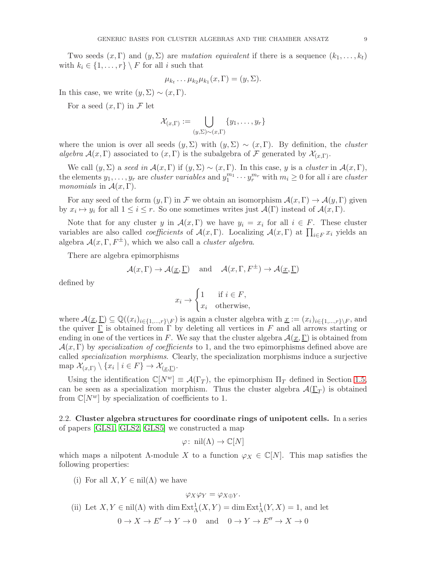Two seeds  $(x, \Gamma)$  and  $(y, \Sigma)$  are mutation equivalent if there is a sequence  $(k_1, \ldots, k_t)$ with  $k_i \in \{1, ..., r\} \setminus F$  for all i such that

$$
\mu_{k_t} \dots \mu_{k_2} \mu_{k_1}(x, \Gamma) = (y, \Sigma).
$$

In this case, we write  $(y, \Sigma) \sim (x, \Gamma)$ .

For a seed  $(x, \Gamma)$  in F let

$$
\mathcal{X}_{(x,\Gamma)} := \bigcup_{(y,\Sigma)\sim(x,\Gamma)} \{y_1,\ldots,y_r\}
$$

where the union is over all seeds  $(y, \Sigma)$  with  $(y, \Sigma) \sim (x, \Gamma)$ . By definition, the *cluster* algebra  $\mathcal{A}(x,\Gamma)$  associated to  $(x,\Gamma)$  is the subalgebra of F generated by  $\mathcal{X}_{(x,\Gamma)}$ .

We call  $(y, \Sigma)$  a seed in  $\mathcal{A}(x, \Gamma)$  if  $(y, \Sigma) \sim (x, \Gamma)$ . In this case, y is a cluster in  $\mathcal{A}(x, \Gamma)$ , the elements  $y_1, \ldots, y_r$  are *cluster variables* and  $y_1^{m_1} \cdots y_r^{m_r}$  with  $m_i \geq 0$  for all *i* are *cluster* monomials in  $\mathcal{A}(x,\Gamma)$ .

For any seed of the form  $(y, \Gamma)$  in F we obtain an isomorphism  $\mathcal{A}(x, \Gamma) \to \mathcal{A}(y, \Gamma)$  given by  $x_i \mapsto y_i$  for all  $1 \leq i \leq r$ . So one sometimes writes just  $\mathcal{A}(\Gamma)$  instead of  $\mathcal{A}(x,\Gamma)$ .

Note that for any cluster y in  $\mathcal{A}(x,\Gamma)$  we have  $y_i = x_i$  for all  $i \in F$ . These cluster variables are also called *coefficients* of  $\mathcal{A}(x,\Gamma)$ . Localizing  $\mathcal{A}(x,\Gamma)$  at  $\prod_{i\in F}x_i$  yields an algebra  $\mathcal{A}(x,\Gamma,F^{\pm})$ , which we also call a *cluster algebra*.

There are algebra epimorphisms

$$
\mathcal{A}(x,\Gamma) \to \mathcal{A}(\underline{x},\underline{\Gamma})
$$
 and  $\mathcal{A}(x,\Gamma,F^{\pm}) \to \mathcal{A}(\underline{x},\underline{\Gamma})$ 

defined by

$$
x_i \to \begin{cases} 1 & \text{if } i \in F, \\ x_i & \text{otherwise,} \end{cases}
$$

where  $\mathcal{A}(\underline{x},\underline{\Gamma}) \subseteq \mathbb{Q}((x_i)_{i\in\{1,\ldots,r\}\setminus F})$  is again a cluster algebra with  $\underline{x} := (x_i)_{i\in\{1,\ldots,r\}\setminus F}$ , and the quiver  $\Gamma$  is obtained from  $\Gamma$  by deleting all vertices in F and all arrows starting or ending in one of the vertices in F. We say that the cluster algebra  $\mathcal{A}(\underline{x}, \underline{\Gamma})$  is obtained from  $\mathcal{A}(x,\Gamma)$  by specialization of coefficients to 1, and the two epimorphisms defined above are called *specialization morphisms*. Clearly, the specialization morphisms induce a surjective map  $\mathcal{X}_{(x,\Gamma)} \setminus \{x_i \mid i \in F\} \to \mathcal{X}_{(\underline{x},\underline{\Gamma})}.$ 

Using the identification  $\mathbb{C}[N^w] \equiv \mathcal{A}(\Gamma_T)$ , the epimorphism  $\Pi_T$  defined in Section [1.5,](#page-4-2) can be seen as a specialization morphism. Thus the cluster algebra  $\mathcal{A}(\underline{\Gamma}_T)$  is obtained from  $\mathbb{C}[N^w]$  by specialization of coefficients to 1.

2.2. Cluster algebra structures for coordinate rings of unipotent cells. In a series of papers [\[GLS1,](#page-53-13) [GLS2,](#page-53-1) [GLS5\]](#page-54-0) we constructed a map

$$
\varphi
$$
: nil( $\Lambda$ )  $\to \mathbb{C}[N]$ 

which maps a nilpotent  $\Lambda$ -module X to a function  $\varphi_X \in \mathbb{C}[N]$ . This map satisfies the following properties:

(i) For all  $X, Y \in \text{nil}(\Lambda)$  we have

$$
\varphi_X \varphi_Y = \varphi_{X \oplus Y}.
$$

- (ii) Let  $X, Y \in \text{nil}(\Lambda)$  with  $\dim \text{Ext}^1_{\Lambda}(X, Y) = \dim \text{Ext}^1_{\Lambda}(Y, X) = 1$ , and let
	- $0 \to X \to E' \to Y \to 0$  and  $0 \to Y \to E'' \to X \to 0$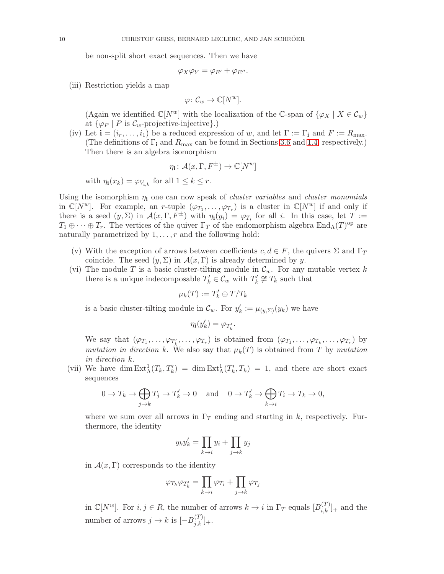be non-split short exact sequences. Then we have

$$
\varphi_X \varphi_Y = \varphi_{E'} + \varphi_{E''}.
$$

(iii) Restriction yields a map

$$
\varphi\colon \mathcal{C}_w\to \mathbb{C}[N^w].
$$

(Again we identified  $\mathbb{C}[N^w]$  with the localization of the C-span of  $\{\varphi_X \mid X \in \mathcal{C}_w\}$ at  $\{\varphi_P \mid P \text{ is } C_w\text{-projective-injective}\}.$ 

(iv) Let  $\mathbf{i} = (i_r, \ldots, i_1)$  be a reduced expression of w, and let  $\Gamma := \Gamma_{\mathbf{i}}$  and  $F := R_{\text{max}}$ . (The definitions of  $\Gamma_i$  and  $R_{\text{max}}$  can be found in Sections [3.6](#page-17-0) and [1.4,](#page-3-3) respectively.) Then there is an algebra isomorphism

$$
\eta_{\mathbf{i}} \colon \mathcal{A}(x, \Gamma, F^{\pm}) \to \mathbb{C}[N^w]
$$

with  $\eta_i(x_k) = \varphi_{V_{i,k}}$  for all  $1 \leq k \leq r$ .

Using the isomorphism  $\eta_i$  one can now speak of *cluster variables* and *cluster monomials* in  $\mathbb{C}[N^w]$ . For example, an *r*-tuple  $(\varphi_{T_1}, \ldots, \varphi_{T_r})$  is a cluster in  $\mathbb{C}[N^w]$  if and only if there is a seed  $(y, \Sigma)$  in  $\mathcal{A}(x, \Gamma, F^{\pm})$  with  $\eta_i(y_i) = \varphi_{T_i}$  for all i. In this case, let  $T :=$  $T_1 \oplus \cdots \oplus T_r$ . The vertices of the quiver  $\Gamma_T$  of the endomorphism algebra  $\text{End}_{\Lambda}(T)^\text{op}$  are naturally parametrized by  $1, \ldots, r$  and the following hold:

- (v) With the exception of arrows between coefficients  $c, d \in F$ , the quivers  $\Sigma$  and  $\Gamma_T$ coincide. The seed  $(y, \Sigma)$  in  $\mathcal{A}(x, \Gamma)$  is already determined by y.
- (vi) The module T is a basic cluster-tilting module in  $\mathcal{C}_w$ . For any mutable vertex k there is a unique indecomposable  $T'_k \in \mathcal{C}_w$  with  $T'_k \not\cong T_k$  such that

$$
\mu_k(T) := T'_k \oplus T/T_k
$$

is a basic cluster-tilting module in  $\mathcal{C}_w$ . For  $y'_k := \mu_{(y,\Sigma)}(y_k)$  we have

$$
\eta_{\mathbf{i}}(y'_k) = \varphi_{T'_k}.
$$

We say that  $(\varphi_{T_1}, \ldots, \varphi_{T_k'}, \ldots, \varphi_{T_r})$  is obtained from  $(\varphi_{T_1}, \ldots, \varphi_{T_k}, \ldots, \varphi_{T_r})$  by mutation in direction k. We also say that  $\mu_k(T)$  is obtained from T by mutation in direction k.

(vii) We have  $\dim \text{Ext}^1_{\Lambda}(T_k, T'_k) = \dim \text{Ext}^1_{\Lambda}(T'_k, T_k) = 1$ , and there are short exact sequences

$$
0 \to T_k \to \bigoplus_{j \to k} T_j \to T'_k \to 0 \quad \text{and} \quad 0 \to T'_k \to \bigoplus_{k \to i} T_i \to T_k \to 0,
$$

where we sum over all arrows in  $\Gamma_T$  ending and starting in k, respectively. Furthermore, the identity

$$
y_k y'_k = \prod_{k \to i} y_i + \prod_{j \to k} y_j
$$

in  $\mathcal{A}(x,\Gamma)$  corresponds to the identity

$$
\varphi_{T_k}\varphi_{T_k'}=\prod_{k\to i}\varphi_{T_i}+\prod_{j\to k}\varphi_{T_j}
$$

in  $\mathbb{C}[N^w]$ . For  $i, j \in R$ , the number of arrows  $k \to i$  in  $\Gamma_T$  equals  $[B_{i,k}^{(T)}]_+$  and the number of arrows  $j \to k$  is  $[-B_{j,k}^{(T)}]_{+}$ .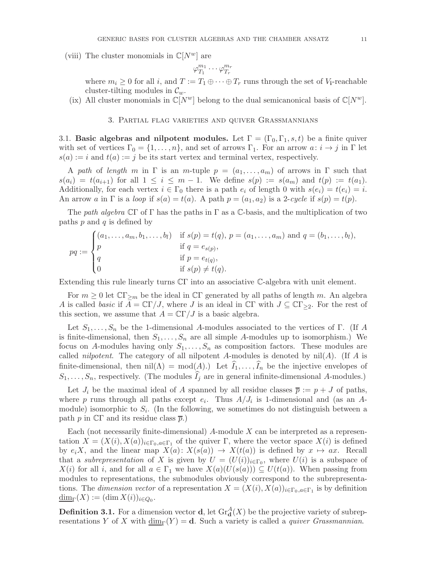(viii) The cluster monomials in  $\mathbb{C}[N^w]$  are

$$
\varphi_{T_1}^{m_1}\cdots \varphi_{T_r}^{m_r}
$$

where  $m_i \geq 0$  for all i, and  $T := T_1 \oplus \cdots \oplus T_r$  runs through the set of  $V_1$ -reachable cluster-tilting modules in  $\mathcal{C}_w$ .

<span id="page-10-0"></span>(ix) All cluster monomials in  $\mathbb{C}[N^w]$  belong to the dual semicanonical basis of  $\mathbb{C}[N^w]$ .

## 3. Partial flag varieties and quiver Grassmannians

3.1. Basic algebras and nilpotent modules. Let  $\Gamma = (\Gamma_0, \Gamma_1, s, t)$  be a finite quiver with set of vertices  $\Gamma_0 = \{1, \ldots, n\}$ , and set of arrows  $\Gamma_1$ . For an arrow  $a: i \to j$  in  $\Gamma$  let  $s(a) := i$  and  $t(a) := j$  be its start vertex and terminal vertex, respectively.

A path of length m in  $\Gamma$  is an m-tuple  $p = (a_1, \ldots, a_m)$  of arrows in  $\Gamma$  such that  $s(a_i) = t(a_{i+1})$  for all  $1 \leq i \leq m-1$ . We define  $s(p) := s(a_m)$  and  $t(p) := t(a_1)$ . Additionally, for each vertex  $i \in \Gamma_0$  there is a path  $e_i$  of length 0 with  $s(e_i) = t(e_i) = i$ . An arrow a in  $\Gamma$  is a loop if  $s(a) = t(a)$ . A path  $p = (a_1, a_2)$  is a 2-cycle if  $s(p) = t(p)$ .

The path algebra  $\mathbb{C}\Gamma$  of  $\Gamma$  has the paths in  $\Gamma$  as a  $\mathbb{C}$ -basis, and the multiplication of two paths  $p$  and  $q$  is defined by

$$
pq := \begin{cases} (a_1, \dots, a_m, b_1, \dots, b_l) & \text{if } s(p) = t(q), \ p = (a_1, \dots, a_m) \text{ and } q = (b_1, \dots, b_l), \\ p & \text{if } q = e_{s(p)}, \\ q & \text{if } p = e_{t(q)}, \\ 0 & \text{if } s(p) \neq t(q). \end{cases}
$$

Extending this rule linearly turns CΓ into an associative C-algebra with unit element.

For  $m \geq 0$  let  $\mathbb{C} \Gamma_{\geq m}$  be the ideal in  $\mathbb{C} \Gamma$  generated by all paths of length m. An algebra A is called basic if  $A = \mathbb{C}\Gamma/J$ , where J is an ideal in  $\mathbb{C}\Gamma$  with  $J \subseteq \mathbb{C}\Gamma_{\geq 2}$ . For the rest of this section, we assume that  $A = \mathbb{C}\Gamma/J$  is a basic algebra.

Let  $S_1, \ldots, S_n$  be the 1-dimensional A-modules associated to the vertices of Γ. (If A is finite-dimensional, then  $S_1, \ldots, S_n$  are all simple A-modules up to isomorphism.) We focus on A-modules having only  $S_1, \ldots, S_n$  as composition factors. These modules are called *nilpotent*. The category of all nilpotent A-modules is denoted by  $\text{nil}(A)$ . (If A is finite-dimensional, then  $nil(\Lambda) = mod(A)$ .) Let  $I_1, \ldots, I_n$  be the injective envelopes of  $S_1, \ldots, S_n$ , respectively. (The modules  $\widehat{I}_j$  are in general infinite-dimensional A-modules.)

Let  $J_i$  be the maximal ideal of A spanned by all residue classes  $\overline{p} := p + J$  of paths, where p runs through all paths except  $e_i$ . Thus  $A/J_i$  is 1-dimensional and (as an Amodule) isomorphic to  $S_i$ . (In the following, we sometimes do not distinguish between a path p in  $\mathbb{C}\Gamma$  and its residue class  $\overline{p}$ .)

Each (not necessarily finite-dimensional)  $A$ -module  $X$  can be interpreted as a representation  $X = (X(i), X(a))_{i \in \Gamma_0, a \in \Gamma_1}$  of the quiver  $\Gamma$ , where the vector space  $X(i)$  is defined by  $e_iX$ , and the linear map  $X(a): X(s(a)) \to X(t(a))$  is defined by  $x \mapsto ax$ . Recall that a *subrepresentation* of X is given by  $U = (U(i))_{i \in \Gamma_0}$ , where  $U(i)$  is a subspace of  $X(i)$  for all i, and for all  $a \in \Gamma_1$  we have  $X(a)(U(s(a))) \subseteq U(t(a))$ . When passing from modules to representations, the submodules obviously correspond to the subrepresentations. The dimension vector of a representation  $X = (X(i), X(a))_{i \in \Gamma_0, a \in \Gamma_1}$  is by definition  $\underline{\dim}_{\Gamma}(X) := (\dim X(i))_{i \in Q_0}.$ 

**Definition 3.1.** For a dimension vector **d**, let  $\text{Gr}_{d}^{A}(X)$  be the projective variety of subrepresentations Y of X with  $\underline{\dim}_{\Gamma}(Y) = \mathbf{d}$ . Such a variety is called a *quiver Grassmannian*.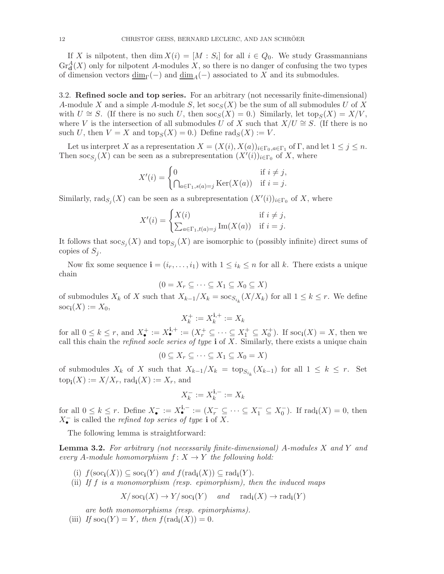If X is nilpotent, then  $\dim X(i) = [M : S_i]$  for all  $i \in Q_0$ . We study Grassmannians  $\text{Gr}_{\mathbf{d}}^{A}(X)$  only for nilpotent A-modules X, so there is no danger of confusing the two types of dimension vectors  $\underline{\dim}_{\Gamma}(-)$  and  $\underline{\dim}_{A}(-)$  associated to X and its submodules.

3.2. Refined socle and top series. For an arbitrary (not necessarily finite-dimensional) A-module X and a simple A-module S, let  $\operatorname{soc}_S(X)$  be the sum of all submodules U of X with  $U \cong S$ . (If there is no such U, then  $\operatorname{soc}_S(X) = 0$ .) Similarly, let  $\operatorname{top}_S(X) = X/V$ , where V is the intersection of all submodules U of X such that  $X/U \cong S$ . (If there is no such U, then  $V = X$  and  $\text{top}_S(X) = 0$ .) Define  $\text{rad}_S(X) := V$ .

Let us interpret X as a representation  $X = (X(i), X(a))_{i \in \Gamma_0, a \in \Gamma_1}$  of  $\Gamma$ , and let  $1 \leq j \leq n$ . Then  $\operatorname{soc}_{S_j}(X)$  can be seen as a subrepresentation  $(X'(i))_{i \in \Gamma_0}$  of X, where

$$
X'(i) = \begin{cases} 0 & \text{if } i \neq j, \\ \bigcap_{a \in \Gamma_1, s(a) = j} \text{Ker}(X(a)) & \text{if } i = j. \end{cases}
$$

Similarly, rad $_{S_j}(X)$  can be seen as a subrepresentation  $(X'(i))_{i \in \Gamma_0}$  of X, where

$$
X'(i) = \begin{cases} X(i) & \text{if } i \neq j, \\ \sum_{a \in \Gamma_1, t(a) = j} \text{Im}(X(a)) & \text{if } i = j. \end{cases}
$$

It follows that  $\operatorname{soc}_{S_j}(X)$  and  $\operatorname{top}_{S_j}(X)$  are isomorphic to (possibly infinite) direct sums of copies of  $S_i$ .

Now fix some sequence  $\mathbf{i} = (i_r, \dots, i_1)$  with  $1 \leq i_k \leq n$  for all k. There exists a unique chain

$$
(0 = X_r \subseteq \cdots \subseteq X_1 \subseteq X_0 \subseteq X)
$$

of submodules  $X_k$  of X such that  $X_{k-1}/X_k = \operatorname{soc}_{S_{i_k}}(X/X_k)$  for all  $1 \leq k \leq r$ . We define  $\operatorname{soc}_{\mathbf i}(X) := X_0,$ 

$$
X_k^+ := X_k^{\mathbf{i},+} := X_k
$$

for all  $0 \leq k \leq r$ , and  $X_{\bullet}^{+} := X_{\bullet}^{i,+} := (X_{r}^{+} \subseteq \cdots \subseteq X_{1}^{+} \subseteq X_{0}^{+})$ . If  $\operatorname{soc}_{i}(X) = X$ , then we call this chain the *refined socle series of type*  $\mathbf{i}$  of X. Similarly, there exists a unique chain

$$
(0 \subseteq X_r \subseteq \cdots \subseteq X_1 \subseteq X_0 = X)
$$

of submodules  $X_k$  of X such that  $X_{k-1}/X_k = \text{top}_{S_{i_k}}(X_{k-1})$  for all  $1 \leq k \leq r$ . Set  $top_{\mathbf{i}}(X) := X/X_r$ ,  $rad_{\mathbf{i}}(X) := X_r$ , and

$$
X_k^-:=X_k^{\mathbf{i},-}:=X_k
$$

for all  $0 \leq k \leq r$ . Define  $X_{\bullet}^{-} := X_{\bullet}^{i,-} := (X_r^{-} \subseteq \cdots \subseteq X_1^{-} \subseteq X_0^{-})$ . If  $\text{rad}_{i}(X) = 0$ , then  $X_{\bullet}^{-}$  is called the *refined top series of type* **i** of X.

The following lemma is straightforward:

<span id="page-11-0"></span>**Lemma 3.2.** For arbitrary (not necessarily finite-dimensional) A-modules X and Y and every A-module homomorphism  $f: X \to Y$  the following hold:

- (i)  $f(\operatorname{soc}_{i}(X)) \subseteq \operatorname{soc}_{i}(Y)$  and  $f(\operatorname{rad}_{i}(X)) \subseteq \operatorname{rad}_{i}(Y)$ .
- (ii) If  $f$  is a monomorphism (resp. epimorphism), then the induced maps

$$
X/\operatorname{soc}_{\mathbf{i}}(X) \to Y/\operatorname{soc}_{\mathbf{i}}(Y)
$$
 and  $\operatorname{rad}_{\mathbf{i}}(X) \to \operatorname{rad}_{\mathbf{i}}(Y)$ 

are both monomorphisms (resp. epimorphisms).

(iii) If  $\operatorname{soc}_{i}(Y) = Y$ , then  $f(\operatorname{rad}_{i}(X)) = 0$ .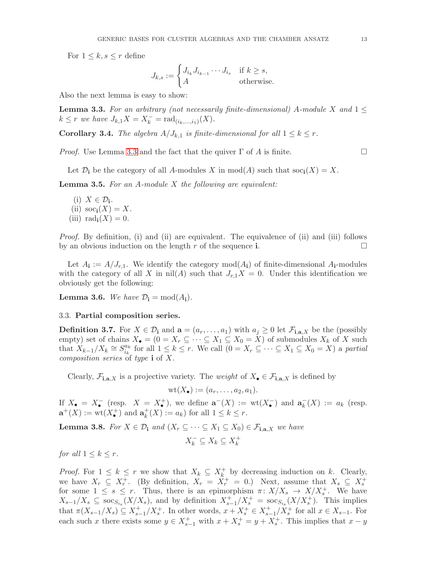For  $1 \leq k, s \leq r$  define

$$
J_{k,s} := \begin{cases} J_{i_k} J_{i_{k-1}} \cdots J_{i_s} & \text{if } k \ge s, \\ A & \text{otherwise.} \end{cases}
$$

Also the next lemma is easy to show:

<span id="page-12-0"></span>**Lemma 3.3.** For an arbitrary (not necessarily finite-dimensional) A-module X and  $1 \leq$  $k \leq r$  we have  $J_{k,1}X = X_k^- = \text{rad}_{(i_k,...,i_1)}(X)$ .

<span id="page-12-1"></span>**Corollary 3.4.** The algebra  $A/J_{k,1}$  is finite-dimensional for all  $1 \leq k \leq r$ .

*Proof.* Use Lemma [3.3](#page-12-0) and the fact that the quiver  $\Gamma$  of A is finite.

Let  $\mathcal{D}_i$  be the category of all A-modules X in  $mod(A)$  such that  $soc_i(X) = X$ .

**Lemma 3.5.** For an  $A$ -module  $X$  the following are equivalent:

(i)  $X \in \mathcal{D}_i$ . (ii)  $\operatorname{soc}_{i}(X) = X$ . (iii)  $\text{rad}_{\mathbf{i}}(X) = 0$ .

Proof. By definition, (i) and (ii) are equivalent. The equivalence of (ii) and (iii) follows by an obvious induction on the length r of the sequence i.

Let  $A_i := A/J_{r,1}$ . We identify the category  $mod(A_i)$  of finite-dimensional  $A_i$ -modules with the category of all X in  $\mathrm{nil}(A)$  such that  $J_{r,1}X = 0$ . Under this identification we obviously get the following:

<span id="page-12-3"></span>**Lemma 3.6.** We have  $\mathcal{D}_i = \text{mod}(A_i)$ .

### 3.3. Partial composition series.

**Definition 3.7.** For  $X \in \mathcal{D}_i$  and  $\mathbf{a} = (a_r, \dots, a_1)$  with  $a_j \geq 0$  let  $\mathcal{F}_{i,\mathbf{a},X}$  be the (possibly empty) set of chains  $X_{\bullet} = (0 = X_r \subseteq \cdots \subseteq X_1 \subseteq X_0 = X)$  of submodules  $X_k$  of X such that  $X_{k-1}/X_k \cong S_{i_k}^{a_k}$  $\frac{a_k}{i_k}$  for all  $1 \leq k \leq r$ . We call  $(0 = X_r \subseteq \cdots \subseteq X_1 \subseteq X_0 = X)$  a partial *composition series* of type  $\mathbf i$  of X.

Clearly,  $\mathcal{F}_{i,a,X}$  is a projective variety. The weight of  $X_{\bullet} \in \mathcal{F}_{i,a,X}$  is defined by

$$
\mathrm{wt}(X_{\bullet}):=(a_r,\ldots,a_2,a_1).
$$

If  $X_{\bullet} = X_{\bullet}^-$  (resp.  $X = X_{\bullet}^+$ ), we define  $\mathbf{a}^-(X) := \text{wt}(X_{\bullet}^-)$  and  $\mathbf{a}_k^ _{k}^{-}(X) := a_{k}$  (resp.  $\mathbf{a}^+(X) := \text{wt}(X^+_{\bullet})$  and  $\mathbf{a}_k^+$  $k_k^+(X) := a_k$  for all  $1 \leq k \leq r$ .

<span id="page-12-2"></span>**Lemma 3.8.** For  $X \in \mathcal{D}_i$  and  $(X_r \subseteq \cdots \subseteq X_1 \subseteq X_0) \in \mathcal{F}_{i,a,X}$  we have

$$
X_k^-\subseteq X_k\subseteq X_k^+
$$

for all  $1 \leq k \leq r$ .

*Proof.* For  $1 \leq k \leq r$  we show that  $X_k \subseteq X_k^+$  $\bar{k}$  by decreasing induction on k. Clearly, we have  $X_r \subseteq X_r^+$ . (By definition,  $X_r = \tilde{X}_r^+ = 0$ .) Next, assume that  $X_s \subseteq X_s^+$ for some  $1 \leq s \leq r$ . Thus, there is an epimorphism  $\pi \colon X/X_s \to X/X_s^+$ . We have  $X_{s-1}/X_s \subseteq \text{soc}_{S_{i_s}}(X/X_s)$ , and by definition  $X_{s-1}^+/X_s^+ = \text{soc}_{S_{i_s}}(X/X_s^+)$ . This implies that  $\pi(X_{s-1}/X_s) \subseteq X_{s-1}^+/X_s^+$ . In other words,  $x + X_s^+ \in X_{s-1}^+/X_s^+$  for all  $x \in X_{s-1}$ . For each such x there exists some  $y \in X_{s-1}^+$  with  $x + X_s^+ = y + X_s^+$ . This implies that  $x - y$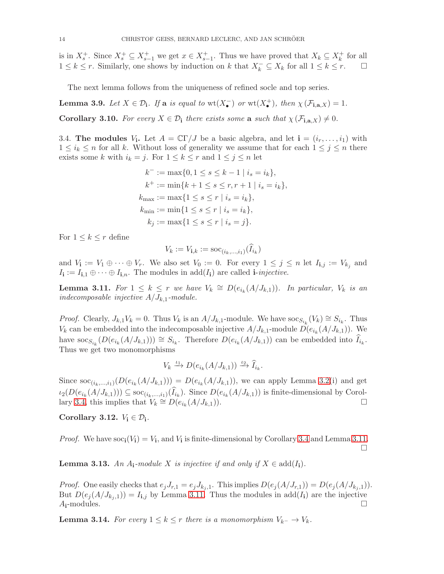is in  $X_s^+$ . Since  $X_s^+ \subseteq X_{s-1}^+$  we get  $x \in X_{s-1}^+$ . Thus we have proved that  $X_k \subseteq X_k^+$  $\frac{1}{k}$  for all  $1 \leq k \leq r$ . Similarly, one shows by induction on k that  $X_k^- \subseteq X_k$  for all  $1 \leq k \leq r$ .  $\Box$ 

The next lemma follows from the uniqueness of refined socle and top series.

<span id="page-13-1"></span>**Lemma 3.9.** Let  $X \in \mathcal{D}_i$ . If a is equal to  $wt(X_{\bullet}^-)$  or  $wt(X_{\bullet}^+)$ , then  $\chi(\mathcal{F}_{i,a,X}) = 1$ .

<span id="page-13-3"></span>**Corollary 3.10.** For every  $X \in \mathcal{D}_i$  there exists some a such that  $\chi(\mathcal{F}_{i,a,X}) \neq 0$ .

3.4. The modules  $V_i$ . Let  $A = \mathbb{C}\Gamma/J$  be a basic algebra, and let  $\mathbf{i} = (i_r, \ldots, i_1)$  with  $1 \leq i_k \leq n$  for all k. Without loss of generality we assume that for each  $1 \leq j \leq n$  there exists some k with  $i_k = j$ . For  $1 \le k \le r$  and  $1 \le j \le n$  let

$$
k^- := \max\{0, 1 \le s \le k - 1 \mid i_s = i_k\},
$$
  
\n
$$
k^+ := \min\{k + 1 \le s \le r, r + 1 \mid i_s = i_k\},
$$
  
\n
$$
k_{\max} := \max\{1 \le s \le r \mid i_s = i_k\},
$$
  
\n
$$
k_{\min} := \min\{1 \le s \le r \mid i_s = i_k\},
$$
  
\n
$$
k_j := \max\{1 \le s \le r \mid i_s = j\}.
$$

For  $1 \leq k \leq r$  define

$$
V_k := V_{\mathbf{i},k} := \mathrm{soc}_{(i_k,...,i_1)}(I_{i_k})
$$

and  $V_{\mathbf{i}} := V_1 \oplus \cdots \oplus V_r$ . We also set  $V_0 := 0$ . For every  $1 \leq j \leq n$  let  $I_{\mathbf{i},j} := V_{k_j}$  and  $I_i := I_{i,1} \oplus \cdots \oplus I_{i,n}$ . The modules in add $(I_i)$  are called *i-injective*.

<span id="page-13-0"></span>**Lemma 3.11.** For  $1 \leq k \leq r$  we have  $V_k \cong D(e_{i_k}(A/J_{k,1}))$ . In particular,  $V_k$  is an indecomposable injective  $A/J_{k,1}$ -module.

*Proof.* Clearly,  $J_{k,1}V_k = 0$ . Thus  $V_k$  is an  $A/J_{k,1}$ -module. We have  $\operatorname{soc}_{S_{i_k}}(V_k) \cong S_{i_k}$ . Thus  $V_k$  can be embedded into the indecomposable injective  $A/J_{k,1}$ -module  $D(e_{i_k}(A/J_{k,1}))$ . We have  $\operatorname{soc}_{S_{i_k}}(D(e_{i_k}(A/J_{k,1}))) \cong S_{i_k}$ . Therefore  $D(e_{i_k}(A/J_{k,1}))$  can be embedded into  $\widehat{I}_{i_k}$ . Thus we get two monomorphisms

$$
V_k \xrightarrow{\iota_1} D(e_{i_k}(A/J_{k,1})) \xrightarrow{\iota_2} \widehat{I}_{i_k}.
$$

Since  $\text{soc}_{(i_k,...,i_1)}(D(e_{i_k}(A/J_{k,1}))) = D(e_{i_k}(A/J_{k,1}))$ , we can apply Lemma [3.2\(](#page-11-0)i) and get  $u_2(D(e_{i_k}(A/J_{k,1}))) \subseteq \text{soc}_{(i_k,\ldots,i_1)}(I_{i_k})$ . Since  $D(e_{i_k}(A/J_{k,1}))$  is finite-dimensional by Corol-lary [3.4,](#page-12-1) this implies that  $V_k \cong D(e_{i_k}(A/J_{k,1}))$ .

Corollary 3.12.  $V_i \in \mathcal{D}_i$ .

*Proof.* We have  $\text{soc}_i(V_i) = V_i$ , and  $V_i$  is finite-dimensional by Corollary [3.4](#page-12-1) and Lemma [3.11.](#page-13-0)  $\Box$ 

<span id="page-13-2"></span>**Lemma 3.13.** An  $A_i$ -module X is injective if and only if  $X \in \text{add}(I_i)$ .

*Proof.* One easily checks that  $e_jJ_{r,1} = e_jJ_{k_j,1}$ . This implies  $D(e_j(A/J_{r,1})) = D(e_j(A/J_{k_j,1})).$ But  $D(e_j(A/J_{k_j,1})) = I_{i,j}$  by Lemma [3.11.](#page-13-0) Thus the modules in add( $I_i$ ) are the injective  $A_i$ -modules.

**Lemma 3.14.** For every  $1 \leq k \leq r$  there is a monomorphism  $V_{k-} \to V_k$ .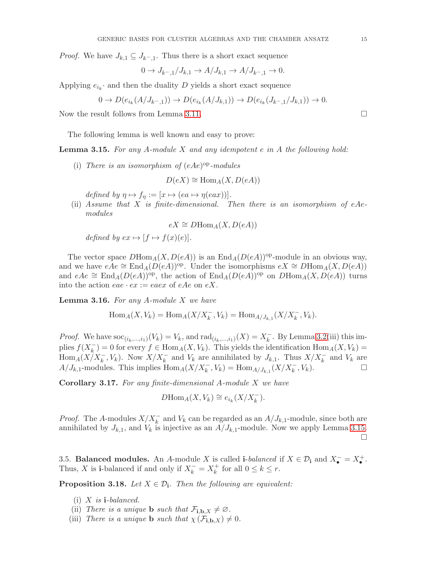*Proof.* We have  $J_{k,1} \subseteq J_{k-,1}$ . Thus there is a short exact sequence

$$
0 \to J_{k-,1}/J_{k,1} \to A/J_{k,1} \to A/J_{k-,1} \to 0.
$$

Applying  $e_{i_k}$  and then the duality D yields a short exact sequence

$$
0 \to D(e_{i_k}(A/J_{k-1})) \to D(e_{i_k}(A/J_{k,1})) \to D(e_{i_k}(J_{k-1}/J_{k,1})) \to 0.
$$

Now the result follows from Lemma [3.11.](#page-13-0)

The following lemma is well known and easy to prove:

<span id="page-14-0"></span>**Lemma 3.15.** For any A-module X and any idempotent  $e$  in A the following hold:

(i) There is an isomorphism of  $(eAe)^{op}$ -modules

$$
D(eX) \cong \text{Hom}_A(X, D(eA))
$$

defined by  $\eta \mapsto f_{\eta} := [x \mapsto (ea \mapsto \eta(eax))].$ 

(ii) Assume that X is finite-dimensional. Then there is an isomorphism of eAemodules

$$
eX \cong D\mathrm{Hom}_A(X, D(eA))
$$

defined by  $ex \mapsto [f \mapsto f(x)(e)].$ 

The vector space  $D\text{Hom}_A(X, D(eA))$  is an  $\text{End}_A(D(eA))^{op}$ -module in an obvious way, and we have  $eAe \cong \text{End}_{A}(D(eA))^{op}$ . Under the isomorphisms  $eX \cong D\text{Hom}_{A}(X, D(eA))$ and  $eAe \cong \text{End}_{A}(D(eA))^{op}$ , the action of  $\text{End}_{A}(D(eA))^{op}$  on  $D\text{Hom}_{A}(X, D(eA))$  turns into the action  $eae \cdot ex := eaex$  of  $eAe$  on  $eX$ .

<span id="page-14-1"></span>**Lemma 3.16.** For any A-module  $X$  we have

$$
\operatorname{Hom}_A(X, V_k) = \operatorname{Hom}_A(X/X_k^-, V_k) = \operatorname{Hom}_{A/J_{k,1}}(X/X_k^-, V_k).
$$

*Proof.* We have  $\text{soc}_{(i_k,...,i_1)}(V_k) = V_k$ , and  $\text{rad}_{(i_k,...,i_1)}(X) = X_k^{-}$  $\overline{k}$ . By Lemma [3.2\(](#page-11-0)iii) this implies  $f(X_k^-)$  $k(k) = 0$  for every  $f \in \text{Hom}_A(X, V_k)$ . This yields the identification  $\text{Hom}_A(X, V_k) =$  $\text{Hom}_A(X/X_k^-, V_k)$ . Now  $X/X_k^-$  and  $V_k$  are annihilated by  $J_{k,1}$ . Thus  $X/X_k^-$  and  $V_k$  are  $A/J_{k,1}$ -modules. This implies  $\text{Hom}_A(X/X_k^-, V_k) = \text{Hom}_{A/J_{k,1}}(X/X_k^-, V_k)$ .

**Corollary 3.17.** For any finite-dimensional A-module  $X$  we have

$$
D\mathrm{Hom}_A(X, V_k) \cong e_{i_k}(X/X_k^-).
$$

*Proof.* The A-modules  $X/X_k^-$  and  $V_k$  can be regarded as an  $A/J_{k,1}$ -module, since both are annihilated by  $J_{k,1}$ , and  $V_k$  is injective as an  $A/J_{k,1}$ -module. Now we apply Lemma [3.15.](#page-14-0) П

3.5. Balanced modules. An A-module X is called i-balanced if  $X \in \mathcal{D}_i$  and  $X_{\bullet}^- = X_{\bullet}^+$ . Thus, X is i-balanced if and only if  $X_k^- = X_k^+$  $\frac{f}{k}$  for all  $0 \leq k \leq r$ .

**Proposition 3.18.** Let  $X \in \mathcal{D}_i$ . Then the following are equivalent:

- (i)  $X$  is **i**-balanced.
- (ii) There is a unique **b** such that  $\mathcal{F}_{\mathbf{i},\mathbf{b},X} \neq \emptyset$ .
- (iii) There is a unique **b** such that  $\chi(\mathcal{F}_{\mathbf{i},\mathbf{b},X}) \neq 0$ .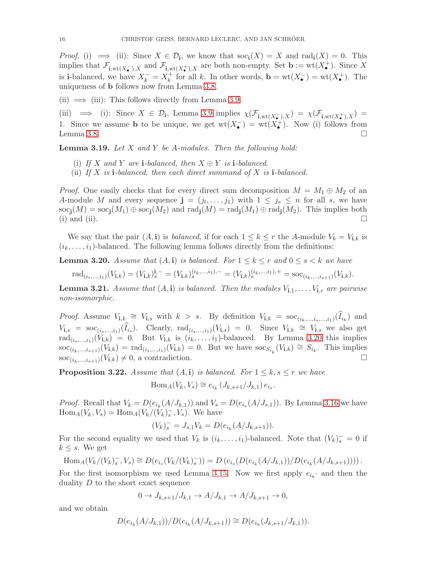*Proof.* (i)  $\implies$  (ii): Since  $X \in \mathcal{D}_i$ , we know that  $\operatorname{soc}_i(X) = X$  and  $\operatorname{rad}_i(X) = 0$ . This implies that  $\mathcal{F}_{\mathbf{i}, \text{wt}}(X_{\bullet}^{-}), X$  and  $\mathcal{F}_{\mathbf{i}, \text{wt}}(X_{\bullet}^{+}), X$  are both non-empty. Set  $\mathbf{b} := \text{wt}(X_{\bullet}^{+})$ . Since X is **i**-balanced, we have  $X_k^- = X_k^+$ <sup>+</sup> for all k. In other words, **b** = wt( $X_{\bullet}^-$ ) = wt( $X_{\bullet}^+$ ). The uniqueness of b follows now from Lemma [3.8.](#page-12-2)

(ii)  $\implies$  (iii): This follows directly from Lemma [3.9.](#page-13-1)

(iii)  $\implies$  (i): Since  $X \in \mathcal{D}_i$ , Lemma [3.9](#page-13-1) implies  $\chi(\mathcal{F}_{i,\text{wt}(X_{\bullet}^-),X}) = \chi(\mathcal{F}_{i,\text{wt}(X_{\bullet}^+),X}) =$ 1. Since we assume **b** to be unique, we get  $wt(X_{\bullet}^{-}) = wt(X_{\bullet}^{+})$ . Now (i) follows from Lemma [3.8.](#page-12-2)  $\Box$ 

**Lemma 3.19.** Let  $X$  and  $Y$  be A-modules. Then the following hold:

- (i) If X and Y are i-balanced, then  $X \oplus Y$  is i-balanced.
- (ii) If  $X$  is **i**-balanced, then each direct summand of  $X$  is **i**-balanced.

*Proof.* One easily checks that for every direct sum decomposition  $M = M_1 \oplus M_2$  of an A-module M and every sequence  $\mathbf{j} = (j_t, \ldots, j_1)$  with  $1 \leq j_s \leq n$  for all s, we have  $\operatorname{soc}_{\mathbf i}(M) = \operatorname{soc}_{\mathbf i}(M_1) \oplus \operatorname{soc}_{\mathbf i}(M_2)$  and  $\operatorname{rad}_{\mathbf i}(M) = \operatorname{rad}_{\mathbf i}(M_1) \oplus \operatorname{rad}_{\mathbf i}(M_2)$ . This implies both (i) and (ii).  $\Box$ 

We say that the pair  $(A, \mathbf{i})$  is *balanced*, if for each  $1 \leq k \leq r$  the A-module  $V_k = V_{\mathbf{i},k}$  is  $(i_k, \ldots, i_1)$ -balanced. The following lemma follows directly from the definitions:

<span id="page-15-0"></span>**Lemma 3.20.** Assume that  $(A, i)$  is balanced. For  $1 \leq k \leq r$  and  $0 \leq s \leq k$  we have

$$
\mathrm{rad}_{(i_s,\ldots,i_1)}(V_{\mathbf{i},k}) = (V_{\mathbf{i},k})_s^{\mathbf{i},-} = (V_{\mathbf{i},k})_s^{(i_k,\ldots,i_1),-} = (V_{\mathbf{i},k})_s^{(i_k,\ldots,i_1),+} = \mathrm{soc}_{(i_k,\ldots,i_{s+1})}(V_{\mathbf{i},k}).
$$

<span id="page-15-1"></span>**Lemma 3.21.** Assume that  $(A, i)$  is balanced. Then the modules  $V_{i,1}, \ldots, V_{i,r}$  are pairwise non-isomorphic.

*Proof.* Assume  $V_{i,k} \cong V_{i,s}$  with  $k > s$ . By definition  $V_{i,k} = \text{soc}_{(i_k,\ldots,i_s,\ldots,i_1)}(\widehat{I}_{i_k})$  and  $V_{\mathbf{i},s} = \text{soc}_{(i_s,\ldots,i_1)}(\widehat{I}_{i_s})$ . Clearly,  $\text{rad}_{(i_s,\ldots,i_1)}(V_{\mathbf{i},s}) = 0$ . Since  $V_{\mathbf{i},k} \cong V_{\mathbf{i},s}$  we also get rad $(i_s, ..., i_1)(V_{i,k}) = 0$ . But  $V_{i,k}$  is  $(i_k, ..., i_1)$ -balanced. By Lemma [3.20](#page-15-0) this implies  $\operatorname{soc}_{(i_k,\ldots,i_{s+1})}(V_{i,k}) = \operatorname{rad}_{(i_s,\ldots,i_1)}(V_{i,k}) = 0.$  But we have  $\operatorname{soc}_{S_{i_k}}(V_{i,k}) \cong S_{i_k}$ . This implies  $\operatorname{soc}_{(i_k,\ldots,i_{s+1})}(V_{i,k}) \neq 0$ , a contradiction.

<span id="page-15-2"></span>**Proposition 3.22.** Assume that  $(A, i)$  is balanced. For  $1 \leq k, s \leq r$  we have

$$
\operatorname{Hom}_A(V_k, V_s) \cong e_{i_k} (J_{k,s+1}/J_{k,1}) e_{i_s}.
$$

*Proof.* Recall that  $V_k = D(e_{i_k}(A/J_{k,1}))$  and  $V_s = D(e_{i_s}(A/J_{s,1}))$ . By Lemma [3.16](#page-14-1) we have  $\text{Hom}_A(V_k, V_s) = \text{Hom}_A(V_k/(V_k)^-, V_s)$ . We have

$$
(V_k)_s^- = J_{s,1}V_k = D(e_{i_k}(A/J_{k,s+1})).
$$

For the second equality we used that  $V_k$  is  $(i_k, \ldots, i_1)$ -balanced. Note that  $(V_k)_{s}^{-} = 0$  if  $k \leq s$ . We get

Hom<sub>A</sub>
$$
(V_k/(V_k)^-, V_s) \cong D(e_{i_s}(V_k/(V_k)^-)) = D(e_{i_s}(D(e_{i_k}(A/J_{k,1}))/D(e_{i_k}(A/J_{k,s+1}))))
$$
.

For the first isomorphism we used Lemma [3.15.](#page-14-0) Now we first apply  $e_{i_k}$  and then the duality  $D$  to the short exact sequence

$$
0 \to J_{k,s+1}/J_{k,1} \to A/J_{k,1} \to A/J_{k,s+1} \to 0,
$$

and we obtain

$$
D(e_{i_k}(A/J_{k,1}))/D(e_{i_k}(A/J_{k,s+1})) \cong D(e_{i_k}(J_{k,s+1}/J_{k,1})).
$$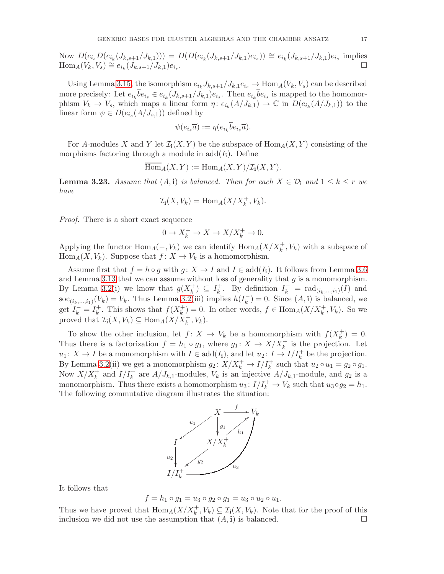Now  $D(e_{i_s}D(e_{i_k}(J_{k,s+1}/J_{k,1}))) = D(D(e_{i_k}(J_{k,s+1}/J_{k,1})e_{i_s})) \cong e_{i_k}(J_{k,s+1}/J_{k,1})e_{i_s}$  implies  $\text{Hom}_{A}(V_{k}, V_{s}) \cong e_{i_{k}}(J_{k,s+1}/J_{k,1})e_{i_{s}}$ .

Using Lemma [3.15,](#page-14-0) the isomorphism  $e_{i_k} J_{k,s+1}/J_{k,1}e_{i_s} \to \text{Hom}_A(V_k, V_s)$  can be described more precisely: Let  $e_{i_k}b e_{i_s} \in e_{i_k}(J_{k,s+1}/J_{k,1})e_{i_s}$ . Then  $e_{i_k}b e_{i_s}$  is mapped to the homomorphism  $V_k \to V_s$ , which maps a linear form  $\eta: e_{i_k}(A/J_{k,1}) \to \mathbb{C}$  in  $D(e_{i_k}(A/J_{k,1}))$  to the linear form  $\psi \in D(e_{i_s}(A/J_{s,1}))$  defined by

$$
\psi(e_{i_s}\overline{a}) := \eta(e_{i_k}\overline{b}e_{i_s}\overline{a}).
$$

For A-modules X and Y let  $\mathcal{I}_i(X, Y)$  be the subspace of  $\text{Hom}_A(X, Y)$  consisting of the morphisms factoring through a module in  $add(I_i)$ . Define

$$
\overline{\operatorname{Hom}}_A(X,Y) := \operatorname{Hom}_A(X,Y)/\mathcal{I}_{\mathbf i}(X,Y).
$$

<span id="page-16-0"></span>**Lemma 3.23.** Assume that  $(A, i)$  is balanced. Then for each  $X \in \mathcal{D}_i$  and  $1 \leq k \leq r$  we have

$$
\mathcal{I}_{\mathbf{i}}(X, V_k) = \text{Hom}_A(X/X_k^+, V_k).
$$

Proof. There is a short exact sequence

$$
0 \to X_k^+ \to X \to X/X_k^+ \to 0.
$$

Applying the functor  $\text{Hom}_A(-, V_k)$  we can identify  $\text{Hom}_A(X/X_k^+, V_k)$  with a subspace of  $\text{Hom}_A(X, V_k)$ . Suppose that  $f: X \to V_k$  is a homomorphism.

Assume first that  $f = h \circ g$  with  $g: X \to I$  and  $I \in \text{add}(I_i)$ . It follows from Lemma [3.6](#page-12-3) and Lemma [3.13](#page-13-2) that we can assume without loss of generality that  $g$  is a monomorphism. By Lemma [3.2\(](#page-11-0)i) we know that  $g(X_k^+)$  $\binom{+}{k} \subseteq I_k^+$ <sup>+</sup><sub>k</sub>. By definition  $I_k^-$  = rad<sub> $(i_k,...,i_1)$ </sub> $(I)$  and soc<sub>(i<sub>k</sub>,...,i<sub>1</sub>)</sub>( $V_k$ ) =  $V_k$ . Thus Lemma [3.2\(](#page-11-0)iii) implies  $h(I_k^-)$  $\binom{-}{k} = 0$ . Since  $(A, \mathbf{i})$  is balanced, we get  $I_k^- = I_k^+$ <sup>+</sup>. This shows that  $f(X_k^+)$  $(k)$  = 0. In other words,  $f \in \text{Hom}_A(X/X_k^+, V_k)$ . So we proved that  $\mathcal{I}_{i}(X, V_{k}) \subseteq \text{Hom}_{A}(X/X_{k}^{+}, V_{k}).$ 

To show the other inclusion, let  $f: X \to V_k$  be a homomorphism with  $f(X_k^+)$  $\binom{+}{k} = 0.$ Thus there is a factorization  $f = h_1 \circ g_1$ , where  $g_1: X \to X/X_k^+$  is the projection. Let  $u_1: X \to I$  be a monomorphism with  $I \in \text{add}(I_1)$ , and let  $u_2: I \to I/I_k^+$  be the projection. By Lemma [3.2\(](#page-11-0)ii) we get a monomorphism  $g_2: X/X_k^+ \to I/I_k^+$  such that  $u_2 \circ u_1 = g_2 \circ g_1$ . Now  $X/X_k^+$  and  $I/I_k^+$  are  $A/J_{k,1}$ -modules,  $V_k$  is an injective  $A/J_{k,1}$ -module, and  $g_2$  is a monomorphism. Thus there exists a homomorphism  $u_3: I/I_k^+ \to V_k$  such that  $u_3 \circ g_2 = h_1$ . The following commutative diagram illustrates the situation:



It follows that

$$
f = h_1 \circ g_1 = u_3 \circ g_2 \circ g_1 = u_3 \circ u_2 \circ u_1.
$$

Thus we have proved that  $\text{Hom}_A(X/X^+_k, V_k) \subseteq \mathcal{I}_{\mathbf{i}}(X, V_k)$ . Note that for the proof of this inclusion we did not use the assumption that  $(A, i)$  is balanced.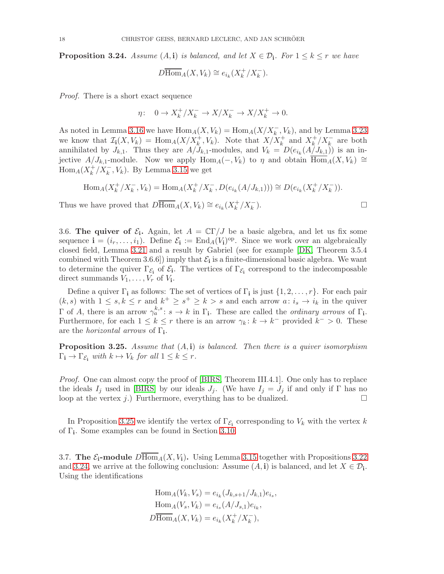<span id="page-17-2"></span>**Proposition 3.24.** Assume  $(A, i)$  is balanced, and let  $X \in \mathcal{D}_i$ . For  $1 \leq k \leq r$  we have

$$
D\overline{\operatorname{Hom}}_A(X, V_k) \cong e_{i_k}(X_k^+/X_k^-).
$$

Proof. There is a short exact sequence

$$
\eta\colon \quad 0\to X_k^+/X_k^-\to X/X_k^-\to X/X_k^+\to 0.
$$

As noted in Lemma [3.16](#page-14-1) we have  $\text{Hom}_A(X, V_k) = \text{Hom}_A(X/X_k^-, V_k)$ , and by Lemma [3.23](#page-16-0) we know that  $\mathcal{I}_{i}(X, V_{k}) = \text{Hom}_{A}(X/X_{k}^{+}, V_{k})$ . Note that  $X/X_{k}^{+}$  and  $X_{k}^{+}$  $\frac{k}{k}/X_k^-$  are both annihilated by  $J_{k,1}$ . Thus they are  $A/J_{k,1}$ -modules, and  $V_k = D(e_{i_k}(A/J_{k,1}))$  is an injective  $A/J_{k,1}$ -module. Now we apply  $\text{Hom}_A(-, V_k)$  to  $\eta$  and obtain  $\overline{\text{Hom}}_A(X, V_k) \cong$  $\text{Hom}_A(X_k^+)$  $\frac{k}{k}/X_k^-$ ,  $V_k$ ). By Lemma [3.15](#page-14-0) we get

$$
\text{Hom}_{A}(X_{k}^{+}/X_{k}^{-}, V_{k}) = \text{Hom}_{A}(X_{k}^{+}/X_{k}^{-}, D(e_{i_{k}}(A/J_{k,1}))) \cong D(e_{i_{k}}(X_{k}^{+}/X_{k}^{-})).
$$

Thus we have proved that  $D\overline{\text{Hom}}_A(X, V_k) \cong e_{i_k}(X_k^+$  $k^+ / X_k^-$ 

<span id="page-17-0"></span>3.6. The quiver of  $\mathcal{E}_i$ . Again, let  $A = \mathbb{C}\Gamma/J$  be a basic algebra, and let us fix some sequence  $\mathbf{i} = (i_r, \dots, i_1)$ . Define  $\mathcal{E}_{\mathbf{i}} := \text{End}_A(V_{\mathbf{i}})^{\text{op}}$ . Since we work over an algebraically closed field, Lemma [3.21](#page-15-1) and a result by Gabriel (see for example [\[DK,](#page-53-14) Theorem 3.5.4 combined with Theorem 3.6.6<sup>[]</sup>) imply that  $\mathcal{E}_{i}$  is a finite-dimensional basic algebra. We want to determine the quiver  $\Gamma_{\mathcal{E}_i}$  of  $\mathcal{E}_i$ . The vertices of  $\Gamma_{\mathcal{E}_i}$  correspond to the indecomposable direct summands  $V_1, \ldots, V_r$  of  $V_i$ .

Define a quiver  $\Gamma_i$  as follows: The set of vertices of  $\Gamma_i$  is just  $\{1, 2, \ldots, r\}$ . For each pair  $(k, s)$  with  $1 \leq s, k \leq r$  and  $k^+ \geq s^+ \geq k > s$  and each arrow  $a: i_s \to i_k$  in the quiver Γ of A, there is an arrow  $\gamma_a^{k,s}$ :  $s \to k$  in Γ<sub>i</sub>. These are called the *ordinary arrows* of Γ<sub>i</sub>. Furthermore, for each  $1 \leq k \leq r$  there is an arrow  $\gamma_k : k \to k^-$  provided  $k^- > 0$ . These are the *horizontal arrows* of  $\Gamma_i$ .

<span id="page-17-1"></span>**Proposition 3.25.** Assume that  $(A, i)$  is balanced. Then there is a quiver isomorphism  $\Gamma_{\mathbf{i}} \to \Gamma_{\mathcal{E}_{\mathbf{i}}}$  with  $k \mapsto V_k$  for all  $1 \leq k \leq r$ .

Proof. One can almost copy the proof of [\[BIRS,](#page-53-10) Theorem III.4.1]. One only has to replace the ideals  $I_j$  used in [\[BIRS\]](#page-53-10) by our ideals  $J_j$ . (We have  $I_j = J_j$  if and only if  $\Gamma$  has no loop at the vertex *j*.) Furthermore, everything has to be dualized.  $\square$ 

In Proposition [3.25](#page-17-1) we identify the vertex of  $\Gamma_{\mathcal{E}_i}$  corresponding to  $V_k$  with the vertex k of  $\Gamma_i$ . Some examples can be found in Section [3.10.](#page-22-0)

3.7. The  $\mathcal{E}_i$ -module  $D\text{Hom}_A(X, V_i)$ . Using Lemma [3.15](#page-14-0) together with Propositions [3.22](#page-15-2) and [3.24,](#page-17-2) we arrive at the following conclusion: Assume  $(A, \mathbf{i})$  is balanced, and let  $X \in \mathcal{D}_{\mathbf{i}}$ . Using the identifications

> $\text{Hom}_A(V_k, V_s) = e_{i_k}(J_{k,s+1}/J_{k,1})e_{i_s},$  $\text{Hom}_A(V_s, V_k) = e_{i_s}(A/J_{s,1})e_{i_k},$  $D\overline{\text{Hom}}_A(X, V_k) = e_{i_k}(X_k^+$  $k^+/X_k^-,$

$$
).
$$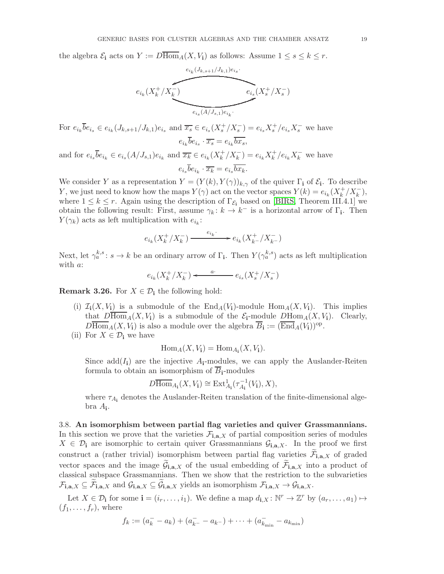the algebra  $\mathcal{E}_i$  acts on  $Y := D \overline{Hom}_A(X, V_i)$  as follows: Assume  $1 \leq s \leq k \leq r$ .

$$
\overbrace{e_{i_k}(X_k^+/X_k^-)}^{e_{i_k}(J_{k,s+1}/J_{k,1})e_{i_s}}\overbrace{e_{i_s}(X_s^+/X_s^-)}^{e_{i_k}(J_{k,s+1}/J_{k,1})e_{i_s}}.
$$

For  $e_{i_k} \overline{b} e_{i_s} \in e_{i_k} (J_{k,s+1}/J_{k,1}) e_{i_s}$  and  $\overline{x_s} \in e_{i_s} (X_s^+/X_s^-) = e_{i_s} X_s^+/e_{i_s} X_s^-$  we have  $e_{i_k}b e_{i_s} \cdot \overline{x_s} = e_{i_k}b x_s,$ 

and for  $e_{i_s} \overline{b} e_{i_k} \in e_{i_s}(A/J_{s,1}) e_{i_k}$  and  $\overline{x_k} \in e_{i_k}(X_k^+)$  $k^+ / X_k^- = e_{i_k} X_k^+$  $k^+/e_{i_k}X_k^-$  we have  $e_{i_s}b e_{i_k} \cdot \overline{x_k} = e_{i_s}b x_k.$ 

We consider Y as a representation  $Y = (Y(k), Y(\gamma))_{k,\gamma}$  of the quiver  $\Gamma_i$  of  $\mathcal{E}_i$ . To describe Y, we just need to know how the maps  $Y(\gamma)$  act on the vector spaces  $Y(k) = e_{i_k}(X_k^+)$  $k^+/X_k^-$ ), where  $1 \leq k \leq r$ . Again using the description of  $\Gamma_{\mathcal{E}_{i}}$  based on [\[BIRS,](#page-53-10) Theorem III.4.1] we obtain the following result: First, assume  $\gamma_k: k \to k^-$  is a horizontal arrow of  $\Gamma_i$ . Then  $Y(\gamma_k)$  acts as left multiplication with  $e_{i_k}$ :

$$
e_{i_k}(X_k^+/X_k^-)\xrightarrow{e_{i_k}\cdot} e_{i_k}(X_{k^-}^+/X_{k^-}^-)
$$

Next, let  $\gamma_a^{k,s}: s \to k$  be an ordinary arrow of  $\Gamma_i$ . Then  $Y(\gamma_a^{k,s})$  acts as left multiplication with *a*:

$$
e_{i_k}(X_k^+/X_k^-) \longleftarrow {\bf a} \cdot \qquad \qquad e_{i_s}(X_s^+/X_s^-)
$$

**Remark 3.26.** For  $X \in \mathcal{D}_i$  the following hold:

- (i)  $\mathcal{I}_i(X, V_i)$  is a submodule of the  $\text{End}_A(V_i)$ -module  $\text{Hom}_A(X, V_i)$ . This implies that  $D\overline{Hom}_A(X, V_i)$  is a submodule of the  $\mathcal{E}_i$ -module  $D\text{Hom}_A(X, V_i)$ . Clearly,  $D\overline{\text{Hom}}_A(X, V_i)$  is also a module over the algebra  $\overline{B}_i := (\overline{\text{End}}_A(V_i))^{op}$ .
- (ii) For  $X \in \mathcal{D}_i$  we have

$$
\operatorname{Hom}_A(X, V_{\mathbf i}) = \operatorname{Hom}_{A_{\mathbf i}}(X, V_{\mathbf i}).
$$

Since  $add(I_i)$  are the injective  $A_i$ -modules, we can apply the Auslander-Reiten formula to obtain an isomorphism of  $\overline{B}_i$ -modules

$$
D\overline{\operatorname{Hom}}_{A_{\mathbf i}}(X, V_{\mathbf i}) \cong \operatorname{Ext}^1_{A_{\mathbf i}}(\tau_{A_{\mathbf i}}^{-1}(V_{\mathbf i}), X),
$$

where  $\tau_{A_i}$  denotes the Auslander-Reiten translation of the finite-dimensional algebra A<sup>i</sup> .

3.8. An isomorphism between partial flag varieties and quiver Grassmannians. In this section we prove that the varieties  $\mathcal{F}_{i,a,X}$  of partial composition series of modules  $X \in \mathcal{D}_i$  are isomorphic to certain quiver Grassmannians  $\mathcal{G}_{i,a,X}$ . In the proof we first construct a (rather trivial) isomorphism between partial flag varieties  $\mathcal{F}_{i,a,X}$  of graded vector spaces and the image  $G_{i,a,X}$  of the usual embedding of  $\mathcal{F}_{i,a,X}$  into a product of classical subspace Grassmannians. Then we show that the restriction to the subvarieties  $\mathcal{F}_{\mathbf{i},\mathbf{a},X} \subseteq \mathcal{F}_{\mathbf{i},\mathbf{a},X}$  and  $\mathcal{G}_{\mathbf{i},\mathbf{a},X} \subseteq \mathcal{G}_{\mathbf{i},\mathbf{a},X}$  yields an isomorphism  $\mathcal{F}_{\mathbf{i},\mathbf{a},X} \to \mathcal{G}_{\mathbf{i},\mathbf{a},X}$ .

Let  $X \in \mathcal{D}_i$  for some  $\mathbf{i} = (i_r, \dots, i_1)$ . We define a map  $d_{\mathbf{i},X} : \mathbb{N}^r \to \mathbb{Z}^r$  by  $(a_r, \dots, a_1) \mapsto$  $(f_1, \ldots, f_r)$ , where

$$
f_k := (a_k^- - a_k) + (a_{k^-}^- - a_{k^-}) + \dots + (a_{k_{\min}}^- - a_{k_{\min}})
$$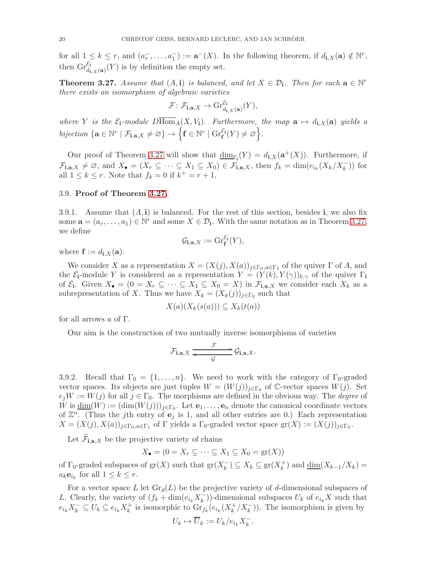for all  $1 \leq k \leq r$ , and  $(a_r^-, \ldots, a_1^-) := \mathbf{a}^-(X)$ . In the following theorem, if  $d_{\mathbf{i},X}(\mathbf{a}) \notin \mathbb{N}^r$ , then  $\mathrm{Gr}_{d_{i,X}(\mathbf{a})}^{\mathcal{E}_i}(Y)$  is by definition the empty set.

<span id="page-19-0"></span>**Theorem 3.27.** Assume that  $(A, i)$  is balanced, and let  $X \in \mathcal{D}_i$ . Then for each  $a \in \mathbb{N}^r$ there exists an isomorphism of algebraic varieties

$$
\mathcal{F}\colon \mathcal{F}_{\mathbf{i},\mathbf{a},X} \to \mathrm{Gr}_{d_{\mathbf{i},X}(\mathbf{a})}^{\mathcal{E}_{\mathbf{i}}}(Y),
$$

where Y is the  $\mathcal{E}_i$ -module  $D\overline{\text{Hom}}_A(X, V_i)$ . Furthermore, the map  $\mathbf{a} \mapsto d_{i,X}(\mathbf{a})$  yields a bijection  $\{ \mathbf{a} \in \mathbb{N}^r \mid \mathcal{F}_{\mathbf{i}, \mathbf{a}, X} \neq \varnothing \} \rightarrow \left\{ \mathbf{f} \in \mathbb{N}^r \mid \mathrm{Gr}_\mathbf{f}^{\mathcal{E}_\mathbf{i}}(Y) \neq \varnothing \right\}.$ 

Our proof of Theorem [3.27](#page-19-0) will show that  $\underline{\dim}_{\mathcal{E}_{\mathbf{i}}}(Y) = d_{\mathbf{i},X}(\mathbf{a}^+(X)).$  Furthermore, if  $\mathcal{F}_{\mathbf{i},\mathbf{a},X} \neq \emptyset$ , and  $X_{\bullet} = (X_r \subseteq \cdots \subseteq X_1 \subseteq X_0) \in \mathcal{F}_{\mathbf{i},\mathbf{a},X}$ , then  $f_k = \dim(e_{i_k}(X_k/X_k^{-}))$  for all  $1 \leq k \leq r$ . Note that  $f_k = 0$  if  $k^+ = r + 1$ .

## 3.9. Proof of Theorem [3.27.](#page-19-0)

3.9.1. Assume that  $(A, i)$  is balanced. For the rest of this section, besides i, we also fix some  $\mathbf{a} = (a_r, \dots, a_1) \in \mathbb{N}^r$  and some  $X \in \mathcal{D}_i$ . With the same notation as in Theorem [3.27,](#page-19-0) we define

$$
\mathcal{G}_{\mathbf{i},\mathbf{a},X} := \mathrm{Gr}_{\mathbf{f}}^{\mathcal{E}_{\mathbf{i}}}(Y),
$$

where  $\mathbf{f} := d_{\mathbf{i},X}(\mathbf{a}).$ 

We consider X as a representation  $X = (X(j), X(a))_{j \in \Gamma_0, a \in \Gamma_1}$  of the quiver  $\Gamma$  of A, and the  $\mathcal{E}_{\mathbf{i}}$ -module Y is considered as a representation  $Y = (Y(k), Y(\gamma))_{k,\gamma}$  of the quiver  $\Gamma_{\mathbf{i}}$ of  $\mathcal{E}_i$ . Given  $X_{\bullet} = (0 = X_r \subseteq \cdots \subseteq X_1 \subseteq X_0 = X)$  in  $\mathcal{F}_{i,a,X}$  we consider each  $X_k$  as a subrepresentation of X. Thus we have  $X_k = (X_k(j))_{j \in \Gamma_0}$  such that

$$
X(a)(X_k(s(a))) \subseteq X_k(t(a))
$$

for all arrows  $a$  of  $\Gamma$ .

Our aim is the construction of two mutually inverse isomorphisms of varieties

$$
\mathcal{F}_{\mathbf{i},\mathbf{a},X} \xrightarrow{\mathcal{F}} \mathcal{G}_{\mathbf{i},\mathbf{a},X}.
$$

3.9.2. Recall that  $\Gamma_0 = \{1, \ldots, n\}$ . We need to work with the category of  $\Gamma_0$ -graded vector spaces. Its objects are just tuples  $W = (W(j))_{j \in \Gamma_0}$  of C-vector spaces  $W(j)$ . Set  $e_jW := W(j)$  for all  $j \in \Gamma_0$ . The morphisms are defined in the obvious way. The *degree* of W is  $\underline{\dim}(W) := (\dim(W(j)))_{j \in \Gamma_0}$ . Let  $\mathbf{e}_1, \ldots, \mathbf{e}_n$  denote the canonical coordinate vectors of  $\mathbb{Z}^n$ . (Thus the jth entry of  $e_j$  is 1, and all other entries are 0.) Each representation  $X = (X(j), X(a))_{j \in \Gamma_0, a \in \Gamma_1}$  of  $\Gamma$  yields a  $\Gamma_0$ -graded vector space  $\text{gr}(X) := (X(j))_{j \in \Gamma_0}$ .

Let  $\mathcal{F}_{\mathbf{i},\mathbf{a},X}$  be the projective variety of chains

 $X_{\bullet} = (0 = X_r \subseteq \cdots \subseteq X_1 \subseteq X_0 = \text{gr}(X))$ 

of  $\Gamma_0$ -graded subspaces of  $gr(X)$  such that  $gr(X_k^-)$  $\binom{m}{k} \subseteq X_k \subseteq \text{gr}(X_k^+)$  $\binom{+}{k}$  and  $\underline{\dim}(X_{k-1}/X_k) =$  $a_k \mathbf{e}_{i_k}$  for all  $1 \leq k \leq r$ .

For a vector space L let  $\text{Gr}_d(L)$  be the projective variety of d-dimensional subspaces of L. Clearly, the variety of  $(f_k + \dim(e_{i_k} X_k^{-}))$  $(\bar{k})$ -dimensional subspaces  $U_k$  of  $e_{i_k}X$  such that  $e_{i_k} X_k^- \subseteq U_k \subseteq e_{i_k} X_k^+$  $\overrightarrow{k}$  is isomorphic to  $\operatorname{Gr}_{f_k}(e_{i_k}(X_k^+))$  $\binom{+}{k}$ / $X_k^-$ ). The isomorphism is given by

$$
U_k \mapsto \overline{U}_k := U_k / e_{i_k} X_k^-.
$$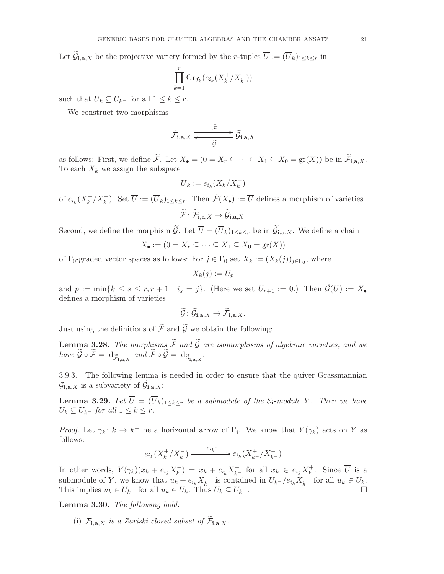Let  $\mathcal{G}_{\mathbf{i},\mathbf{a},X}$  be the projective variety formed by the *r*-tuples  $U := (U_k)_{1 \leq k \leq r}$  in

$$
\prod_{k=1}^{r} \text{Gr}_{f_k}(e_{i_k}(X_k^+/X_k^-))
$$

such that  $U_k \subseteq U_{k-}$  for all  $1 \leq k \leq r$ .

We construct two morphisms

$$
\widetilde{\mathcal{F}}_{\mathbf{i},\mathbf{a},X} \xrightarrow{\widetilde{\mathcal{F}}} \widetilde{\mathcal{G}}_{\mathbf{i},\mathbf{a},X}
$$

as follows: First, we define F. Let  $X_{\bullet} = (0 = X_r \subseteq \cdots \subseteq X_1 \subseteq X_0 = \text{gr}(X))$  be in  $\mathcal{F}_{\mathbf{i},\mathbf{a},X}$ . To each  $X_k$  we assign the subspace

$$
\overline{U}_k := e_{i_k}(X_k/X_k^-)
$$

of  $e_{i_k}(X_k^+)$  $\overline{k}^+ / X_k^-$ ). Set  $\overline{U} := (\overline{U}_k)_{1 \leq k \leq r}$ . Then  $\widetilde{\mathcal{F}}(X_{\bullet}) := \overline{U}$  defines a morphism of varieties  $\mathcal{F} \colon \mathcal{F}_{\mathbf i, \mathbf a, X} \to \mathcal{G}_{\mathbf i, \mathbf a, X}.$ 

Second, we define the morphism  $\mathcal{G}$ . Let  $U = (U_k)_{1 \leq k \leq r}$  be in  $\mathcal{G}_{i,a,X}$ . We define a chain

$$
X_{\bullet} := (0 = X_r \subseteq \dots \subseteq X_1 \subseteq X_0 = \text{gr}(X))
$$

of  $\Gamma_0$ -graded vector spaces as follows: For  $j \in \Gamma_0$  set  $X_k := (X_k(j))_{j \in \Gamma_0}$ , where

$$
X_k(j) := U_p
$$

and  $p := \min\{k \leq s \leq r, r+1 \mid i_s = j\}.$  (Here we set  $U_{r+1} := 0$ .) Then  $\widetilde{\mathcal{G}}(\overline{U}) := X_{\bullet}$ defines a morphism of varieties

$$
\widetilde{\mathcal{G}} \colon \widetilde{\mathcal{G}}_{\mathbf{i},\mathbf{a},X} \to \widetilde{\mathcal{F}}_{\mathbf{i},\mathbf{a},X}.
$$

Just using the definitions of  $\widetilde{\mathcal{F}}$  and  $\widetilde{\mathcal{G}}$  we obtain the following:

**Lemma 3.28.** The morphisms  $\widetilde{\mathcal{F}}$  and  $\widetilde{\mathcal{G}}$  are isomorphisms of algebraic varieties, and we have  $\mathcal{G} \circ \mathcal{F} = \mathrm{id}_{\widetilde{\mathcal{F}}_{\mathbf{i},\mathbf{a},X}}$  and  $\mathcal{F} \circ \mathcal{G} = \mathrm{id}_{\widetilde{\mathcal{G}}_{\mathbf{i},\mathbf{a},X}}$ .

3.9.3. The following lemma is needed in order to ensure that the quiver Grassmannian  $\mathcal{G}_{\mathbf{i},\mathbf{a},X}$  is a subvariety of  $\mathcal{G}_{\mathbf{i},\mathbf{a},X}$ :

<span id="page-20-0"></span>**Lemma 3.29.** Let  $\overline{U} = (\overline{U}_k)_{1 \leq k \leq r}$  be a submodule of the  $\mathcal{E}_i$ -module Y. Then we have  $U_k \subseteq U_{k^-}$  for all  $1 \leq k \leq r$ .

*Proof.* Let  $\gamma_k: k \to k^-$  be a horizontal arrow of  $\Gamma_i$ . We know that  $Y(\gamma_k)$  acts on Y as follows:

$$
e_{i_k}(X_k^+/X_k^-)\xrightarrow{\phantom{a_{i_k}}}{\phantom{a_{i_k}}}=e_{i_k}(X_k^+/X_k^-)
$$

In other words,  $Y(\gamma_k)(x_k + e_{i_k}X_k^-)$  $(k_k^-) = x_k + e_{i_k} X_{k^-}^-$  for all  $x_k \in e_{i_k} X_k^+$  $\overline{k}$ . Since U is a submodule of Y, we know that  $u_k + e_{i_k} X_{k^-}^-$  is contained in  $U_{k^-}/e_{i_k} X_{k^-}^-$  for all  $u_k \in U_k$ . This implies  $u_k \in U_{k-1}$  for all  $u_k \in U_k$ . Thus  $U_k \subseteq U_{k-1}$ .

Lemma 3.30. The following hold:

(i)  $\mathcal{F}_{\mathbf{i},\mathbf{a},X}$  is a Zariski closed subset of  $\mathcal{F}_{\mathbf{i},\mathbf{a},X}$ .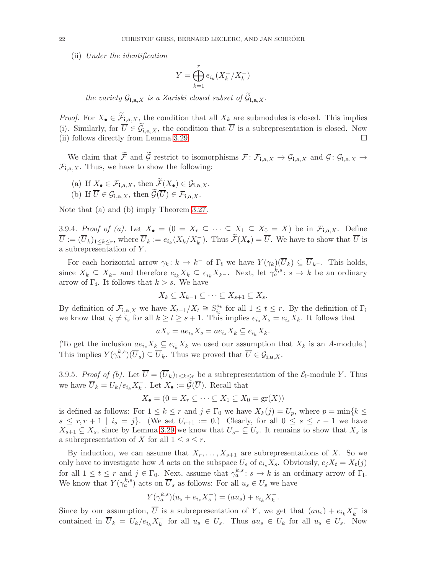(ii) Under the identification

$$
Y = \bigoplus_{k=1}^r e_{i_k}(X_k^+/X_k^-)
$$

the variety  $\mathcal{G}_{\mathbf{i},\mathbf{a},X}$  is a Zariski closed subset of  $\mathcal{G}_{\mathbf{i},\mathbf{a},X}$ .

*Proof.* For  $X_{\bullet} \in \mathcal{F}_{i,a,X}$ , the condition that all  $X_k$  are submodules is closed. This implies (i). Similarly, for  $U \in \mathcal{G}_{i,a,X}$ , the condition that U is a subrepresentation is closed. Now (ii) follows directly from Lemma [3.29.](#page-20-0)  $\Box$ 

We claim that  $\widetilde{\mathcal{F}}$  and  $\widetilde{\mathcal{G}}$  restrict to isomorphisms  $\mathcal{F} \colon \mathcal{F}_{i,a,X} \to \mathcal{G}_{i,a,X}$  and  $\mathcal{G} \colon \mathcal{G}_{i,a,X} \to$  $\mathcal{F}_{\mathbf{i},\mathbf{a},X}$ . Thus, we have to show the following:

(a) If  $X_{\bullet} \in \mathcal{F}_{\mathbf{i} \cdot \mathbf{a}, X}$ , then  $\widetilde{\mathcal{F}}(X_{\bullet}) \in \mathcal{G}_{\mathbf{i} \cdot \mathbf{a}, X}$ . (b) If  $\overline{U} \in \mathcal{G}_{\mathbf{i},\mathbf{a},X}$ , then  $\widetilde{\mathcal{G}}(\overline{U}) \in \mathcal{F}_{\mathbf{i},\mathbf{a},X}$ .

Note that (a) and (b) imply Theorem [3.27.](#page-19-0)

3.9.4. Proof of (a). Let  $X_{\bullet} = \{0 = X_r \subseteq \cdots \subseteq X_1 \subseteq X_0 = X\}$  be in  $\mathcal{F}_{i,a,X}$ . Define  $\overline{U} := (\overline{U}_k)_{1 \leq k \leq r}$ , where  $\overline{U}_k := e_{i_k}(X_k/X_k^-)$ . Thus  $\widetilde{\mathcal{F}}(X_{\bullet}) = \overline{U}$ . We have to show that  $\overline{U}$  is a subrepresentation of Y .

For each horizontal arrow  $\gamma_k: k \to k^-$  of  $\Gamma_i$  we have  $Y(\gamma_k)(\overline{U}_k) \subseteq \overline{U}_{k^-}$ . This holds, since  $X_k \subseteq X_{k-}$  and therefore  $e_{i_k} X_k \subseteq e_{i_k} X_{k-}$ . Next, let  $\gamma_a^{k,s}: s \to k$  be an ordinary arrow of  $\Gamma_i$ . It follows that  $k > s$ . We have

$$
X_k \subseteq X_{k-1} \subseteq \cdots \subseteq X_{s+1} \subseteq X_s.
$$

By definition of  $\mathcal{F}_{\mathbf{i},\mathbf{a},X}$  we have  $X_{t-1}/X_t \cong S_{i_t}^{a_t}$  $\frac{a_t}{i_t}$  for all  $1 \leq t \leq r$ . By the definition of  $\Gamma_i$ we know that  $i_t \neq i_s$  for all  $k \geq t \geq s+1$ . This implies  $e_{i_s}X_s = e_{i_s}X_k$ . It follows that

$$
aX_s = ae_{i_s}X_s = ae_{i_s}X_k \subseteq e_{i_k}X_k.
$$

(To get the inclusion  $ae_{i_s}X_k \subseteq e_{i_k}X_k$  we used our assumption that  $X_k$  is an A-module.) This implies  $Y(\gamma_a^{k,s})(\overline{U}_s) \subseteq \overline{U}_k$ . Thus we proved that  $\overline{U} \in \mathcal{G}_{\mathbf{i},\mathbf{a},X}$ .

3.9.5. Proof of (b). Let  $\overline{U} = (\overline{U}_k)_{1 \leq k \leq r}$  be a subrepresentation of the  $\mathcal{E}_i$ -module Y. Thus we have  $\overline{U}_k = U_k / e_{i_k} X_k^{-}$  $\overline{k}$ . Let  $X_{\bullet} := \mathcal{G}(U)$ . Recall that

$$
X_{\bullet} = (0 = X_r \subseteq \cdots \subseteq X_1 \subseteq X_0 = \text{gr}(X))
$$

is defined as follows: For  $1 \leq k \leq r$  and  $j \in \Gamma_0$  we have  $X_k(j) = U_p$ , where  $p = \min\{k \leq$  $s \leq r, r+1 \mid i_s = j$ . (We set  $U_{r+1} := 0$ .) Clearly, for all  $0 \leq s \leq r-1$  we have  $X_{s+1} \subseteq X_s$ , since by Lemma [3.29](#page-20-0) we know that  $U_{s+} \subseteq U_s$ . It remains to show that  $X_s$  is a subrepresentation of X for all  $1 \leq s \leq r$ .

By induction, we can assume that  $X_r, \ldots, X_{s+1}$  are subrepresentations of X. So we only have to investigate how A acts on the subspace  $U_s$  of  $e_i$ ,  $X_s$ . Obviously,  $e_jX_t = X_t(j)$ for all  $1 \leq t \leq r$  and  $j \in \Gamma_0$ . Next, assume that  $\gamma_a^{k,s} : s \to k$  is an ordinary arrow of  $\Gamma_i$ . We know that  $Y(\gamma_a^{k,s})$  acts on  $\overline{U}_s$  as follows: For all  $u_s \in U_s$  we have

$$
Y(\gamma_a^{k,s})(u_s + e_{i_s}X_s^-) = (au_s) + e_{i_k}X_k^-.
$$

Since by our assumption,  $\overline{U}$  is a subrepresentation of Y, we get that  $(au_s) + e_{i_k}X_k^ \overline{k}$  is contained in  $\overline{U}_k = U_k/e_{i_k}X_k^ \overline{k}_{k}$  for all  $u_s \in U_s$ . Thus  $au_s \in U_k$  for all  $u_s \in U_s$ . Now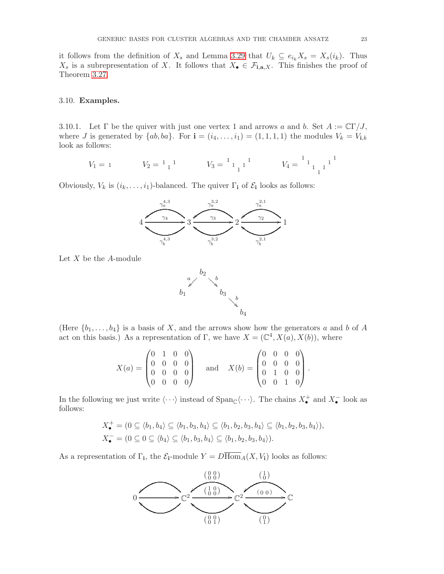it follows from the definition of  $X_s$  and Lemma [3.29](#page-20-0) that  $U_k \subseteq e_{i_k}X_s = X_s(i_k)$ . Thus  $X_s$  is a subrepresentation of X. It follows that  $X_{\bullet} \in \mathcal{F}_{\mathbf{i},\mathbf{a},X}$ . This finishes the proof of Theorem [3.27.](#page-19-0)

## <span id="page-22-0"></span>3.10. Examples.

3.10.1. Let  $\Gamma$  be the quiver with just one vertex 1 and arrows a and b. Set  $A := \mathbb{C}\Gamma/J$ , where J is generated by  $\{ab, ba\}$ . For  $\mathbf{i} = (i_4, \ldots, i_1) = (1, 1, 1, 1)$  the modules  $V_k = V_{\mathbf{i},k}$ look as follows:

$$
V_1 = 1 \qquad V_2 = \begin{bmatrix} 1 \\ 1 \end{bmatrix} \qquad V_3 = \begin{bmatrix} 1 \\ 1 \end{bmatrix} \qquad V_4 = \begin{bmatrix} 1 \\ 1 \end{bmatrix} \begin{bmatrix} 1 \\ 1 \end{bmatrix}
$$

Obviously,  $V_k$  is  $(i_k, \ldots, i_1)$ -balanced. The quiver  $\Gamma_i$  of  $\mathcal{E}_i$  looks as follows:



Let  $X$  be the  $A$ -module



(Here  $\{b_1, \ldots, b_4\}$  is a basis of X, and the arrows show how the generators a and b of A act on this basis.) As a representation of  $\Gamma$ , we have  $X = (\mathbb{C}^4, X(a), X(b))$ , where

$$
X(a) = \begin{pmatrix} 0 & 1 & 0 & 0 \\ 0 & 0 & 0 & 0 \\ 0 & 0 & 0 & 0 \\ 0 & 0 & 0 & 0 \end{pmatrix} \quad \text{and} \quad X(b) = \begin{pmatrix} 0 & 0 & 0 & 0 \\ 0 & 0 & 0 & 0 \\ 0 & 1 & 0 & 0 \\ 0 & 0 & 1 & 0 \end{pmatrix}.
$$

In the following we just write  $\langle \cdots \rangle$  instead of  $\text{Span}_{\mathbb{C}}\langle \cdots \rangle$ . The chains  $X_{\bullet}^{+}$  and  $X_{\bullet}^{-}$  look as follows:

$$
X_{\bullet}^{+} = (0 \subseteq \langle b_1, b_4 \rangle \subseteq \langle b_1, b_3, b_4 \rangle \subseteq \langle b_1, b_2, b_3, b_4 \rangle \subseteq \langle b_1, b_2, b_3, b_4 \rangle),
$$
  

$$
X_{\bullet}^{-} = (0 \subseteq 0 \subseteq \langle b_4 \rangle \subseteq \langle b_1, b_3, b_4 \rangle \subseteq \langle b_1, b_2, b_3, b_4 \rangle).
$$

As a representation of  $\Gamma_i$ , the  $\mathcal{E}_i$ -module  $Y = D \text{Hom}_A(X, V_i)$  looks as follows:

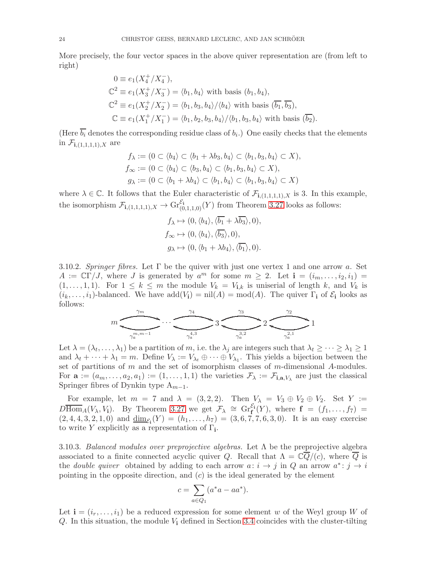More precisely, the four vector spaces in the above quiver representation are (from left to right)

$$
0 \equiv e_1(X_4^+/X_4^-),
$$
  
\n
$$
\mathbb{C}^2 \equiv e_1(X_3^+/X_3^-) = \langle b_1, b_4 \rangle \text{ with basis } (b_1, b_4),
$$
  
\n
$$
\mathbb{C}^2 \equiv e_1(X_2^+/X_2^-) = \langle b_1, b_3, b_4 \rangle / \langle b_4 \rangle \text{ with basis } (\overline{b_1}, \overline{b_3}),
$$
  
\n
$$
\mathbb{C} \equiv e_1(X_1^+/X_1^-) = \langle b_1, b_2, b_3, b_4 \rangle / \langle b_1, b_3, b_4 \rangle \text{ with basis } (\overline{b_2}).
$$

(Here  $b_i$  denotes the corresponding residue class of  $b_i$ .) One easily checks that the elements in  $\mathcal{F}_{i,(1,1,1,1),X}$  are

$$
f_{\lambda} := (0 \subset \langle b_4 \rangle \subset \langle b_1 + \lambda b_3, b_4 \rangle \subset \langle b_1, b_3, b_4 \rangle \subset X),
$$
  
\n
$$
f_{\infty} := (0 \subset \langle b_4 \rangle \subset \langle b_3, b_4 \rangle \subset \langle b_1, b_3, b_4 \rangle \subset X),
$$
  
\n
$$
g_{\lambda} := (0 \subset \langle b_1 + \lambda b_4 \rangle \subset \langle b_1, b_4 \rangle \subset \langle b_1, b_3, b_4 \rangle \subset X)
$$

where  $\lambda \in \mathbb{C}$ . It follows that the Euler characteristic of  $\mathcal{F}_{i,(1,1,1,1),X}$  is 3. In this example, the isomorphism  $\mathcal{F}_{i,(1,1,1,1),X} \to Gr_{(0,1,1,0)}^{\mathcal{E}_i}(Y)$  from Theorem [3.27](#page-19-0) looks as follows:

$$
f_{\lambda} \mapsto (0, \langle b_4 \rangle, \langle \overline{b_1} + \lambda \overline{b_3} \rangle, 0),
$$
  
\n
$$
f_{\infty} \mapsto (0, \langle b_4 \rangle, \langle \overline{b_3} \rangle, 0),
$$
  
\n
$$
g_{\lambda} \mapsto (0, \langle b_1 + \lambda b_4 \rangle, \langle \overline{b_1} \rangle, 0).
$$

3.10.2. Springer fibres. Let  $\Gamma$  be the quiver with just one vertex 1 and one arrow a. Set  $A := \mathbb{C}\Gamma/J$ , where J is generated by  $a^m$  for some  $m \geq 2$ . Let  $\mathbf{i} = (i_m, \ldots, i_2, i_1) =$  $(1, \ldots, 1, 1)$ . For  $1 \leq k \leq m$  the module  $V_k = V_{i,k}$  is uniserial of length k, and  $V_k$  is  $(i_k, \ldots, i_1)$ -balanced. We have  $add(V_i) = nil(A) = mod(A)$ . The quiver  $\Gamma_i$  of  $\mathcal{E}_i$  looks as follows:



Let  $\lambda = (\lambda_t, \dots, \lambda_1)$  be a partition of m, i.e. the  $\lambda_j$  are integers such that  $\lambda_t \geq \dots \geq \lambda_1 \geq 1$ and  $\lambda_t + \cdots + \lambda_1 = m$ . Define  $V_\lambda := V_{\lambda_t} \oplus \cdots \oplus V_{\lambda_1}$ . This yields a bijection between the set of partitions of  $m$  and the set of isomorphism classes of  $m$ -dimensional  $A$ -modules. For  $\mathbf{a} := (a_m, \ldots, a_2, a_1) := (1, \ldots, 1, 1)$  the varieties  $\mathcal{F}_{\lambda} := \mathcal{F}_{\mathbf{i}, \mathbf{a}, V_{\lambda}}$  are just the classical Springer fibres of Dynkin type  $A_{m-1}$ .

For example, let  $m = 7$  and  $\lambda = (3, 2, 2)$ . Then  $V_{\lambda} = V_3 \oplus V_2 \oplus V_2$ . Set  $Y :=$  $D\overline{\text{Hom}}_A(V_\lambda, V_i)$ . By Theorem [3.27](#page-19-0) we get  $\mathcal{F}_\lambda \cong Gr_{\mathbf{f}}^{\mathcal{E}_i}(Y)$ , where  $\mathbf{f} = (f_1, \ldots, f_7) =$  $(2, 4, 4, 3, 2, 1, 0)$  and  $\underline{\dim}_{\mathcal{E}_1}(Y) = (h_1, \ldots, h_7) = (3, 6, 7, 7, 6, 3, 0)$ . It is an easy exercise to write Y explicitly as a representation of  $\Gamma_i$ .

3.10.3. Balanced modules over preprojective algebras. Let  $\Lambda$  be the preprojective algebra associated to a finite connected acyclic quiver Q. Recall that  $\Lambda = \mathbb{C}\overline{Q}/(c)$ , where  $\overline{Q}$  is the *double quiver* obtained by adding to each arrow  $a: i \rightarrow j$  in Q an arrow  $a^*: j \rightarrow i$ pointing in the opposite direction, and  $(c)$  is the ideal generated by the element

$$
c = \sum_{a \in Q_1} (a^*a - aa^*).
$$

Let  $\mathbf{i} = (i_r, \ldots, i_1)$  be a reduced expression for some element w of the Weyl group W of  $Q$ . In this situation, the module  $V_i$  defined in Section [3.4](#page-13-3) coincides with the cluster-tilting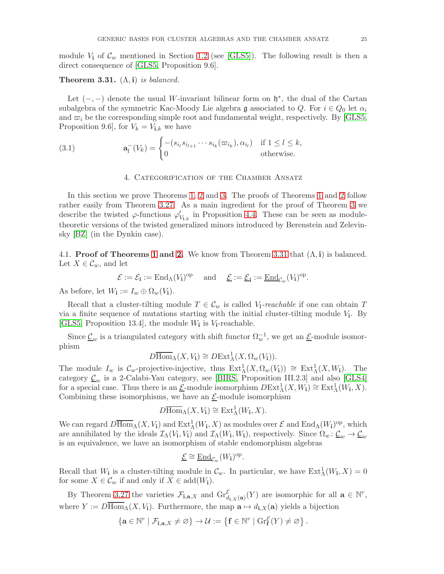module  $V_i$  of  $\mathcal{C}_w$  mentioned in Section [1.2](#page-1-0) (see [\[GLS5\]](#page-54-0)). The following result is then a direct consequence of [\[GLS5,](#page-54-0) Proposition 9.6].

## <span id="page-24-1"></span>**Theorem 3.31.**  $(\Lambda, i)$  is balanced.

Let  $(-,-)$  denote the usual W-invariant bilinear form on  $\mathfrak{h}^*$ , the dual of the Cartan subalgebra of the symmetric Kac-Moody Lie algebra g associated to Q. For  $i \in Q_0$  let  $\alpha_i$ and  $\varpi_i$  be the corresponding simple root and fundamental weight, respectively. By [\[GLS5,](#page-54-0) Proposition 9.6], for  $V_k = V_{i,k}$  we have

<span id="page-24-0"></span>(3.1) 
$$
\mathbf{a}_l^-(V_k) = \begin{cases} -(s_{i_l} s_{i_{l+1}} \cdots s_{i_k} (\varpi_{i_k}), \alpha_{i_l}) & \text{if } 1 \le l \le k, \\ 0 & \text{otherwise.} \end{cases}
$$

#### 4. Categorification of the Chamber Ansatz

In this section we prove Theorems [1,](#page-2-0) [2](#page-3-0) and [3.](#page-3-2) The proofs of Theorems [1](#page-2-0) and [2](#page-3-0) follow rather easily from Theorem [3.27.](#page-19-0) As a main ingredient for the proof of Theorem [3](#page-3-2) we describe the twisted  $\varphi$ -functions  $\varphi'_{V_{i,k}}$  in Proposition [4.4.](#page-26-0) These can be seen as moduletheoretic versions of the twisted generalized minors introduced by Berenstein and Zelevinsky [\[BZ\]](#page-53-8) (in the Dynkin case).

4.1. **Proof of Theorems [1](#page-2-0) and [2.](#page-3-0)** We know from Theorem [3.31](#page-24-1) that  $(\Lambda, i)$  is balanced. Let  $X \in \mathcal{C}_w$ , and let

$$
\mathcal{E} := \mathcal{E}_{\mathbf{i}} := \mathrm{End}_{\Lambda}(V_{\mathbf{i}})^{\mathrm{op}} \quad \text{ and } \quad \underline{\mathcal{E}} := \underline{\mathcal{E}}_{\mathbf{i}} := \underline{\mathrm{End}}_{\mathcal{C}_{w}}(V_{\mathbf{i}})^{\mathrm{op}}.
$$

As before, let  $W_{\mathbf{i}} := I_w \oplus \Omega_w(V_{\mathbf{i}})$ .

Recall that a cluster-tilting module  $T \in \mathcal{C}_w$  is called  $V_i$ -reachable if one can obtain T via a finite sequence of mutations starting with the initial cluster-tilting module  $V_i$ . By [\[GLS5,](#page-54-0) Proposition 13.4], the module  $W_i$  is  $V_i$ -reachable.

Since  $\underline{\mathcal{C}}_w$  is a triangulated category with shift functor  $\Omega_w^{-1}$ , we get an  $\underline{\mathcal{E}}$ -module isomorphism

$$
D\overline{\operatorname{Hom}}_{\Lambda}(X, V_{\mathbf{i}}) \cong D\operatorname{Ext}^{1}_{\Lambda}(X, \Omega_{w}(V_{\mathbf{i}})).
$$

The module  $I_w$  is  $\mathcal{C}_w$ -projective-injective, thus  $\text{Ext}^1_\Lambda(X, \Omega_w(V_i)) \cong \text{Ext}^1_\Lambda(X, W_i)$ . The category  $\underline{\mathcal{C}}_w$  is a 2-Calabi-Yau category, see [\[BIRS,](#page-53-10) Proposition III.2.3] and also [\[GLS4\]](#page-54-6) for a special case. Thus there is an  $\underline{\mathcal{E}}$ -module isomorphism  $DExt^1_\Lambda(X,W_i) \cong Ext^1_\Lambda(W_i,X)$ . Combining these isomorphisms, we have an  $E$ -module isomorphism

$$
D\overline{\operatorname{Hom}}_{\Lambda}(X, V_{\mathbf i}) \cong \operatorname{Ext}^1_{\Lambda}(W_{\mathbf i}, X).
$$

We can regard  $D\overline{\text{Hom}}_{\Lambda}(X, V_i)$  and  $\text{Ext}^1_{\Lambda}(W_i, X)$  as modules over  $\mathcal E$  and  $\text{End}_{\Lambda}(W_i)^{\text{op}}$ , which are annihilated by the ideals  $\mathcal{I}_{\Lambda}(V_{i}, V_{i})$  and  $\mathcal{I}_{\Lambda}(W_{i}, W_{i})$ , respectively. Since  $\Omega_{w}: \underline{\mathcal{C}}_{w} \to \underline{\mathcal{C}}_{w}$ is an equivalence, we have an isomorphism of stable endomorphism algebras

$$
\underline{\mathcal{E}} \cong \underline{\operatorname{End}}_{\mathcal{C}_w}(W_{\mathbf i})^{\mathrm{op}}.
$$

Recall that  $W_i$  is a cluster-tilting module in  $\mathcal{C}_w$ . In particular, we have  $\text{Ext}^1_\Lambda(W_i, X) = 0$ for some  $X \in \mathcal{C}_w$  if and only if  $X \in \text{add}(W_i)$ .

By Theorem [3.27](#page-19-0) the varieties  $\mathcal{F}_{\mathbf{i},\mathbf{a},X}$  and  $\operatorname{Gr}_{d_{\mathbf{i},X}(\mathbf{a})}^{\mathcal{E}}(Y)$  are isomorphic for all  $\mathbf{a} \in \mathbb{N}^r$ , where  $Y := D\overline{\text{Hom}}_{\Lambda}(X, V_i)$ . Furthermore, the map  $\mathbf{a} \mapsto d_{i,X}(\mathbf{a})$  yields a bijection

$$
\left\{ \mathbf{a} \in \mathbb{N}^r \mid \mathcal{F}_{\mathbf{i},\mathbf{a},X} \neq \varnothing \right\} \to \mathcal{U} := \left\{ \mathbf{f} \in \mathbb{N}^r \mid \mathrm{Gr}^\mathcal{E}_\mathbf{f}(Y) \neq \varnothing \right\}.
$$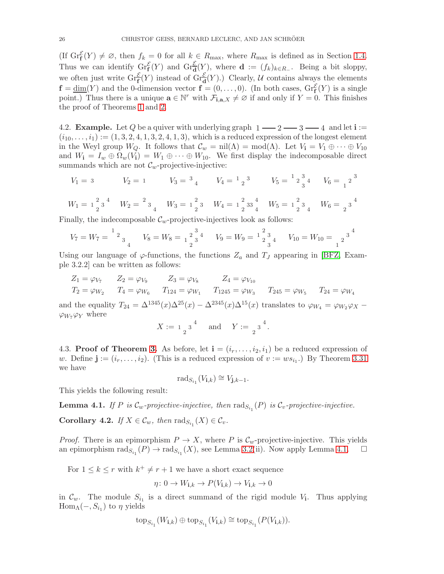(If  $\operatorname{Gr}^{\mathcal{E}}_f(Y) \neq \emptyset$ , then  $f_k = 0$  for all  $k \in R_{\text{max}}$ , where  $R_{\text{max}}$  is defined as in Section [1.4.](#page-3-3) Thus we can identify  $\operatorname{Gr}_{\mathbf{f}}^{\mathcal{E}}(Y)$  and  $\operatorname{Gr}_{\mathbf{d}}^{\mathcal{E}}(Y)$ , where  $\mathbf{d} := (f_k)_{k \in R}$ . Being a bit sloppy, we often just write  $\mathrm{Gr}_{\mathbf{f}}^{\mathcal{E}}(Y)$  instead of  $\mathrm{Gr}_{\mathbf{d}}^{\mathcal{E}}(Y)$ .) Clearly, U contains always the elements  $\mathbf{f} = \underline{\dim}(Y)$  and the 0-dimension vector  $\mathbf{f} = (0, \dots, 0)$ . (In both cases,  $\mathrm{Gr}_{\mathbf{f}}^{\mathcal{E}}(Y)$  is a single point.) Thus there is a unique  $\mathbf{a} \in \mathbb{N}^r$  with  $\mathcal{F}_{\mathbf{i},\mathbf{a},X} \neq \emptyset$  if and only if  $Y = 0$ . This finishes the proof of Theorems [1](#page-2-0) and [2.](#page-3-0)

4.2. **Example.** Let Q be a quiver with underlying graph  $1 - 2 - 3 - 4$  and let  $i :=$  $(i_{10}, \ldots, i_1) := (1, 3, 2, 4, 1, 3, 2, 4, 1, 3)$ , which is a reduced expression of the longest element in the Weyl group  $W_Q$ . It follows that  $\mathcal{C}_w = \text{nil}(\Lambda) = \text{mod}(\Lambda)$ . Let  $V_i = V_1 \oplus \cdots \oplus V_{10}$ and  $W_{\mathbf{i}} = I_w \oplus \Omega_w(V_{\mathbf{i}}) = W_1 \oplus \cdots \oplus W_{10}$ . We first display the indecomposable direct summands which are not  $\mathcal{C}_w$ -projective-injective:

$$
V_1 = 3 \t V_2 = 1 \t V_3 = \frac{3}{4} \t V_4 = \frac{1}{2} \cdot \frac{3}{4} \t V_5 = \frac{1}{2} \cdot \frac{3}{4} \t V_6 = \frac{3}{1} \cdot \frac{3}{4}
$$

$$
W_1 = \begin{bmatrix} 2 & 3 & 4 \\ 2 & 2 & 5 \end{bmatrix} \quad W_2 = \begin{bmatrix} 2 & 3 & 4 \\ 3 & 4 & 5 \end{bmatrix} \quad W_3 = \begin{bmatrix} 2 & 3 & 3 \\ 2 & 3 & 4 \end{bmatrix} \quad W_4 = \begin{bmatrix} 2 & 3 & 4 \\ 2 & 3 & 4 \end{bmatrix} \quad W_5 = \begin{bmatrix} 2 & 3 & 3 \\ 2 & 3 & 4 \end{bmatrix} \quad W_6 = \begin{bmatrix} 2 & 3 & 4 \\ 2 & 2 & 3 \end{bmatrix}
$$

Finally, the indecomposable  $\mathcal{C}_w$ -projective-injectives look as follows:

$$
V_7 = W_7 = \frac{1}{2} \frac{1}{3} \frac{1}{4} \qquad V_8 = W_8 = \frac{1}{2} \frac{1}{3} \frac{1}{3} \qquad V_9 = W_9 = \frac{1}{2} \frac{1}{3} \frac{1}{3} \qquad V_{10} = W_{10} = \frac{1}{2} \frac{1}{3} \frac{1}{3}
$$

Using our language of  $\varphi$ -functions, the functions  $Z_a$  and  $T_J$  appearing in [\[BFZ,](#page-53-7) Example 3.2.2] can be written as follows:

$$
Z_1 = \varphi_{V_7} \qquad Z_2 = \varphi_{V_9} \qquad Z_3 = \varphi_{V_8} \qquad Z_4 = \varphi_{V_{10}}
$$
  
\n
$$
T_2 = \varphi_{W_2} \qquad T_4 = \varphi_{W_6} \qquad T_{124} = \varphi_{W_1} \qquad T_{1245} = \varphi_{W_3} \qquad T_{245} = \varphi_{W_5} \qquad T_{24} = \varphi_{W_4}
$$

and the equality  $T_{24} = \Delta^{1345}(x)\Delta^{25}(x) - \Delta^{2345}(x)\Delta^{15}(x)$  translates to  $\varphi_{W_4} = \varphi_{W_2}\varphi_X \varphi_{W_7}\varphi_{Y}$  where

$$
X := \begin{bmatrix} 1 & 3 \end{bmatrix}^4 \quad \text{and} \quad Y := \begin{bmatrix} 3 & 4 \end{bmatrix}.
$$

4.3. Proof of Theorem [3.](#page-3-2) As before, let  $\mathbf{i} = (i_r, \ldots, i_2, i_1)$  be a reduced expression of w. Define  $\mathbf{j} := (i_r, \ldots, i_2)$ . (This is a reduced expression of  $v := ws_{i_1}$ .) By Theorem [3.31](#page-24-1) we have

$$
\mathrm{rad}_{S_{i_1}}(V_{\mathbf{i},k}) \cong V_{\mathbf{j},k-1}.
$$

This yields the following result:

<span id="page-25-0"></span>**Lemma 4.1.** If P is  $\mathcal{C}_w$ -projective-injective, then  $\text{rad}_{S_{i_1}}(P)$  is  $\mathcal{C}_v$ -projective-injective.

<span id="page-25-1"></span>**Corollary 4.2.** If  $X \in \mathcal{C}_w$ , then  $\text{rad}_{S_{i_1}}(X) \in \mathcal{C}_v$ .

*Proof.* There is an epimorphism  $P \to X$ , where P is  $\mathcal{C}_w$ -projective-injective. This yields an epimorphism  $\text{rad}_{S_{i_1}}(P) \to \text{rad}_{S_{i_1}}(X)$ , see Lemma [3.2\(](#page-11-0)ii). Now apply Lemma [4.1.](#page-25-0)  $\Box$ 

For  $1 \leq k \leq r$  with  $k^+ \neq r+1$  we have a short exact sequence

$$
\eta \colon 0 \to W_{\mathbf{i},k} \to P(V_{\mathbf{i},k}) \to V_{\mathbf{i},k} \to 0
$$

in  $\mathcal{C}_w$ . The module  $S_{i_1}$  is a direct summand of the rigid module  $V_i$ . Thus applying  $\text{Hom}_{\Lambda}(-, S_{i_1})$  to  $\eta$  yields

$$
\operatorname{top}_{S_{i_1}}(W_{\mathbf i,k})\oplus\operatorname{top}_{S_{i_1}}(V_{\mathbf i,k})\cong\operatorname{top}_{S_{i_1}}(P(V_{\mathbf i,k})).
$$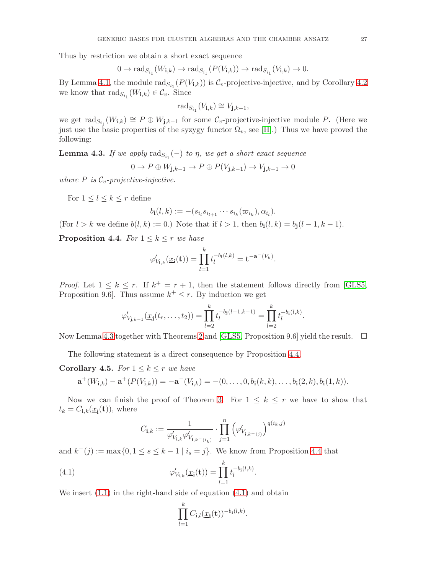Thus by restriction we obtain a short exact sequence

$$
0 \to \mathrm{rad}_{S_{i_1}}(W_{\mathbf{i},k}) \to \mathrm{rad}_{S_{i_1}}(P(V_{\mathbf{i},k})) \to \mathrm{rad}_{S_{i_1}}(V_{\mathbf{i},k}) \to 0.
$$

By Lemma [4.1,](#page-25-0) the module  $\text{rad}_{S_{i_1}}(P(V_{i,k}))$  is  $\mathcal{C}_v$ -projective-injective, and by Corollary [4.2](#page-25-1) we know that  $\text{rad}_{S_{i_1}}(W_{i,k}) \in \mathcal{C}_v$ . Since

$$
\mathrm{rad}_{S_{i_1}}(V_{\mathbf{i},k}) \cong V_{\mathbf{j},k-1},
$$

we get  $\text{rad}_{S_{i_1}}(W_{i,k}) \cong P \oplus W_{j,k-1}$  for some  $\mathcal{C}_v$ -projective-injective module P. (Here we just use the basic properties of the syzygy functor  $\Omega_v$ , see [\[H\]](#page-54-7).) Thus we have proved the following:

<span id="page-26-1"></span>**Lemma 4.3.** If we apply  $\text{rad}_{S_{i_1}}(-)$  to  $\eta$ , we get a short exact sequence

$$
0 \to P \oplus W_{\mathbf{j},k-1} \to P \oplus P(V_{\mathbf{j},k-1}) \to V_{\mathbf{j},k-1} \to 0
$$

where  $P$  is  $\mathcal{C}_v$ -projective-injective.

For  $1 \leq l \leq k \leq r$  define

$$
b_{\mathbf{i}}(l,k):=-(s_{i_l}s_{i_{l+1}}\cdots s_{i_k}(\varpi_{i_k}),\alpha_{i_l}).
$$

(For  $l > k$  we define  $b(l, k) := 0$ .) Note that if  $l > 1$ , then  $b_i(l, k) = b_i(l - 1, k - 1)$ .

<span id="page-26-0"></span>**Proposition 4.4.** For  $1 \leq k \leq r$  we have

$$
\varphi'_{V_{\mathbf{i},k}}(\underline{x}_{\mathbf{i}}(\mathbf{t})) = \prod_{l=1}^k t_l^{-b_{\mathbf{i}}(l,k)} = \mathbf{t}^{-\mathbf{a}^-(V_k)}.
$$

*Proof.* Let  $1 \leq k \leq r$ . If  $k^+ = r + 1$ , then the statement follows directly from [\[GLS5,](#page-54-0) Proposition 9.6. Thus assume  $k^+ \leq r$ . By induction we get

$$
\varphi'_{V_{\mathbf{j},k-1}}(\underline{x}_{\mathbf{j}}(t_r,\ldots,t_2))=\prod_{l=2}^k t_l^{-b_{\mathbf{j}}(l-1,k-1)}=\prod_{l=2}^k t_l^{-b_{\mathbf{i}}(l,k)}.
$$

Now Lemma [4.3](#page-26-1) together with Theorems [2](#page-3-0) and [\[GLS5,](#page-54-0) Proposition 9.6] yield the result.  $\square$ 

The following statement is a direct consequence by Proposition [4.4.](#page-26-0)

<span id="page-26-3"></span>**Corollary 4.5.** For  $1 \leq k \leq r$  we have

$$
\mathbf{a}^+(W_{\mathbf{i},k}) - \mathbf{a}^+(P(V_{\mathbf{i},k})) = -\mathbf{a}^-(V_{\mathbf{i},k}) = -(0,\ldots,0,b_{\mathbf{i}}(k,k),\ldots,b_{\mathbf{i}}(2,k),b_{\mathbf{i}}(1,k)).
$$

Now we can finish the proof of Theorem [3.](#page-3-2) For  $1 \leq k \leq r$  we have to show that  $t_k = C_{\mathbf{i},k}(\underline{x}_{\mathbf{i}}(\mathbf{t})),$  where

$$
C_{\mathbf{i},k}:=\frac{1}{\varphi'_{V_{\mathbf{i},k}}\varphi'_{V_{\mathbf{i},k^-(i_k)}}}\cdot\prod\limits_{j=1}^n\left(\varphi'_{V_{\mathbf{i},k^-(j)}}\right)^{q(i_k,j)}
$$

and  $k^-(j) := \max\{0, 1 \le s \le k-1 \mid i_s = j\}.$  We know from Proposition [4.4](#page-26-0) that

(4.1) 
$$
\varphi'_{V_{i,k}}(\underline{x_i}(\mathbf{t})) = \prod_{l=1}^k t_l^{-b_i(l,k)}.
$$

We insert  $(1.1)$  in the right-hand side of equation  $(4.1)$  and obtain

<span id="page-26-2"></span>
$$
\prod_{l=1}^k C_{\mathbf{i},l}(\underline{x}_{\mathbf{i}}(\mathbf{t}))^{-b_{\mathbf{i}}(l,k)}.
$$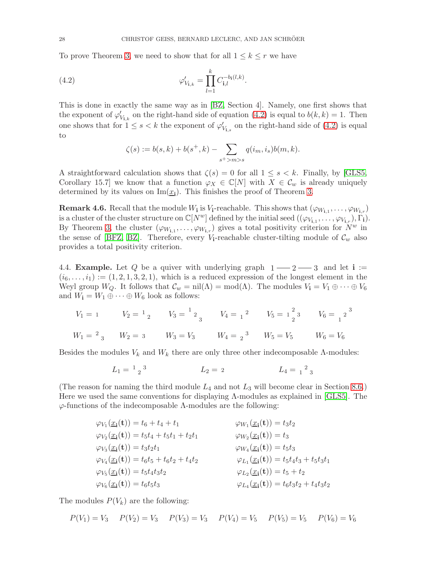To prove Theorem [3,](#page-3-2) we need to show that for all  $1 \leq k \leq r$  we have

(4.2) 
$$
\varphi'_{V_{i,k}} = \prod_{l=1}^{k} C_{i,l}^{-b_i(l,k)}.
$$

This is done in exactly the same way as in [\[BZ,](#page-53-8) Section 4]. Namely, one first shows that the exponent of  $\varphi'_{V_{i,k}}$  on the right-hand side of equation [\(4.2\)](#page-27-0) is equal to  $b(k, k) = 1$ . Then one shows that for  $1 \leq s < k$  the exponent of  $\varphi'_{V_{i,s}}$  on the right-hand side of [\(4.2\)](#page-27-0) is equal to

<span id="page-27-0"></span>
$$
\zeta(s) := b(s,k) + b(s^+,k) - \sum_{s^+ > m > s} q(i_m, i_s) b(m, k).
$$

A straightforward calculation shows that  $\zeta(s) = 0$  for all  $1 \leq s \leq k$ . Finally, by [\[GLS5,](#page-54-0) Corollary 15.7] we know that a function  $\varphi_X \in \mathbb{C}[N]$  with  $X \in \mathcal{C}_w$  is already uniquely determined by its values on  $\text{Im}(\underline{x_i})$ . This finishes the proof of Theorem [3.](#page-3-2)

**Remark 4.6.** Recall that the module  $W_i$  is  $V_i$ -reachable. This shows that  $(\varphi_{W_{i,1}}, \ldots, \varphi_{W_{i,r}})$ is a cluster of the cluster structure on  $\mathbb{C}[N^w]$  defined by the initial seed  $((\varphi_{V_{\mathbf{i},1}}, \ldots, \varphi_{V_{\mathbf{i},r}}), \Gamma_{\mathbf{i}}).$ By Theorem [3,](#page-3-2) the cluster  $(\varphi_{W_{i,1}}, \ldots, \varphi_{W_{i,r}})$  gives a total positivity criterion for  $N^w$  in the sense of [\[BFZ,](#page-53-7) [BZ\]](#page-53-8). Therefore, every  $V_i$ -reachable cluster-tilting module of  $\mathcal{C}_w$  also provides a total positivity criterion.

<span id="page-27-1"></span>4.4. **Example.** Let Q be a quiver with underlying graph  $1 - 2 - 3$  and let  $i :=$  $(i_6,\ldots,i_1) := (1,2,1,3,2,1)$ , which is a reduced expression of the longest element in the Weyl group  $W_Q$ . It follows that  $\mathcal{C}_w = \text{nil}(\Lambda) = \text{mod}(\Lambda)$ . The modules  $V_i = V_1 \oplus \cdots \oplus V_6$ and  $W_{\mathbf{i}} = W_1 \oplus \cdots \oplus W_6$  look as follows:

$$
V_1 = 1
$$
  $V_2 = {}^{1}{}_{2}$   $V_3 = {}^{1}{}_{2}{}_{3}$   $V_4 = {}_{1}{}^{2}$   $V_5 = {}_{2}{}^{2}{}_{3}$   $V_6 = {}_{1}{}^{2}{}_{3}$   
\n $W_1 = {}^{2}{}_{3}$   $W_2 = 3$   $W_3 = V_3$   $W_4 = {}_{2}{}^{3}$   $W_5 = V_5$   $W_6 = V_6$ 

Besides the modules  $V_k$  and  $W_k$  there are only three other indecomposable  $\Lambda$ -modules:

$$
L_1 = \begin{bmatrix} 1 & 3 \\ 2 & 3 \end{bmatrix} \qquad L_2 = 2 \qquad L_4 = \begin{bmatrix} 2 & 3 \\ 1 & 3 \end{bmatrix}
$$

(The reason for naming the third module  $L_4$  and not  $L_3$  will become clear in Section [8.6.](#page-49-0)) Here we used the same conventions for displaying Λ-modules as explained in [\[GLS5\]](#page-54-0). The  $\varphi$ -functions of the indecomposable  $\Lambda$ -modules are the following:

| $\varphi_{V_1}(\underline{x_i}(\mathbf{t})) = t_6 + t_4 + t_1$             | $\varphi_{W_1}(\underline{x_i}(\mathbf{t})) = t_3 t_2$                              |
|----------------------------------------------------------------------------|-------------------------------------------------------------------------------------|
| $\varphi_{V_2}(\underline{x}_i(\mathbf{t})) = t_5t_4 + t_5t_1 + t_2t_1$    | $\varphi_{W_2}(\underline{x_i}(\mathbf{t})) = t_3$                                  |
| $\varphi_{V_3}(\underline{x_i}(\mathbf{t})) = t_3 t_2 t_1$                 | $\varphi_{W_4}(\underline{x}_i(\mathbf{t})) = t_5t_3$                               |
| $\varphi_{V_4}(\underline{x_i}(\mathbf{t})) = t_6 t_5 + t_6 t_2 + t_4 t_2$ | $\varphi_{L_1}(\underline{x_1}(\mathbf{t})) = t_5 t_4 t_3 + t_5 t_3 t_1$            |
| $\varphi_{V_5}(\underline{x_i}(\mathbf{t})) = t_5 t_4 t_3 t_2$             | $\varphi_{L_2}(\underline{x_i}(\mathbf{t})) = t_5 + t_2$                            |
| $\varphi_{V_6}(\underline{x_i}(\mathbf{t})) = t_6 t_5 t_3$                 | $\varphi_{L_4}(\underline{x}_{\mathbf{i}}(\mathbf{t})) = t_6 t_3 t_2 + t_4 t_3 t_2$ |

The modules  $P(V_k)$  are the following:

$$
P(V_1) = V_3
$$
  $P(V_2) = V_3$   $P(V_3) = V_3$   $P(V_4) = V_5$   $P(V_5) = V_5$   $P(V_6) = V_6$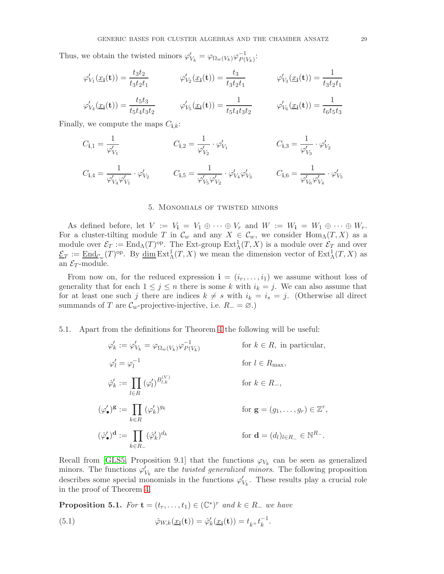Thus, we obtain the twisted minors  $\varphi'_{V_k} = \varphi_{\Omega_w(V_k)} \varphi_{P(V_k)}^{-1}$  $\frac{-1}{P(V_k)}$ :

$$
\varphi'_{V_1}(\underline{x}_{\mathbf{i}}(\mathbf{t})) = \frac{t_3 t_2}{t_3 t_2 t_1} \qquad \varphi'_{V_2}(\underline{x}_{\mathbf{i}}(\mathbf{t})) = \frac{t_3}{t_3 t_2 t_1} \qquad \varphi'_{V_3}(\underline{x}_{\mathbf{i}}(\mathbf{t})) = \frac{1}{t_3 t_2 t_1}
$$
\n
$$
\varphi'_{V_4}(\underline{x}_{\mathbf{i}}(\mathbf{t})) = \frac{t_5 t_3}{t_5 t_4 t_3 t_2} \qquad \varphi'_{V_5}(\underline{x}_{\mathbf{i}}(\mathbf{t})) = \frac{1}{t_5 t_4 t_3 t_2} \qquad \varphi'_{V_6}(\underline{x}_{\mathbf{i}}(\mathbf{t})) = \frac{1}{t_6 t_5 t_3}
$$

Finally, we compute the maps  $C_{i,k}$ :

$$
C_{\mathbf{i},1} = \frac{1}{\varphi'_{V_1}} \qquad \qquad C_{\mathbf{i},2} = \frac{1}{\varphi'_{V_2}} \cdot \varphi'_{V_1} \qquad \qquad C_{\mathbf{i},3} = \frac{1}{\varphi'_{V_3}} \cdot \varphi'_{V_2}
$$
  

$$
C_{\mathbf{i},4} = \frac{1}{\varphi'_{V_4} \varphi'_{V_1}} \cdot \varphi'_{V_2} \qquad \qquad C_{\mathbf{i},5} = \frac{1}{\varphi'_{V_5} \varphi'_{V_2}} \cdot \varphi'_{V_4} \varphi'_{V_3} \qquad \qquad C_{\mathbf{i},6} = \frac{1}{\varphi'_{V_6} \varphi'_{V_4}} \cdot \varphi'_{V_5}
$$

## 5. Monomials of twisted minors

<span id="page-28-0"></span>As defined before, let  $V := V_1 = V_1 \oplus \cdots \oplus V_r$  and  $W := W_1 = W_1 \oplus \cdots \oplus W_r$ . For a cluster-tilting module T in  $\mathcal{C}_w$  and any  $X \in \mathcal{C}_w$ , we consider Hom<sub>A</sub> $(T, X)$  as a module over  $\mathcal{E}_T := \text{End}_{\Lambda}(T)^{\text{op}}$ . The Ext-group  $\text{Ext}^1_{\Lambda}(T, X)$  is a module over  $\mathcal{E}_T$  and over  $\underline{\mathcal{E}}_T := \underline{\mathrm{End}}_{\mathcal{C}_w}(T)^\mathrm{op}$ . By  $\underline{\dim} \mathrm{Ext}^1_\Lambda(T, X)$  we mean the dimension vector of  $\mathrm{Ext}^1_\Lambda(T, X)$  as an  $\mathcal{E}_T$ -module.

From now on, for the reduced expression  $\mathbf{i} = (i_r, \dots, i_1)$  we assume without loss of generality that for each  $1 \leq j \leq n$  there is some k with  $i_k = j$ . We can also assume that for at least one such j there are indices  $k \neq s$  with  $i_k = i_s = j$ . (Otherwise all direct summands of T are  $\mathcal{C}_w$ -projective-injective, i.e.  $R_-=\emptyset$ .)

## 5.1. Apart from the definitions for Theorem [4](#page-4-1) the following will be useful:

$$
\varphi'_{k} := \varphi'_{V_{k}} = \varphi_{\Omega_{w}(V_{k})} \varphi_{P(V_{k})}^{-1} \qquad \text{for } k \in R, \text{ in particular,}
$$
  
\n
$$
\varphi'_{l} = \varphi_{l}^{-1} \qquad \text{for } l \in R_{\text{max}},
$$
  
\n
$$
\varphi'_{k} := \prod_{l \in R} (\varphi'_{l})^{B_{l,k}^{(V)}} \qquad \text{for } k \in R_{-},
$$
  
\n
$$
(\varphi'_{\bullet})^{\mathbf{g}} := \prod_{k \in R} (\varphi'_{k})^{g_{k}} \qquad \text{for } \mathbf{g} = (g_{1}, \dots, g_{r}) \in \mathbb{Z}^{r},
$$
  
\n
$$
(\varphi'_{\bullet})^{\mathbf{d}} := \prod_{k \in R_{-}} (\varphi'_{k})^{d_{k}} \qquad \text{for } \mathbf{d} = (d_{l})_{l \in R_{-}} \in \mathbb{N}^{R_{-}}.
$$

Recall from [\[GLS5,](#page-54-0) Proposition 9.1] that the functions  $\varphi_{V_k}$  can be seen as generalized minors. The functions  $\varphi'_{V_k}$  are the *twisted generalized minors*. The following proposition describes some special monomials in the functions  $\varphi'_{V_k}$ . These results play a crucial role in the proof of Theorem [4.](#page-4-1)

<span id="page-28-1"></span>**Proposition 5.1.** For  $\mathbf{t} = (t_r, \ldots, t_1) \in (\mathbb{C}^*)^r$  and  $k \in R_-$  we have

<span id="page-28-2"></span>(5.1) 
$$
\hat{\varphi}_{W,k}(\underline{x}_{\mathbf{i}}(\mathbf{t})) = \hat{\varphi}'_{k}(\underline{x}_{\mathbf{i}}(\mathbf{t})) = t_{k+} t_{k}^{-1}.
$$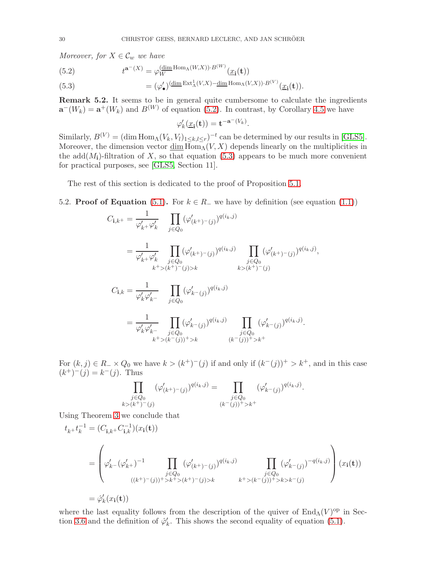Moreover, for  $X \in \mathcal{C}_w$  we have

<span id="page-29-0"></span>(5.2) 
$$
t^{\mathbf{a}^-(X)} = \varphi_W^{\left(\dim \text{Hom}_\Lambda(W,X)\right) \cdot B^{(W)}}(\underline{x}_{\mathbf{i}}(\mathbf{t}))
$$

<span id="page-29-1"></span>(5.3)  $= (\varphi'_\bullet)^{\langle \dim \operatorname{Ext}^1_\Lambda(V,X) - \dim \operatorname{Hom}_\Lambda(V,X) \rangle \cdot B(V)} (\underline{x_i}(\mathbf{t})).$ 

Remark 5.2. It seems to be in general quite cumbersome to calculate the ingredients  $\mathbf{a}^-(W_k) = \mathbf{a}^+(W_k)$  and  $B^{(W)}$  of equation [\(5.2\)](#page-29-0). In contrast, by Corollary [4.5](#page-26-3) we have

$$
\varphi'_k(\underline{x}_{\mathbf{i}}(\mathbf{t})) = \mathbf{t}^{-\mathbf{a}^{-}(V_k)}.
$$

Similarly,  $B^{(V)} = (\dim \text{Hom}_{\Lambda}(V_k, V_l)_{1 \leq k,l \leq r})^{-t}$  can be determined by our results in [\[GLS5\]](#page-54-0). Moreover, the dimension vector dim  $\overline{\text{Hom}}_{\Lambda}(V, X)$  depends linearly on the multiplicities in the  $add(M_i)$ -filtration of X, so that equation [\(5.3\)](#page-29-1) appears to be much more convenient for practical purposes, see [\[GLS5,](#page-54-0) Section 11].

The rest of this section is dedicated to the proof of Proposition [5.1.](#page-28-1)

5.2. **Proof of Equation** [\(5.1\)](#page-28-2). For  $k \in R_-\,$  we have by definition (see equation [\(1.1\)](#page-3-4))

$$
C_{\mathbf{i},k^{+}} = \frac{1}{\varphi'_{k^{+}}\varphi'_{k}} \prod_{j \in Q_{0}} (\varphi'_{(k^{+})^{+}(j)})^{q(i_{k},j)}
$$
  
\n
$$
= \frac{1}{\varphi'_{k^{+}}\varphi'_{k}} \prod_{j \in Q_{0}} (\varphi'_{(k^{+})^{+}(j)})^{q(i_{k},j)} \prod_{j \in Q_{0}} (\varphi'_{(k^{+})^{+}(j)})^{q(i_{k},j)},
$$
  
\n
$$
C_{\mathbf{i},k} = \frac{1}{\varphi'_{k}\varphi'_{k^{-}}} \prod_{j \in Q_{0}} (\varphi'_{k^{+}(j)})^{q(i_{k},j)}
$$
  
\n
$$
= \frac{1}{\varphi'_{k}\varphi'_{k^{-}}} \prod_{j \in Q_{0}} (\varphi'_{k^{+}(j)})^{q(i_{k},j)} \prod_{j \in Q_{0}} (\varphi'_{k^{+}(j)})^{q(i_{k},j)}.
$$
  
\n
$$
= \frac{1}{\varphi'_{k}\varphi'_{k^{-}}} \prod_{j \in Q_{0}} (\varphi'_{k^{+}(j)})^{q(i_{k},j)} \prod_{j \in Q_{0}} (\varphi'_{k^{+}(j)})^{q(i_{k},j)}.
$$

For  $(k, j) \in R_-\times Q_0$  we have  $k > (k^+)^-(j)$  if and only if  $(k^-(j))^+ > k^+$ , and in this case  $(k^{+})^{-}(j) = k^{-}(j)$ . Thus

$$
\prod_{\substack{j\in Q_0\\k>(k^+)-(j)}}(\varphi'_{(k^+)-(j)})^{q(i_k,j)} = \prod_{\substack{j\in Q_0\\(k^-(j))^+>k^+}}(\varphi'_{k^-(j)})^{q(i_k,j)}.
$$

Using Theorem [3](#page-3-2) we conclude that

$$
t_{k+}t_{k}^{-1} = (C_{\mathbf{i},k+}C_{\mathbf{i},k}^{-1})(x_{\mathbf{i}}(\mathbf{t}))
$$
  
\n
$$
= \left(\varphi'_{k-}(\varphi'_{k+})^{-1} \prod_{\substack{j \in Q_{0} \\ ((k^{+})^{-}(j))^{+} > k^{+} > (k^{+})^{-}(j) > k}} (\varphi'_{(k^{+})^{-}(j)})^{q(i_{k},j)} \prod_{\substack{j \in Q_{0} \\ k^{+} > (k^{-}(j))^{+} > k > k^{-}(j)}} (\varphi'_{k-(j)})^{-q(i_{k},j)}\right)(x_{\mathbf{i}}(\mathbf{t}))
$$
  
\n
$$
= \varphi'_{k}(x_{\mathbf{i}}(\mathbf{t}))
$$

where the last equality follows from the description of the quiver of  $\text{End}_{\Lambda}(V)^{\text{op}}$  in Sec-tion [3.6](#page-17-0) and the definition of  $\hat{\varphi}'_k$ . This shows the second equality of equation [\(5.1\)](#page-28-2).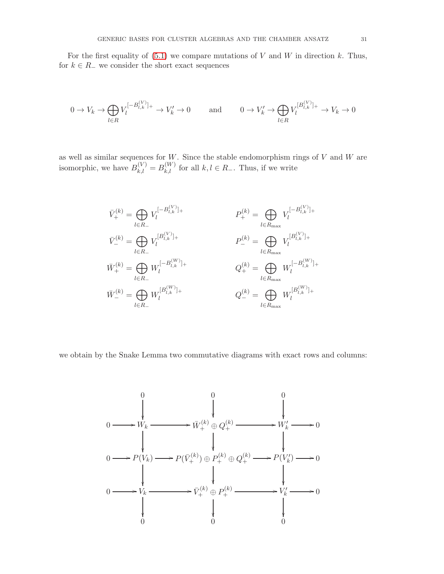For the first equality of  $(5.1)$  we compare mutations of V and W in direction k. Thus, for  $k \in R_-\,$  we consider the short exact sequences

$$
0 \to V_k \to \bigoplus_{l \in R} V_l^{[-B_{l,k}^{(V)}]_+} \to V_k' \to 0 \quad \text{and} \quad 0 \to V_k' \to \bigoplus_{l \in R} V_l^{[B_{l,k}^{(V)}]_+} \to V_k \to 0
$$

as well as similar sequences for  $W$ . Since the stable endomorphism rings of  $V$  and  $W$  are isomorphic, we have  $B_{k,l}^{(V)} = B_{k,l}^{(W)}$  for all  $k, l \in R_{-}$ . Thus, if we write



we obtain by the Snake Lemma two commutative diagrams with exact rows and columns:

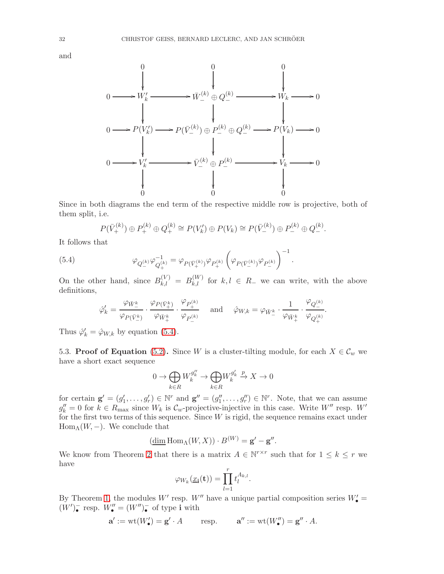



Since in both diagrams the end term of the respective middle row is projective, both of them split, i.e.

<span id="page-31-0"></span>
$$
P(\bar{V}_+^{(k)}) \oplus P_+^{(k)} \oplus Q_+^{(k)} \cong P(V_k') \oplus P(V_k) \cong P(\bar{V}_-^{(k)}) \oplus P_-^{(k)} \oplus Q_-^{(k)}.
$$

It follows that

(5.4) 
$$
\varphi_{Q_{-}^{(k)}} \varphi_{Q_{+}^{(k)}}^{-1} = \varphi_{P(\bar{V}_{+}^{(k)})} \varphi_{P_{+}^{(k)}} \left( \varphi_{P(\bar{V}_{-}^{(k)})} \varphi_{P_{-}^{(k)}} \right)^{-1}.
$$

On the other hand, since  $B_{k,l}^{(V)} = B_{k,l}^{(W)}$  for  $k, l \in R_{-}$  we can write, with the above definitions,

$$
\hat{\varphi}'_k = \frac{\varphi_{\bar{W}^k_-}}{\varphi_{P(\bar{V}^k_-)}} \cdot \frac{\varphi_{P(\bar{V}^k_+)}}{\varphi_{\bar{W}^k_+}} \cdot \frac{\varphi_{P^{(k)}_+}}{\varphi_{P^{(k)}_-}} \quad \text{ and } \quad \hat{\varphi}_{W,k} = \varphi_{\bar{W}^k_-} \cdot \frac{1}{\varphi_{\bar{W}^k_+}} \cdot \frac{\varphi_{Q^{(k)}_-}}{\varphi_{Q^{(k)}_+}}.
$$

Thus  $\hat{\varphi}'_k = \hat{\varphi}_{W,k}$  by equation [\(5.4\)](#page-31-0).

5.3. **Proof of Equation** [\(5.2\)](#page-29-0). Since W is a cluster-tilting module, for each  $X \in \mathcal{C}_w$  we have a short exact sequence

$$
0 \to \bigoplus_{k \in R} W_k^{g_k^{\prime\prime}} \to \bigoplus_{k \in R} W_k^{g_k^{\prime}} \xrightarrow{p} X \to 0
$$

for certain  $\mathbf{g}' = (g'_1, \ldots, g'_r) \in \mathbb{N}^r$  and  $\mathbf{g}'' = (g''_1, \ldots, g''_r) \in \mathbb{N}^r$ . Note, that we can assume  $g''_k = 0$  for  $k \in R_{\text{max}}$  since  $W_k$  is  $\mathcal{C}_w$ -projective-injective in this case. Write  $W''$  resp.  $W'$ for the first two terms of this sequence. Since  $W$  is rigid, the sequence remains exact under  $\text{Hom}_{\Lambda}(W, -)$ . We conclude that

$$
(\underline{\dim} \operatorname{Hom}_\Lambda(W, X)) \cdot B^{(W)} = \mathbf{g}' - \mathbf{g}''.
$$

We know from Theorem [2](#page-3-0) that there is a matrix  $A \in \mathbb{N}^{r \times r}$  such that for  $1 \leq k \leq r$  we have

$$
\varphi_{W_k}(\underline{x}_{\mathbf{i}}(\mathbf{t})) = \prod_{l=1}^r t_l^{A_{k,l}}.
$$

By Theorem [1,](#page-2-0) the modules W' resp. W'' have a unique partial composition series  $W'_{\bullet}$  =  $(W')_{\bullet}^-$  resp.  $W''_{\bullet} = (W'')_{\bullet}^-$  of type i with

$$
\mathbf{a}' := \mathrm{wt}(W'_{\bullet}) = \mathbf{g}' \cdot A \qquad \text{resp.} \qquad \mathbf{a}'' := \mathrm{wt}(W''_{\bullet}) = \mathbf{g}'' \cdot A.
$$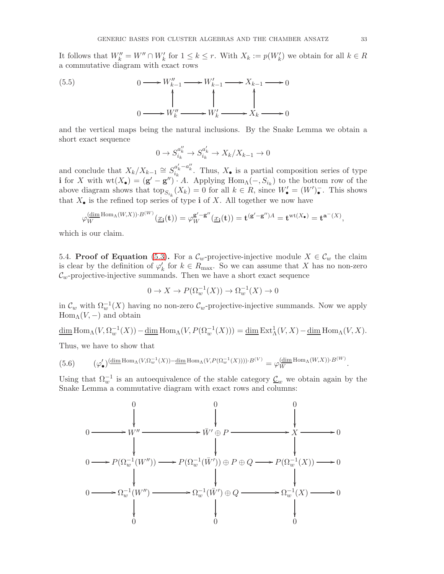It follows that  $W''_k = W'' \cap W'_k$  for  $1 \leq k \leq r$ . With  $X_k := p(W'_k)$  we obtain for all  $k \in R$ a commutative diagram with exact rows



and the vertical maps being the natural inclusions. By the Snake Lemma we obtain a short exact sequence

$$
0 \to S_{i_k}^{a''_k} \to S_{i_k}^{a'_k} \to X_k/X_{k-1} \to 0
$$

and conclude that  $X_k/X_{k-1} \cong S_{i_k}^{a'_k-a''_k}$ . Thus,  $X_{\bullet}$  is a partial composition series of type i for X with  $wt(X_{\bullet}) = (g' - g'') \cdot A$ . Applying  $Hom_{\Lambda}(-, S_{i_k})$  to the bottom row of the above diagram shows that  $\text{top}_{S_{i_k}}(X_k) = 0$  for all  $k \in R$ , since  $W'_{\bullet} = (W')_{\bullet}^-$ . This shows that  $X_{\bullet}$  is the refined top series of type **i** of X. All together we now have

$$
\varphi_W^{\underline{\text{dim Hom}}_{\Lambda}(W,X))\cdot B^{(W)}}(\underline{x}_{\mathbf{i}}(\mathbf{t})) = \varphi_W^{\mathbf{g}'-\mathbf{g}''}(\underline{x}_{\mathbf{i}}(\mathbf{t})) = \mathbf{t}^{(\mathbf{g}'-\mathbf{g}'')A} = \mathbf{t}^{\text{wt}(X_{\bullet})} = \mathbf{t}^{\mathbf{a}^-(X)},
$$

which is our claim.

5.4. Proof of Equation [\(5.3\)](#page-29-1). For a  $\mathcal{C}_w$ -projective-injective module  $X \in \mathcal{C}_w$  the claim is clear by the definition of  $\varphi'_k$  for  $k \in R_{\text{max}}$ . So we can assume that X has no non-zero  $\mathcal{C}_w$ -projective-injective summands. Then we have a short exact sequence

$$
0 \to X \to P(\Omega_w^{-1}(X)) \to \Omega_w^{-1}(X) \to 0
$$

in  $\mathcal{C}_w$  with  $\Omega_w^{-1}(X)$  having no non-zero  $\mathcal{C}_w$ -projective-injective summands. Now we apply  $\text{Hom}_{\Lambda}(V, -)$  and obtain

$$
\underline{\dim} \operatorname{Hom}_{\Lambda}(V, \Omega_{w}^{-1}(X)) - \underline{\dim} \operatorname{Hom}_{\Lambda}(V, P(\Omega_{w}^{-1}(X))) = \underline{\dim} \operatorname{Ext}_{\Lambda}^{1}(V, X) - \underline{\dim} \operatorname{Hom}_{\Lambda}(V, X).
$$

Thus, we have to show that

<span id="page-32-0"></span>(5.6) 
$$
(\varphi_{\bullet}')^{\underline{\text{dim Hom}}_{\Lambda}(V,\Omega_{w}^{-1}(X))-\underline{\text{dim Hom}}_{\Lambda}(V,P(\Omega_{w}^{-1}(X))))\cdot B^{(V)}} = \varphi_{W}^{\underline{\text{dim Hom}}_{\Lambda}(W,X))\cdot B^{(W)}}.
$$

Using that  $\Omega_w^{-1}$  is an autoequivalence of the stable category  $\underline{\mathcal{C}}_w$  we obtain again by the Snake Lemma a commutative diagram with exact rows and columns:

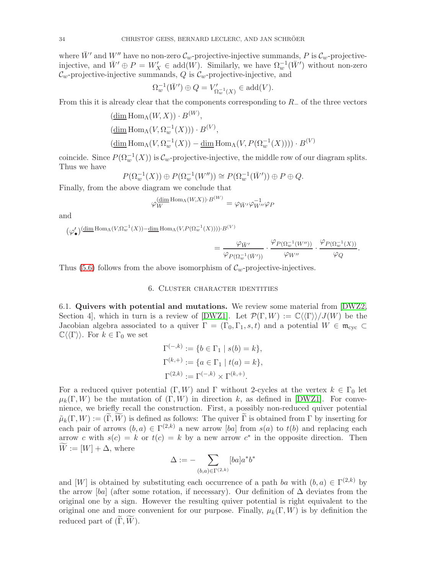where  $\bar{W}'$  and  $W''$  have no non-zero  $\mathcal{C}_w$ -projective-injective summands, P is  $\mathcal{C}_w$ -projectiveinjective, and  $\bar{W}' \oplus P = W'_X \in \text{add}(W)$ . Similarly, we have  $\Omega_w^{-1}(\bar{W}')$  without non-zero  $\mathcal{C}_w$ -projective-injective summands, Q is  $\mathcal{C}_w$ -projective-injective, and

$$
\Omega_w^{-1}(\bar{W}') \oplus Q = V'_{\Omega_w^{-1}(X)} \in \mathrm{add}(V).
$$

From this it is already clear that the components corresponding to  $R_-\,$  of the three vectors

$$
\begin{aligned} &\left(\underline{\dim} \operatorname{Hom}_{\Lambda}(W, X)\right) \cdot B^{(W)},\\ &\left(\underline{\dim} \operatorname{Hom}_{\Lambda}(V, \Omega_{w}^{-1}(X))\right) \cdot B^{(V)},\\ &\left(\underline{\dim} \operatorname{Hom}_{\Lambda}(V, \Omega_{w}^{-1}(X)) - \underline{\dim} \operatorname{Hom}_{\Lambda}(V, P(\Omega_{w}^{-1}(X)))) \cdot B^{(V)} \end{aligned}
$$

coincide. Since  $P(\Omega_w^{-1}(X))$  is  $\mathcal{C}_w$ -projective-injective, the middle row of our diagram splits. Thus we have

$$
P(\Omega_w^{-1}(X)) \oplus P(\Omega_w^{-1}(W'')) \cong P(\Omega_w^{-1}(\bar{W}')) \oplus P \oplus Q.
$$

Finally, from the above diagram we conclude that

$$
\varphi_W^{\left(\underline{\dim}\operatorname{Hom}_\Lambda(W,X)\right)\cdot B^{(W)}} = \varphi_{\bar{W}'}\varphi_{W''}^{-1}\varphi_P
$$

and

$$
(\varphi_\bullet')(\underline{\dim} \operatorname{Hom}_\Lambda(V,\Omega_w^{-1}(X))-\underline{\dim} \operatorname{Hom}_\Lambda(V,P(\Omega_w^{-1}(X))))\cdot B^{(V)}
$$

$$
= \frac{\varphi_{\bar{W}'} }{\varphi_{P(\Omega_w^{-1}(\bar{W}'))}} \cdot \frac{\varphi_{P(\Omega_w^{-1}(W''))}}{\varphi_{W''}} \cdot \frac{\varphi_{P(\Omega_w^{-1}(X))}}{\varphi_Q}.
$$

<span id="page-33-0"></span>Thus [\(5.6\)](#page-32-0) follows from the above isomorphism of  $\mathcal{C}_w$ -projective-injectives.

# 6. Cluster character identities

6.1. Quivers with potential and mutations. We review some material from [\[DWZ2,](#page-53-6) Section 4, which in turn is a review of [\[DWZ1\]](#page-53-15). Let  $\mathcal{P}(\Gamma, W) := \mathbb{C}\langle\langle\Gamma\rangle\rangle\langle J(W) \rangle$  be the Jacobian algebra associated to a quiver  $\Gamma = (\Gamma_0, \Gamma_1, s, t)$  and a potential  $W \in \mathfrak{m}_{\text{cyc}} \subset$  $\mathbb{C}\langle\langle\Gamma\rangle\rangle$ . For  $k \in \Gamma_0$  we set

$$
\Gamma^{(-,k)} := \{b \in \Gamma_1 \mid s(b) = k\},\
$$
  

$$
\Gamma^{(k,+)} := \{a \in \Gamma_1 \mid t(a) = k\},\
$$
  

$$
\Gamma^{(2,k)} := \Gamma^{(-,k)} \times \Gamma^{(k,+)}.
$$

For a reduced quiver potential  $(\Gamma, W)$  and  $\Gamma$  without 2-cycles at the vertex  $k \in \Gamma_0$  let  $\mu_k(\Gamma, W)$  be the mutation of  $(\Gamma, W)$  in direction k, as defined in [\[DWZ1\]](#page-53-15). For convenience, we briefly recall the construction. First, a possibly non-reduced quiver potential  $\tilde{\mu}_k(\Gamma, W) := (\tilde{\Gamma}, \tilde{W})$  is defined as follows: The quiver  $\tilde{\Gamma}$  is obtained from  $\Gamma$  by inserting for each pair of arrows  $(b, a) \in \Gamma^{(2,k)}$  a new arrow [ba] from  $s(a)$  to  $t(b)$  and replacing each arrow c with  $s(c) = k$  or  $t(c) = k$  by a new arrow  $c^*$  in the opposite direction. Then  $\widetilde{W} := [W] + \Delta$ , where

$$
\Delta:=-\sum_{(b,a)\in \Gamma^{(2,k)}}[ba]a^*b^*
$$

and [W] is obtained by substituting each occurrence of a path ba with  $(b, a) \in \Gamma^{(2,k)}$  by the arrow [ba] (after some rotation, if necessary). Our definition of  $\Delta$  deviates from the original one by a sign. However the resulting quiver potential is right equivalent to the original one and more convenient for our purpose. Finally,  $\mu_k(\Gamma, W)$  is by definition the reduced part of  $(\Gamma, W)$ .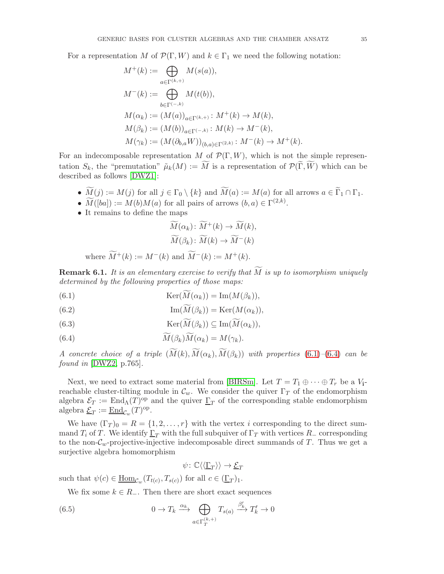For a representation M of  $\mathcal{P}(\Gamma, W)$  and  $k \in \Gamma_1$  we need the following notation:

$$
M^{+}(k) := \bigoplus_{a \in \Gamma^{(k,+)}} M(s(a)),
$$
  
\n
$$
M^{-}(k) := \bigoplus_{b \in \Gamma^{(-,k)}} M(t(b)),
$$
  
\n
$$
M(\alpha_{k}) := (M(a))_{a \in \Gamma^{(k,+)}} : M^{+}(k) \to M(k),
$$
  
\n
$$
M(\beta_{k}) := (M(b))_{a \in \Gamma^{(-,k)}} : M(k) \to M^{-}(k),
$$
  
\n
$$
M(\gamma_{k}) := (M(\partial_{b,a}W))_{(b,a) \in \Gamma^{(2,k)}} : M^{-}(k) \to M^{+}(k).
$$

For an indecomposable representation M of  $\mathcal{P}(\Gamma, W)$ , which is not the simple representation  $S_k$ , the "premutation"  $\tilde{\mu}_k(M) := \widetilde{M}$  is a representation of  $\mathcal{P}(\widetilde{\Gamma}, \widetilde{W})$  which can be described as follows [\[DWZ1\]](#page-53-15):

- $\widetilde{M}(j) := M(j)$  for all  $j \in \Gamma_0 \setminus \{k\}$  and  $\widetilde{M}(a) := M(a)$  for all arrows  $a \in \widetilde{\Gamma}_1 \cap \Gamma_1$ .
- $M([ba]) := M(b)M(a)$  for all pairs of arrows  $(b, a) \in \Gamma^{(2,k)}$ .
- It remains to define the maps

$$
\widetilde{M}(\alpha_k) : \widetilde{M}^+(k) \to \widetilde{M}(k), \n\widetilde{M}(\beta_k) : \widetilde{M}(k) \to \widetilde{M}^-(k)
$$

where  $\widetilde{M}^+(k) := M^-(k)$  and  $\widetilde{M}^-(k) := M^+(k)$ .

<span id="page-34-2"></span>**Remark 6.1.** It is an elementary exercise to verify that  $M$  is up to isomorphism uniquely determined by the following properties of those maps:

- <span id="page-34-0"></span>(6.1)  $\text{Ker}(\widetilde{M}(\alpha_k)) = \text{Im}(M(\beta_k)),$
- <span id="page-34-3"></span>(6.2)  $\text{Im}(M(\beta_k)) = \text{Ker}(M(\alpha_k)),$

<span id="page-34-5"></span>(6.3) 
$$
\operatorname{Ker}(\overline{M}(\beta_k)) \subseteq \operatorname{Im}(\overline{M}(\alpha_k)),
$$

<span id="page-34-1"></span>(6.4) 
$$
M(\beta_k)M(\alpha_k) = M(\gamma_k).
$$

A concrete choice of a triple  $(\widetilde{M}(k), \widetilde{M}(\alpha_k), \widetilde{M}(\beta_k))$  with properties [\(6.1\)](#page-34-0)–[\(6.4\)](#page-34-1) can be  $found in [DWZ2, p.765].$  $found in [DWZ2, p.765].$  $found in [DWZ2, p.765].$ 

Next, we need to extract some material from [\[BIRSm\]](#page-53-12). Let  $T = T_1 \oplus \cdots \oplus T_r$  be a  $V_i$ reachable cluster-tilting module in  $\mathcal{C}_w$ . We consider the quiver  $\Gamma_T$  of the endomorphism algebra  $\mathcal{E}_T := \text{End}_{\Lambda}(T)^{op}$  and the quiver  $\underline{\Gamma}_T$  of the corresponding stable endomorphism algebra  $\underline{\mathcal{E}}_T := \underline{\mathrm{End}}_{\mathcal{C}_w}(T)^{\mathrm{op}}.$ 

We have  $(\Gamma_T)_0 = R = \{1, 2, ..., r\}$  with the vertex i corresponding to the direct summand  $T_i$  of T. We identify  $\underline{\Gamma}_T$  with the full subquiver of  $\Gamma_T$  with vertices  $R_-\text{ corresponding}$ to the non- $\mathcal{C}_w$ -projective-injective indecomposable direct summands of T. Thus we get a surjective algebra homomorphism

<span id="page-34-4"></span>
$$
\psi \colon \mathbb{C}\langle \langle \underline{\Gamma}_T \rangle \rangle \to \underline{\mathcal{E}}_T
$$

such that  $\psi(c) \in \underline{\text{Hom}}_{\mathcal{C}_w}(T_{t(c)}, T_{s(c)})$  for all  $c \in (\underline{\Gamma}_T)_1$ .

We fix some  $k \in R_-\$ . Then there are short exact sequences

(6.5) 
$$
0 \to T_k \xrightarrow{\alpha_k} \bigoplus_{a \in \Gamma_T^{(k,+)}} T_{s(a)} \xrightarrow{\beta'_k} T'_k \to 0
$$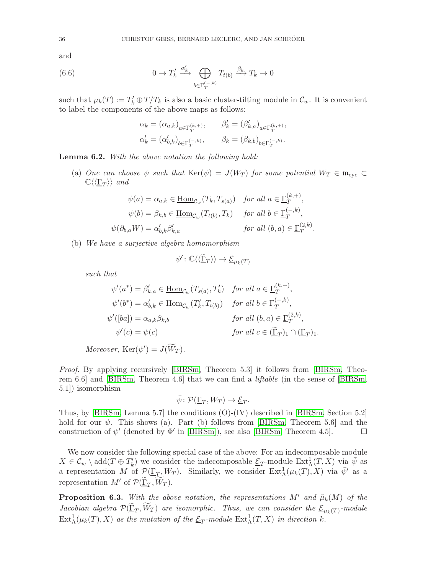and

(6.6) 
$$
0 \to T'_k \xrightarrow{\alpha'_k} \bigoplus_{b \in \Gamma^{(-,k)}_T} T_{t(b)} \xrightarrow{\beta_k} T_k \to 0
$$

such that  $\mu_k(T) := T'_k \oplus T/T_k$  is also a basic cluster-tilting module in  $\mathcal{C}_w$ . It is convenient to label the components of the above maps as follows:

<span id="page-35-1"></span>
$$
\begin{aligned} \alpha_k &= \left(\alpha_{a,k}\right)_{a\in\Gamma_T^{(k,+)}}, & \beta_k' &= \left(\beta_{k,a}'\right)_{a\in\Gamma_T^{(k,+)}},\\ \alpha_k' &= \left(\alpha_{b,k}'\right)_{b\in\Gamma_T^{(-,k)}}, & \beta_k &= \left(\beta_{k,b}\right)_{b\in\Gamma_T^{(-,k)}}. \end{aligned}
$$

<span id="page-35-0"></span>Lemma 6.2. With the above notation the following hold:

(a) One can choose  $\psi$  such that  $\text{Ker}(\psi) = J(W_T)$  for some potential  $W_T \in \mathfrak{m}_{\text{cyc}} \subset$  $\mathbb{C}\langle\langle\underline{\Gamma}_T\rangle\rangle$  and

$$
\psi(a) = \alpha_{a,k} \in \underline{\text{Hom}}_{\mathcal{C}_w}(T_k, T_{s(a)}) \quad \text{for all } a \in \underline{\Gamma}_T^{(k,+)},
$$

$$
\psi(b) = \beta_{k,b} \in \underline{\text{Hom}}_{\mathcal{C}_w}(T_{t(b)}, T_k) \quad \text{for all } b \in \underline{\Gamma}_T^{(-,k)},
$$

$$
\psi(\partial_{b,a}W) = \alpha'_{b,k}\beta'_{k,a} \qquad \text{for all } (b,a) \in \underline{\Gamma}_T^{(2,k)}.
$$

(b) We have a surjective algebra homomorphism

$$
\psi' \colon \mathbb{C}\langle\langle \widetilde{\underline{\Gamma}}_T \rangle\rangle \to \underline{\mathcal{E}}_{\mu_k(T)}
$$

such that

$$
\psi'(a^*) = \beta'_{k,a} \in \underline{\text{Hom}}_{\mathcal{C}_w}(T_{s(a)}, T'_k) \quad \text{for all } a \in \underline{\Gamma}_T^{(k, +)},
$$
  

$$
\psi'(b^*) = \alpha'_{b,k} \in \underline{\text{Hom}}_{\mathcal{C}_w}(T'_k, T_{t(b)}) \quad \text{for all } b \in \underline{\Gamma}_T^{(-,k)},
$$
  

$$
\psi'([ba]) = \alpha_{a,k}\beta_{k,b} \qquad \text{for all } (b,a) \in \underline{\Gamma}_T^{(2,k)},
$$
  

$$
\psi'(c) = \psi(c) \qquad \text{for all } c \in (\underline{\widetilde{\Gamma}}_T)_1 \cap (\underline{\Gamma}_T)_1.
$$

Moreover,  $\text{Ker}(\psi') = J(\widetilde{W}_T)$ .

Proof. By applying recursively [\[BIRSm,](#page-53-12) Theorem 5.3] it follows from [BIRSm, Theorem 6.6] and [\[BIRSm,](#page-53-12) Theorem 4.6] that we can find a liftable (in the sense of [\[BIRSm,](#page-53-12) 5.1]) isomorphism

$$
\bar{\psi} \colon \mathcal{P}(\underline{\Gamma}_T, W_T) \to \underline{\mathcal{E}}_T.
$$

Thus, by [\[BIRSm,](#page-53-12) Lemma 5.7] the conditions (O)-(IV) described in [\[BIRSm,](#page-53-12) Section 5.2] hold for our  $\psi$ . This shows (a). Part (b) follows from [\[BIRSm,](#page-53-12) Theorem 5.6] and the construction of  $\psi'$  (denoted by  $\Phi'$  in [\[BIRSm\]](#page-53-12)), see also [\[BIRSm,](#page-53-12) Theorem 4.5].

We now consider the following special case of the above: For an indecomposable module  $X \in \mathcal{C}_w \setminus \text{add}(T \oplus T'_k)$  we consider the indecomposable  $\underline{\mathcal{E}}_T$ -module  $\text{Ext}^1_\Lambda(T, X)$  via  $\overline{\psi}$  as a representation M of  $\mathcal{P}(\underline{\Gamma}_T, W_T)$ . Similarly, we consider  $\text{Ext}^1_{\Lambda}(\mu_k(T), X)$  via  $\bar{\psi}'$  as a representation  $M'$  of  $\mathcal{P}(\underline{\tilde{\Gamma}}_T, \widetilde{W}_T)$ .

<span id="page-35-2"></span>**Proposition 6.3.** With the above notation, the representations M' and  $\tilde{\mu}_k(M)$  of the *Jacobian algebra*  $\mathcal{P}(\underline{\Gamma}_T, W_T)$  are isomorphic. Thus, we can consider the  $\underline{\mathcal{E}}_{\mu_k(T)}$ -module  $\text{Ext}^1_\Lambda(\mu_k(T),X)$  as the mutation of the  $\underline{\mathcal{E}}_T$ -module  $\text{Ext}^1_\Lambda(T,X)$  in direction k.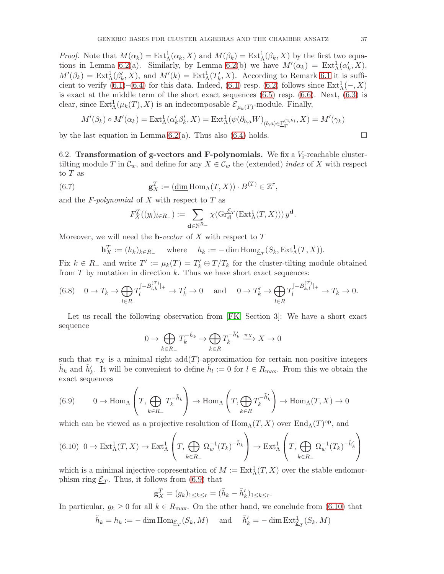*Proof.* Note that  $M(\alpha_k) = \text{Ext}^1_{\Lambda}(\alpha_k, X)$  and  $M(\beta_k) = \text{Ext}^1_{\Lambda}(\beta_k, X)$  by the first two equa-tions in Lemma [6.2\(](#page-35-0)a). Similarly, by Lemma 6.2(b) we have  $M'(\alpha_k) = \text{Ext}^1_{\Lambda}(\alpha'_k, X)$ ,  $M'(\beta_k) = \text{Ext}^1_{\Lambda}(\beta'_k, X)$ , and  $M'(k) = \text{Ext}^1_{\Lambda}(T'_k, X)$ . According to Remark [6.1](#page-34-2) it is sufficient to verify  $(6.1)$ – $(6.4)$  for this data. Indeed,  $(6.1)$  resp.  $(6.2)$  follows since  $\text{Ext}^1_{\Lambda}(-, X)$ is exact at the middle term of the short exact sequences [\(6.5\)](#page-34-4) resp. [\(6.6\)](#page-35-1). Next, [\(6.3\)](#page-34-5) is clear, since  $\text{Ext}^1_{\Lambda}(\mu_k(T), X)$  is an indecomposable  $\underline{\mathcal{E}}_{\mu_k(T)}$ -module. Finally,

$$
M'(\beta_k) \circ M'(\alpha_k) = \text{Ext}^1_{\Lambda}(\alpha'_k \beta'_k, X) = \text{Ext}^1_{\Lambda}(\psi(\partial_{b,a}W)_{(b,a) \in \underline{\Gamma}_T^{(2,k)}}, X) = M'(\gamma_k)
$$

<span id="page-36-3"></span>by the last equation in Lemma [6.2\(](#page-35-0)a). Thus also [\(6.4\)](#page-34-1) holds.  $\square$ 

6.2. Transformation of g-vectors and F-polynomials. We fix a  $V_i$ -reachable clustertilting module T in  $\mathcal{C}_w$ , and define for any  $X \in \mathcal{C}_w$  the (extended) *index* of X with respect to T as

(6.7) 
$$
\mathbf{g}_X^T := (\underline{\dim} \operatorname{Hom}_\Lambda(T, X)) \cdot B^{(T)} \in \mathbb{Z}^r,
$$

and the  $F$ -polynomial of X with respect to T as

$$
F_X^T((y_l)_{l \in R_-}) := \sum_{\mathbf{d} \in \mathbb{N}^{R_-}} \chi(\mathrm{Gr}_{\mathbf{d}}^{\underline{\mathcal{E}}_T}(\mathrm{Ext}^1_\Lambda(T,X))) y^{\mathbf{d}}.
$$

Moreover, we will need the **h**-vector of X with respect to  $T$ 

$$
\mathbf{h}_X^T := (h_k)_{k \in R_-} \quad \text{where} \quad h_k := -\dim \text{Hom}_{\underline{\mathcal{E}}_T}(S_k, \text{Ext}^1_{\Lambda}(T, X)).
$$

Fix  $k \in R_-\$  and write  $T' := \mu_k(T) = T'_k \oplus T/T_k$  for the cluster-tilting module obtained from  $T$  by mutation in direction  $k$ . Thus we have short exact sequences:

<span id="page-36-2"></span>
$$
(6.8) \quad 0 \to T_k \to \bigoplus_{l \in R} T_l^{[-B_{l,k}^{(T)}]_+} \to T'_k \to 0 \quad \text{and} \quad 0 \to T'_k \to \bigoplus_{l \in R} T_l^{[-B_{k,l}^{(T)}]_+} \to T_k \to 0.
$$

Let us recall the following observation from [\[FK,](#page-53-5) Section 3]: We have a short exact sequence

$$
0 \to \bigoplus_{k \in R_-} T_k^{-\tilde{h}_k} \to \bigoplus_{k \in R} T_k^{-\tilde{h}'_k} \xrightarrow{\pi_X} X \to 0
$$

such that  $\pi_X$  is a minimal right add(T)-approximation for certain non-positive integers  $\tilde{h}_k$  and  $\tilde{h}'_k$ . It will be convenient to define  $\tilde{h}_l := 0$  for  $l \in R_{\text{max}}$ . From this we obtain the exact sequences

<span id="page-36-0"></span>(6.9) 
$$
0 \to \text{Hom}_{\Lambda} \left( T, \bigoplus_{k \in R_{-}} T_{k}^{-\tilde{h}_{k}} \right) \to \text{Hom}_{\Lambda} \left( T, \bigoplus_{k \in R} T_{k}^{-\tilde{h}'_{k}} \right) \to \text{Hom}_{\Lambda} (T, X) \to 0
$$

which can be viewed as a projective resolution of  $\text{Hom}_{\Lambda}(T, X)$  over  $\text{End}_{\Lambda}(T)^\text{op}$ , and

<span id="page-36-1"></span>
$$
(6.10)\ 0 \to \text{Ext}^1_{\Lambda}(T, X) \to \text{Ext}^1_{\Lambda}\left(T, \bigoplus_{k \in R_-} \Omega_w^{-1}(T_k)^{-\tilde{h}_k}\right) \to \text{Ext}^1_{\Lambda}\left(T, \bigoplus_{k \in R_-} \Omega_w^{-1}(T_k)^{-\tilde{h}'_k}\right)
$$

which is a minimal injective copresentation of  $M := \text{Ext}^1_{\Lambda}(T, X)$  over the stable endomorphism ring  $\underline{\mathcal{E}}_T$ . Thus, it follows from [\(6.9\)](#page-36-0) that

$$
\mathbf{g}_X^T = (g_k)_{1 \leq k \leq r} = (\tilde{h}_k - \tilde{h}'_k)_{1 \leq k \leq r}.
$$

In particular,  $g_k \geq 0$  for all  $k \in R_{\text{max}}$ . On the other hand, we conclude from [\(6.10\)](#page-36-1) that

$$
\tilde{h}_k = h_k := -\dim \operatorname{Hom}_{\underline{\mathcal{E}}_T}(S_k, M) \quad \text{ and } \quad \tilde{h}'_k = -\dim \operatorname{Ext}_{\underline{\mathcal{E}}_T}^1(S_k, M)
$$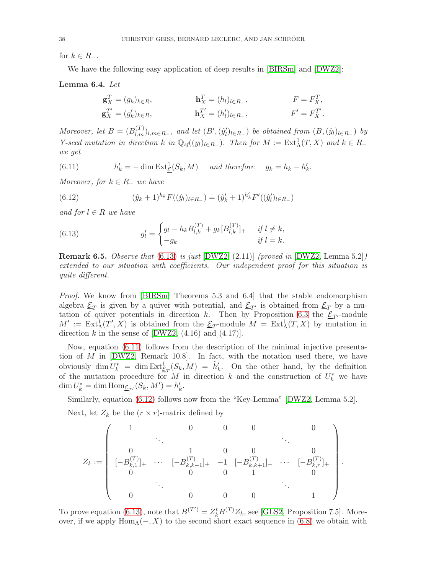for  $k \in R_-.$ 

We have the following easy application of deep results in [\[BIRSm\]](#page-53-12) and [\[DWZ2\]](#page-53-6):

<span id="page-37-3"></span>Lemma 6.4. Let

$$
\mathbf{g}_X^T = (g_k)_{k \in R}, \qquad \qquad \mathbf{h}_X^T = (h_l)_{l \in R_-}, \qquad \qquad F = F_X^T, \n\mathbf{g}_X^{T'} = (g'_k)_{k \in R}, \qquad \qquad \mathbf{h}_X^{T'} = (h'_l)_{l \in R_-}, \qquad \qquad F' = F_X^{T'}.
$$

Moreover, let  $B = (B_{l,m}^{(T)})_{l,m \in R_-}$ , and let  $(B',(\hat{y}'_l)_{l \in R_-})$  be obtained from  $(B,(\hat{y}_l)_{l \in R_-})$  by Y-seed mutation in direction k in  $\mathbb{Q}_{sf}((y_l)_{l \in R_-})$ . Then for  $M := \text{Ext}^1_{\Lambda}(T, X)$  and  $k \in R_$ we get

<span id="page-37-1"></span> $(6.11)$  $y'_k = -\dim \text{Ext}_{\mathcal{E}}^1(S_k, M)$  and therefore  $g_k = h_k - h'_k$ .

Moreover, for  $k \in R_-\$  we have

<span id="page-37-2"></span>(6.12) 
$$
(\hat{y}_k + 1)^{h_k} F((\hat{y}_l)_{l \in R_-}) = (\hat{y}'_k + 1)^{h'_k} F'((\hat{y}'_l)_{l \in R_-})
$$

and for  $l \in R$  we have

<span id="page-37-0"></span>(6.13) 
$$
g'_{l} = \begin{cases} g_{l} - h_{k} B_{l,k}^{(T)} + g_{k} [B_{l,k}^{(T)}]_{+} & \text{if } l \neq k, \\ -g_{k} & \text{if } l = k. \end{cases}
$$

**Remark 6.5.** Observe that  $(6.13)$  is just  $[DWZ2, (2.11)]$  $[DWZ2, (2.11)]$  (proved in  $[DWZ2, \text{Lemma 5.2}]$ ) extended to our situation with coefficients. Our independent proof for this situation is quite different.

Proof. We know from [\[BIRSm,](#page-53-12) Theorems 5.3 and 6.4] that the stable endomorphism algebra  $\underline{\mathcal{E}}_T$  is given by a quiver with potential, and  $\underline{\mathcal{E}}_{T'}$  is obtained from  $\underline{\mathcal{E}}_T$  by a mu-tation of quiver potentials in direction k. Then by Proposition [6.3](#page-35-2) the  $\mathcal{E}_{T'}$ -module  $M' := Ext^1_\Lambda(T', X)$  is obtained from the  $\underline{\mathcal{E}}_T$ -module  $M = Ext^1_\Lambda(T, X)$  by mutation in direction k in the sense of  $[DWZ2, (4.16)$  and  $(4.17)$ .

Now, equation [\(6.11\)](#page-37-1) follows from the description of the minimal injective presentation of  $M$  in [\[DWZ2,](#page-53-6) Remark 10.8]. In fact, with the notation used there, we have obviously  $\dim U_k^* = \dim \text{Ext}^1_{\mathcal{L}_T}(S_k, M) = \tilde{h}'_k$ . On the other hand, by the definition of the mutation procedure for M in direction k and the construction of  $U_k^*$  we have  $\dim U_k^* = \dim \text{Hom}_{\underline{\mathcal{E}}_{T'}}(S_k, M') = h'_k.$ 

Similarly, equation [\(6.12\)](#page-37-2) follows now from the "Key-Lemma" [\[DWZ2,](#page-53-6) Lemma 5.2]. Next, let  $Z_k$  be the  $(r \times r)$ -matrix defined by

$$
Z_k:=\left(\begin{array}{ccccc}1&&0&&0&0&&0&0\\&\ddots&&&&&\ddots&\\0&1&&0&0&&0&0\\[-B^{(T)}_{k,1}]_+&\cdots&[-B^{(T)}_{k,k-1}]_+&-1&[-B^{(T)}_{k,k+1}]_+&\cdots&[-B^{(T)}_{k,r}]_+\\0&&0&0&1&&0\\&&\ddots&&&&\ddots&\\0&&0&0&0&0&1\end{array}\right).
$$

To prove equation [\(6.13\)](#page-37-0), note that  $B^{(T')} = Z_k^t B^{(T)} Z_k$ , see [\[GLS2,](#page-53-1) Proposition 7.5]. Moreover, if we apply  $\text{Hom}_{\Lambda}(-, X)$  to the second short exact sequence in [\(6.8\)](#page-36-2) we obtain with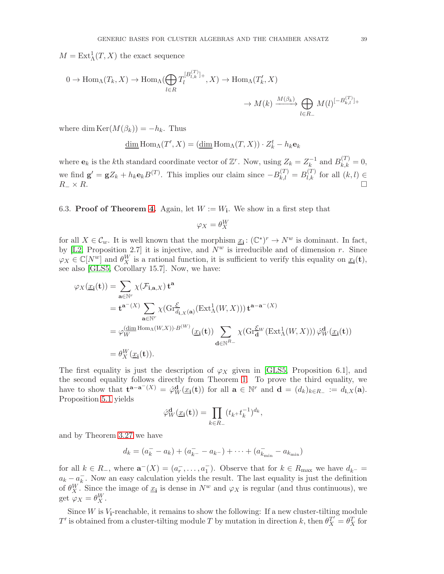$M = \text{Ext}^1_{\Lambda}(T, X)$  the exact sequence

$$
0 \to \operatorname{Hom}_{\Lambda}(T_k, X) \to \operatorname{Hom}_{\Lambda}(\bigoplus_{l \in R} T_l^{[B_{l,k}^{(T)}]_+}, X) \to \operatorname{Hom}_{\Lambda}(T'_k, X)
$$

$$
\to M(k) \xrightarrow{M(\beta_k)} \bigoplus_{l \in R_-} M(l)^{[-B_{k,l}^{(T)}]_+}
$$

where dim  $\text{Ker}(M(\beta_k)) = -h_k$ . Thus

$$
\underline{\dim} \operatorname{Hom}_{\Lambda}(T', X) = (\underline{\dim} \operatorname{Hom}_{\Lambda}(T, X)) \cdot Z_k^t - h_k \mathbf{e}_k
$$

where  $\mathbf{e}_k$  is the kth standard coordinate vector of  $\mathbb{Z}^r$ . Now, using  $Z_k = Z_k^{-1}$  $k^{1}$  and  $B_{k,k}^{(T)} = 0$ , we find  $\mathbf{g}' = \mathbf{g} Z_k + h_k \mathbf{e}_k B^{(T)}$ . This implies our claim since  $-B_{k,l}^{(T)} = B_{l,k}^{(T)}$  for all  $(k, l) \in$  $R_{-} \times R$ .

# 6.3. Proof of Theorem [4.](#page-4-1) Again, let  $W := W_i$ . We show in a first step that

$$
\varphi_X = \theta^W_X
$$

for all  $X \in \mathcal{C}_w$ . It is well known that the morphism  $\underline{x_i} : (\mathbb{C}^*)^r \to N^w$  is dominant. In fact, by [\[L2,](#page-54-8) Proposition 2.7] it is injective, and  $\overline{N}^w$  is irreducible and of dimension r. Since  $\varphi_X \in \mathbb{C}[N^w]$  and  $\theta_X^W$  is a rational function, it is sufficient to verify this equality on  $\underline{x_i}(t)$ , see also [\[GLS5,](#page-54-0) Corollary 15.7]. Now, we have:

$$
\varphi_X(\underline{x}_{\mathbf{i}}(\mathbf{t})) = \sum_{\mathbf{a} \in \mathbb{N}^r} \chi(\mathcal{F}_{\mathbf{i}, \mathbf{a}, X}) \mathbf{t}^{\mathbf{a}}
$$
  
\n
$$
= \mathbf{t}^{\mathbf{a}^{-}(X)} \sum_{\mathbf{a} \in \mathbb{N}^r} \chi(\mathrm{Gr}_{d_{\mathbf{i}, X}(\mathbf{a})}^{\mathcal{E}}(\mathrm{Ext}_{\Lambda}^1(W, X))) \mathbf{t}^{\mathbf{a} - \mathbf{a}^{-}(X)}
$$
  
\n
$$
= \varphi_W^{(\underline{\dim} \mathrm{Hom}_{\Lambda}(W, X)) \cdot B^{(W)}}(\underline{x}_{\mathbf{i}}(\mathbf{t})) \sum_{\mathbf{d} \in \mathbb{N}^{R_-}} \chi(\mathrm{Gr}_{\mathbf{d}}^{\mathcal{E}_W}(\mathrm{Ext}_{\Lambda}^1(W, X))) \hat{\varphi}_W^{\mathbf{d}}(\underline{x}_{\mathbf{i}}(\mathbf{t}))
$$

The first equality is just the description of  $\varphi_X$  given in [\[GLS5,](#page-54-0) Proposition 6.1], and the second equality follows directly from Theorem [1.](#page-2-0) To prove the third equality, we have to show that  $\mathbf{t}^{\mathbf{a}-\mathbf{a}^-(X)} = \hat{\varphi}_W^{\mathbf{d}}(\underline{x}_{\mathbf{i}}(\mathbf{t}))$  for all  $\mathbf{a} \in \mathbb{N}^r$  and  $\mathbf{d} = (d_k)_{k \in R_-} := d_{\mathbf{i},X}(\mathbf{a})$ . Proposition [5.1](#page-28-1) yields

$$
\hat{\varphi}_W^{\mathbf{d}}(\underline{x}_{\mathbf{i}}(\mathbf{t})) = \prod_{k \in R_-} (t_{k+}t_k^{-1})^{d_k},
$$

and by Theorem [3.27](#page-19-0) we have

$$
d_k = (a_k^- - a_k) + (a_{k^-}^- - a_{k^-}) + \dots + (a_{k_{\min}}^- - a_{k_{\min}})
$$

for all  $k \in R_-,$  where  $\mathbf{a}^-(X) = (a_r^-, \ldots, a_1^-)$ . Observe that for  $k \in R_{\text{max}}$  we have  $d_{k^-} =$  $a_k - a_k^ \overline{k}$ . Now an easy calculation yields the result. The last equality is just the definition of  $\theta_X^W$ . Since the image of  $\underline{x_i}$  is dense in  $N^w$  and  $\varphi_X$  is regular (and thus continuous), we get  $\varphi_X = \theta_X^W$ .

Since  $W$  is  $V_i$ -reachable, it remains to show the following: If a new cluster-tilting module T' is obtained from a cluster-tilting module T by mutation in direction k, then  $\theta_X^{T'} = \theta_X^T$  for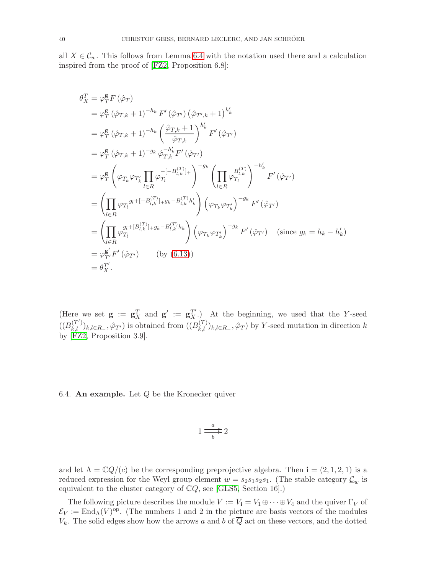all  $X \in \mathcal{C}_w$ . This follows from Lemma [6.4](#page-37-3) with the notation used there and a calculation inspired from the proof of [\[FZ2,](#page-53-16) Proposition 6.8]:

$$
\theta_{X}^{T} = \varphi_{T}^{g} F (\hat{\varphi}_{T})
$$
\n
$$
= \varphi_{T}^{g} (\hat{\varphi}_{T,k} + 1)^{-h_{k}} F' (\hat{\varphi}_{T'}) (\hat{\varphi}_{T',k} + 1)^{h'_{k}}
$$
\n
$$
= \varphi_{T}^{g} (\hat{\varphi}_{T,k} + 1)^{-h_{k}} (\frac{\hat{\varphi}_{T,k} + 1}{\hat{\varphi}_{T,k}})^{h'_{k}} F' (\hat{\varphi}_{T'})
$$
\n
$$
= \varphi_{T}^{g} (\hat{\varphi}_{T,k} + 1)^{-g_{k}} \hat{\varphi}_{T,k}^{-h'_{k}} F' (\hat{\varphi}_{T'})
$$
\n
$$
= \varphi_{T}^{g} \left( \varphi_{T_{k}} \varphi_{T'_{k}} \prod_{l \in R} \varphi_{T_{l}}^{-[-B_{l,k}^{(T)}]_{+}} \right)^{-g_{k}} (\prod_{l \in R} \varphi_{T_{l}}^{B_{l,k}^{(T)}})^{-h'_{k}}
$$
\n
$$
= (\prod_{l \in R} \varphi_{T_{l}}^{g_{l} + [-B_{l,k}^{(T)}]_{+} g_{k} - B_{l,k}^{(T)} h'_{k}}) (\varphi_{T_{k}} \varphi_{T'_{k}})^{-g_{k}} F' (\hat{\varphi}_{T'})
$$
\n
$$
= (\prod_{l \in R} \varphi_{T_{l}}^{g_{l} + [B_{l,k}^{(T)}]_{+} g_{k} - B_{l,k}^{(T)} h_{k}}) (\varphi_{T_{k}} \varphi_{T'_{k}})^{-g_{k}} F' (\hat{\varphi}_{T'}) \quad (\text{since } g_{k} = h_{k} - h'_{k})
$$
\n
$$
= \varphi_{T'}^{g'} F' (\hat{\varphi}_{T'}) \qquad (by (6.13))
$$
\n
$$
= \theta_{X}^{g'}.
$$

(Here we set  $\mathbf{g} := \mathbf{g}_X^T$  and  $\mathbf{g}' := \mathbf{g}_X^{T'}$ .) At the beginning, we used that the Y-seed  $((B_{k,l}^{(T')})_{k,l\in R_-},\hat{\varphi}_{T'})$  is obtained from  $((B_{k,l}^{(T)})_{k,l\in R_-},\hat{\varphi}_T)$  by Y-seed mutation in direction k by [\[FZ2,](#page-53-16) Proposition 3.9].

6.4. An example. Let  $Q$  be the Kronecker quiver

$$
1 \frac{a}{\sum_{b}^{a}} 2
$$

and let  $\Lambda = \mathbb{C}\overline{Q}/(c)$  be the corresponding preprojective algebra. Then  $\mathbf{i} = (2, 1, 2, 1)$  is a reduced expression for the Weyl group element  $w = s_2 s_1 s_2 s_1$ . (The stable category  $\underline{\mathcal{C}}_w$  is equivalent to the cluster category of  $\mathbb{C}Q$ , see [\[GLS5,](#page-54-0) Section 16].)

The following picture describes the module  $V := V_i = V_1 \oplus \cdots \oplus V_4$  and the quiver  $\Gamma_V$  of  $\mathcal{E}_V := \text{End}_{\Lambda}(V)^{\text{op}}$ . (The numbers 1 and 2 in the picture are basis vectors of the modules  $V_k$ . The solid edges show how the arrows a and b of  $\overline{Q}$  act on these vectors, and the dotted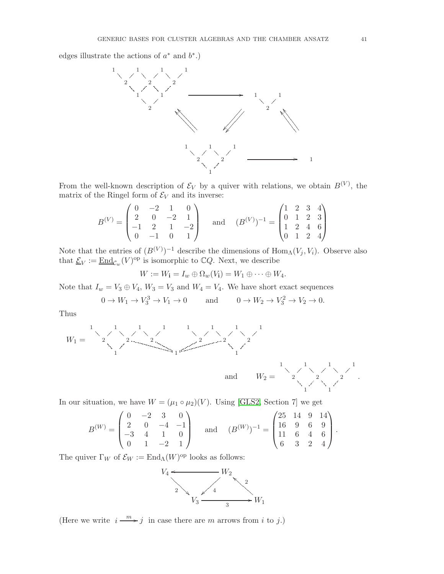edges illustrate the actions of  $a^*$  and  $b^*$ .)



From the well-known description of  $\mathcal{E}_V$  by a quiver with relations, we obtain  $B^{(V)}$ , the matrix of the Ringel form of  $\mathcal{E}_V$  and its inverse:

$$
B^{(V)} = \begin{pmatrix} 0 & -2 & 1 & 0 \\ 2 & 0 & -2 & 1 \\ -1 & 2 & 1 & -2 \\ 0 & -1 & 0 & 1 \end{pmatrix} \text{ and } (B^{(V)})^{-1} = \begin{pmatrix} 1 & 2 & 3 & 4 \\ 0 & 1 & 2 & 3 \\ 1 & 2 & 4 & 6 \\ 0 & 1 & 2 & 4 \end{pmatrix}
$$

Note that the entries of  $(B^{(V)})^{-1}$  describe the dimensions of  $\text{Hom}_{\Lambda}(V_j, V_i)$ . Observe also that  $\underline{\mathcal{E}}_V := \underline{\mathrm{End}}_{\mathcal{C}_w}(V)^\text{op}$  is isomorphic to  $\mathbb{C}Q$ . Next, we describe

$$
W := W_{\mathbf{i}} = I_w \oplus \Omega_w(V_{\mathbf{i}}) = W_1 \oplus \cdots \oplus W_4.
$$

Note that  $I_w = V_3 \oplus V_4$ ,  $W_3 = V_3$  and  $W_4 = V_4$ . We have short exact sequences

$$
0 \to W_1 \to V_3^3 \to V_1 \to 0 \quad \text{and} \quad 0 \to W_2 \to V_3^2 \to V_2 \to 0.
$$

Thus



In our situation, we have  $W = (\mu_1 \circ \mu_2)(V)$ . Using [\[GLS2,](#page-53-1) Section 7] we get

$$
B^{(W)} = \begin{pmatrix} 0 & -2 & 3 & 0 \\ 2 & 0 & -4 & -1 \\ -3 & 4 & 1 & 0 \\ 0 & 1 & -2 & 1 \end{pmatrix} \text{ and } (B^{(W)})^{-1} = \begin{pmatrix} 25 & 14 & 9 & 14 \\ 16 & 9 & 6 & 9 \\ 11 & 6 & 4 & 6 \\ 6 & 3 & 2 & 4 \end{pmatrix}.
$$

The quiver  $\Gamma_W$  of  $\mathcal{E}_W := \text{End}_{\Lambda}(W)^\text{op}$  looks as follows:



(Here we write  $i \stackrel{m}{\longrightarrow} j$  in case there are m arrows from i to j.)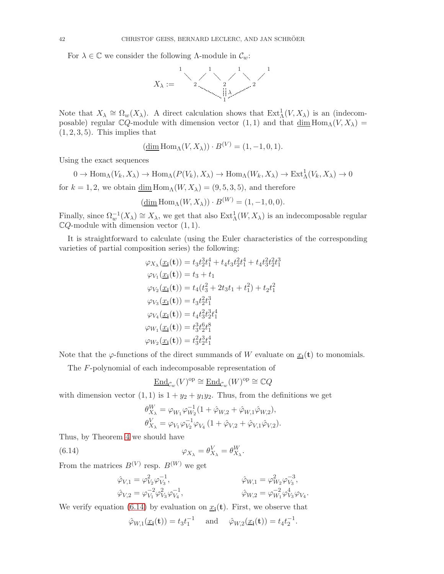For  $\lambda \in \mathbb{C}$  we consider the following  $\Lambda$ -module in  $\mathcal{C}_w$ :



Note that  $X_{\lambda} \cong \Omega_w(X_{\lambda})$ . A direct calculation shows that  $Ext^1_{\Lambda}(V, X_{\lambda})$  is an (indecomposable) regular  $\mathbb{C}Q$ -module with dimension vector  $(1,1)$  and that  $\underline{\dim} \text{Hom}_{\Lambda}(V, X_{\lambda}) =$  $(1, 2, 3, 5)$ . This implies that

$$
(\underline{\dim} \operatorname{Hom}_{\Lambda}(V, X_{\lambda})) \cdot B^{(V)} = (1, -1, 0, 1).
$$

Using the exact sequences

 $0 \to \text{Hom}_{\Lambda}(V_k, X_{\lambda}) \to \text{Hom}_{\Lambda}(P(V_k), X_{\lambda}) \to \text{Hom}_{\Lambda}(W_k, X_{\lambda}) \to \text{Ext}^1_{\Lambda}(V_k, X_{\lambda}) \to 0$ for  $k = 1, 2$ , we obtain  $\underline{\dim} \text{Hom}_{\Lambda}(W, X_{\lambda}) = (9, 5, 3, 5)$ , and therefore

$$
(\underline{\dim} \operatorname{Hom}_{\Lambda}(W, X_{\lambda})) \cdot B^{(W)} = (1, -1, 0, 0).
$$

Finally, since  $\Omega_w^{-1}(X_\lambda) \cong X_\lambda$ , we get that also  $\text{Ext}^1_\Lambda(W, X_\lambda)$  is an indecomposable regular  $\mathbb{C}Q$ -module with dimension vector  $(1, 1)$ .

It is straightforward to calculate (using the Euler characteristics of the corresponding varieties of partial composition series) the following:

$$
\varphi_{X_{\lambda}}(\underline{x}_{\mathbf{i}}(\mathbf{t})) = t_{3}t_{2}^{3}t_{1}^{4} + t_{4}t_{3}t_{2}^{2}t_{1}^{4} + t_{4}t_{3}^{2}t_{2}^{2}t_{1}^{3}
$$
\n
$$
\varphi_{V_{1}}(\underline{x}_{\mathbf{i}}(\mathbf{t})) = t_{3} + t_{1}
$$
\n
$$
\varphi_{V_{2}}(\underline{x}_{\mathbf{i}}(\mathbf{t})) = t_{4}(t_{3}^{2} + 2t_{3}t_{1} + t_{1}^{2}) + t_{2}t_{1}^{2}
$$
\n
$$
\varphi_{V_{3}}(\underline{x}_{\mathbf{i}}(\mathbf{t})) = t_{3}t_{2}^{2}t_{1}^{3}
$$
\n
$$
\varphi_{V_{4}}(\underline{x}_{\mathbf{i}}(\mathbf{t})) = t_{4}t_{3}^{2}t_{2}^{3}t_{1}^{4}
$$
\n
$$
\varphi_{W_{1}}(\underline{x}_{\mathbf{i}}(\mathbf{t})) = t_{3}^{3}t_{2}^{6}t_{1}^{8}
$$
\n
$$
\varphi_{W_{2}}(\underline{x}_{\mathbf{i}}(\mathbf{t})) = t_{3}^{2}t_{2}^{3}t_{1}^{4}
$$

Note that the  $\varphi$ -functions of the direct summands of W evaluate on  $\underline{x}_{i}(t)$  to monomials.

The F-polynomial of each indecomposable representation of

$$
\underline{\operatorname{End}\nolimits}_{\mathcal{C}_w}(V)^{\operatorname{op}\nolimits}\cong \underline{\operatorname{End}\nolimits}_{\mathcal{C}_w}(W)^{\operatorname{op}\nolimits}\cong \mathbb{C} Q
$$

with dimension vector  $(1,1)$  is  $1 + y_2 + y_1y_2$ . Thus, from the definitions we get

<span id="page-41-0"></span>
$$
\begin{aligned} \theta_{X_{\lambda}}^W &= \varphi_{W_1} \varphi_{W_2}^{-1} (1 + \hat{\varphi}_{W,2} + \hat{\varphi}_{W,1} \hat{\varphi}_{W,2}), \\ \theta_{X_{\lambda}}^V &= \varphi_{V_1} \varphi_{V_2}^{-1} \varphi_{V_4} (1 + \hat{\varphi}_{V,2} + \hat{\varphi}_{V,1} \hat{\varphi}_{V,2}). \end{aligned}
$$

Thus, by Theorem [4](#page-4-1) we should have

(6.14) 
$$
\varphi_{X_{\lambda}} = \theta_{X_{\lambda}}^V = \theta_{X_{\lambda}}^W.
$$

From the matrices  $B^{(V)}$  resp.  $B^{(W)}$  we get

$$
\hat{\varphi}_{V,1} = \varphi_{V_2}^2 \varphi_{V_3}^{-1}, \n\hat{\varphi}_{V,2} = \varphi_{V_1}^{-2} \varphi_{V_3}^2 \varphi_{V_4}^{-1}, \n\hat{\varphi}_{W,2} = \varphi_{W_1}^{-2} \varphi_{V_3}^4 \varphi_{V_4}.
$$
\n
$$
\hat{\varphi}_{W,2} = \varphi_{W_1}^{-2} \varphi_{V_3}^4 \varphi_{V_4}.
$$

We verify equation [\(6.14\)](#page-41-0) by evaluation on  $\underline{x_i}(t)$ . First, we observe that

$$
\hat{\varphi}_{W,1}(\underline{x_1}(\mathbf{t})) = t_3 t_1^{-1}
$$
 and  $\hat{\varphi}_{W,2}(\underline{x_1}(\mathbf{t})) = t_4 t_2^{-1}$ .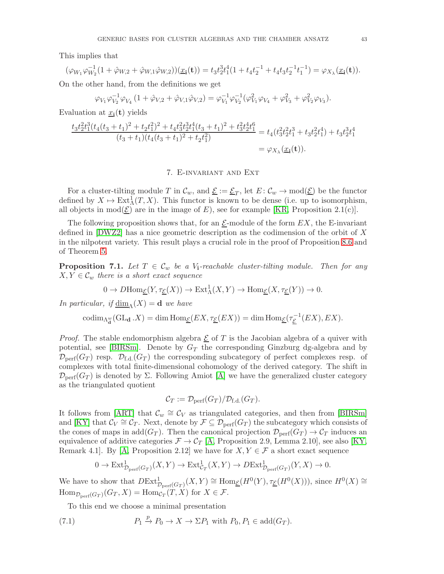This implies that

$$
(\varphi_{W_1}\varphi_{W_2}^{-1}(1+\hat{\varphi}_{W,2}+\hat{\varphi}_{W,1}\hat{\varphi}_{W,2}))(\underline{x}_i(\mathbf{t}))=t_3t_2^3t_1^4(1+t_4t_2^{-1}+t_4t_3t_2^{-1}t_1^{-1})=\varphi_{X_\lambda}(\underline{x}_i(\mathbf{t})).
$$

On the other hand, from the definitions we get

$$
\varphi_{V_1}\varphi_{V_2}^{-1}\varphi_{V_4}(1+\hat{\varphi}_{V,2}+\hat{\varphi}_{V,1}\hat{\varphi}_{V,2})=\varphi_{V_1}^{-1}\varphi_{V_2}^{-1}(\varphi_{V_1}^2\varphi_{V_4}+\varphi_{V_3}^2+\varphi_{V_2}^2\varphi_{V_3}).
$$

Evaluation at  $\underline{x_i}(\mathbf{t})$  yields

$$
\frac{t_3 t_2^2 t_1^3 (t_4 (t_3 + t_1)^2 + t_2 t_1^2)^2 + t_4 t_3^2 t_2^3 t_1^4 (t_3 + t_1)^2 + t_3^2 t_2^4 t_1^6}{(t_3 + t_1)(t_4 (t_3 + t_1)^2 + t_2 t_1^2)} = t_4 (t_3^2 t_2^2 t_1^3 + t_3 t_2^2 t_1^4) + t_3 t_2^3 t_1^4
$$
  
=  $\varphi_{X_\lambda}(\underline{x}_i(\mathbf{t}))$ .

# 7. E-invariant and Ext

<span id="page-42-0"></span>For a cluster-tilting module T in  $\mathcal{C}_w$ , and  $\underline{\mathcal{E}} := \underline{\mathcal{E}}_T$ , let  $E : \mathcal{C}_w \to \text{mod}(\underline{\mathcal{E}})$  be the functor defined by  $X \mapsto \text{Ext}^1_{\Lambda}(T, X)$ . This functor is known to be dense (i.e. up to isomorphism, all objects in mod $(\underline{\mathcal{E}})$  are in the image of E), see for example [\[KR,](#page-54-9) Proposition 2.1(c)].

The following proposition shows that, for an  $\mathcal{E}\text{-module}$  of the form  $EX$ , the E-invariant defined in [\[DWZ2\]](#page-53-6) has a nice geometric description as the codimension of the orbit of X in the nilpotent variety. This result plays a crucial role in the proof of Proposition [8.6](#page-47-0) and of Theorem [5.](#page-5-0)

<span id="page-42-2"></span>**Proposition 7.1.** Let  $T \in \mathcal{C}_w$  be a V<sub>i</sub>-reachable cluster-tilting module. Then for any  $X, Y \in \mathcal{C}_w$  there is a short exact sequence

$$
0 \to D\mathrm{Hom}_{\underline{\mathcal{E}}}(Y, \tau_{\underline{\mathcal{E}}}(X)) \to \mathrm{Ext}^1_{\Lambda}(X, Y) \to \mathrm{Hom}_{\underline{\mathcal{E}}}(X, \tau_{\underline{\mathcal{E}}}(Y)) \to 0.
$$

In particular, if  $\dim_{\Lambda}(X) = \mathbf{d}$  we have

$$
\mathrm{codim}_{\Lambda^w_{\mathbf{d}}}(\mathrm{GL}_{\mathbf{d}}\,.X)=\dim \mathrm{Hom}_{\underline{\mathcal{E}}}(EX,\tau_{\underline{\mathcal{E}}}(EX))=\dim \mathrm{Hom}_{\underline{\mathcal{E}}}(\tau_{\underline{\mathcal{E}}}^{-1}(EX),EX).
$$

*Proof.* The stable endomorphism algebra  $\underline{\mathcal{E}}$  of T is the Jacobian algebra of a quiver with potential, see [\[BIRSm\]](#page-53-12). Denote by  $G_T$  the corresponding Ginzburg dg-algebra and by  $\mathcal{D}_{\text{perf}}(G_T)$  resp.  $\mathcal{D}_{f,d}(G_T)$  the corresponding subcategory of perfect complexes resp. of complexes with total finite-dimensional cohomology of the derived category. The shift in  $\mathcal{D}_{\text{perf}}(G_T)$  is denoted by  $\Sigma$ . Following Amiot [\[A\]](#page-53-17) we have the generalized cluster category as the triangulated quotient

$$
C_T := \mathcal{D}_{\text{perf}}(G_T)/\mathcal{D}_{\text{f.d.}}(G_T).
$$

It follows from [\[ART\]](#page-53-18) that  $\mathcal{C}_w \cong \mathcal{C}_V$  as triangulated categories, and then from [\[BIRSm\]](#page-53-12) and [\[KY\]](#page-54-10) that  $\mathcal{C}_V \cong \mathcal{C}_T$ . Next, denote by  $\mathcal{F} \subseteq \mathcal{D}_{\text{perf}}(G_T)$  the subcategory which consists of the cones of maps in add $(G_T)$ . Then the canonical projection  $\mathcal{D}_{\text{perf}}(G_T) \to \mathcal{C}_T$  induces an equivalence of additive categories  $\mathcal{F} \to \mathcal{C}_T$  [\[A,](#page-53-17) Proposition 2.9, Lemma 2.10], see also [\[KY,](#page-54-10) Remark 4.1. By [\[A,](#page-53-17) Proposition 2.12] we have for  $X, Y \in \mathcal{F}$  a short exact sequence

$$
0 \to \text{Ext}^1_{\mathcal{D}_{\text{perf}}(G_T)}(X, Y) \to \text{Ext}^1_{\mathcal{C}_T}(X, Y) \to D\text{Ext}^1_{\mathcal{D}_{\text{perf}}(G_T)}(Y, X) \to 0.
$$

We have to show that  $DExt^1_{\mathcal{D}_{\text{perf}}(G_T)}(X, Y) \cong \text{Hom}_{\underline{\mathcal{E}}}(H^0(Y), \tau_{\underline{\mathcal{E}}}(H^0(X))),$  since  $H^0(X) \cong$  $\text{Hom}_{\mathcal{D}_{\text{perf}}(G_T)}(G_T, X) = \text{Hom}_{\mathcal{C}_T}(T, X)$  for  $X \in \mathcal{F}$ .

<span id="page-42-1"></span>To this end we choose a minimal presentation

(7.1) 
$$
P_1 \xrightarrow{p} P_0 \to X \to \Sigma P_1 \text{ with } P_0, P_1 \in \text{add}(G_T).
$$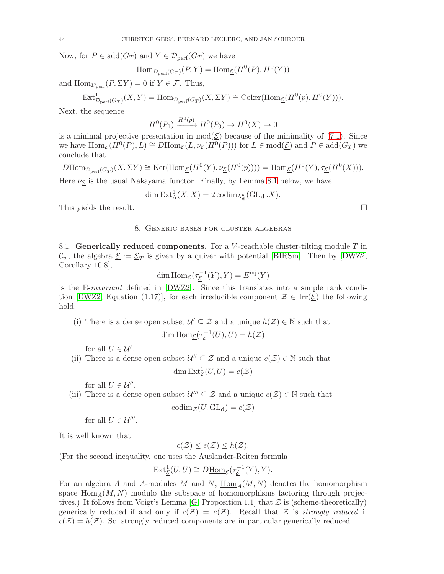Now, for  $P \in \text{add}(G_T)$  and  $Y \in \mathcal{D}_{\text{perf}}(G_T)$  we have

$$
\text{Hom}_{\mathcal{D}_{\text{perf}}(G_T)}(P, Y) = \text{Hom}_{\underline{\mathcal{E}}}(H^0(P), H^0(Y))
$$

and  $\text{Hom}_{\mathcal{D}_{\text{perf}}}(P, \Sigma Y) = 0$  if  $Y \in \mathcal{F}$ . Thus,

$$
\text{Ext}^1_{\mathcal{D}_{\text{perf}}(G_T)}(X, Y) = \text{Hom}_{\mathcal{D}_{\text{perf}}(G_T)}(X, \Sigma Y) \cong \text{Coker}(\text{Hom}_{\underline{\mathcal{E}}}(H^0(p), H^0(Y))).
$$

Next, the sequence

$$
H^0(P_1) \xrightarrow{H^0(p)} H^0(P_0) \to H^0(X) \to 0
$$

is a minimal projective presentation in  $mod(\mathcal{E})$  because of the minimality of [\(7.1\)](#page-42-1). Since we have  $\text{Hom}_{\underline{\mathcal{E}}}(H^0(P), L) \cong D\text{Hom}_{\underline{\mathcal{E}}}(L, \nu_{\underline{\mathcal{E}}}(H^0(P)))$  for  $L \in \text{mod}(\underline{\mathcal{E}})$  and  $P \in \text{add}(G_T)$  we conclude that

$$
D\mathrm{Hom}_{\mathcal{D}_{\mathrm{perf}}(G_T)}(X,\Sigma Y) \cong \mathrm{Ker}(\mathrm{Hom}_{\underline{\mathcal{E}}}(H^0(Y),\nu_{\underline{\mathcal{E}}}(H^0(p)))) = \mathrm{Hom}_{\underline{\mathcal{E}}}(H^0(Y),\tau_{\underline{\mathcal{E}}}(H^0(X))).
$$

Here  $\nu_{\mathcal{E}}$  is the usual Nakayama functor. Finally, by Lemma [8.1](#page-44-0) below, we have

$$
\dim \text{Ext}_{\Lambda}^{1}(X, X) = 2 \operatorname{codim}_{\Lambda_{\mathbf{d}}^{w}}(\text{GL}_{\mathbf{d}}.X).
$$

<span id="page-43-0"></span>This yields the result.

### 8. Generic bases for cluster algebras

8.1. Generically reduced components. For a  $V_i$ -reachable cluster-tilting module T in  $\mathcal{C}_w$ , the algebra  $\underline{\mathcal{E}} := \underline{\mathcal{E}}_T$  is given by a quiver with potential [\[BIRSm\]](#page-53-12). Then by [\[DWZ2,](#page-53-6) Corollary 10.8],

$$
\dim \operatorname{Hom}_{\underline{\mathcal{E}}}(\tau_{\underline{\mathcal{E}}}^{-1}(Y), Y) = E^{\text{inj}}(Y)
$$

is the E-invariant defined in [\[DWZ2\]](#page-53-6). Since this translates into a simple rank condi-tion [\[DWZ2,](#page-53-6) Equation (1.17)], for each irreducible component  $\mathcal{Z} \in \text{Irr}(\mathcal{E})$  the following hold:

(i) There is a dense open subset  $\mathcal{U}' \subseteq \mathcal{Z}$  and a unique  $h(\mathcal{Z}) \in \mathbb{N}$  such that

$$
\dim \operatorname{Hom}_{\underline{\mathcal{E}}}(\tau_{\underline{\mathcal{E}}}^{-1}(U), U) = h(\mathcal{Z})
$$

for all  $U \in \mathcal{U}'$ .

(ii) There is a dense open subset  $\mathcal{U}'' \subseteq \mathcal{Z}$  and a unique  $e(\mathcal{Z}) \in \mathbb{N}$  such that dim  $\mathrm{Ext}^1_{\mathcal{E}}(U,U)=e(\mathcal{Z})$ 

for all  $U \in \mathcal{U}''$ .

(iii) There is a dense open subset  $\mathcal{U}''' \subseteq \mathcal{Z}$  and a unique  $c(\mathcal{Z}) \in \mathbb{N}$  such that  $\operatorname{codim}_{\mathcal{Z}}(U, GL_d) = c(\mathcal{Z})$ 

for all  $U \in \mathcal{U}'''$ .

It is well known that

$$
c(\mathcal{Z}) \le e(\mathcal{Z}) \le h(\mathcal{Z}).
$$

(For the second inequality, one uses the Auslander-Reiten formula

$$
\operatorname{Ext}\nolimits^1_{\underline{\mathcal E}}(U,U) \cong D\underline{\operatorname{Hom}\nolimits}_{\underline{\mathcal E}}(\tau_{\underline{\mathcal E}}^{-1}(Y),Y).
$$

For an algebra A and A-modules M and N, Hom  $_A(M, N)$  denotes the homomorphism space  $\text{Hom}_A(M, N)$  modulo the subspace of homomorphisms factoring through projectives.) It follows from Voigt's Lemma  $[G,$  Proposition 1.1 that  $\mathcal Z$  is (scheme-theoretically) generically reduced if and only if  $c(\mathcal{Z}) = e(\mathcal{Z})$ . Recall that  $\mathcal Z$  is strongly reduced if  $c(\mathcal{Z}) = h(\mathcal{Z})$ . So, strongly reduced components are in particular generically reduced.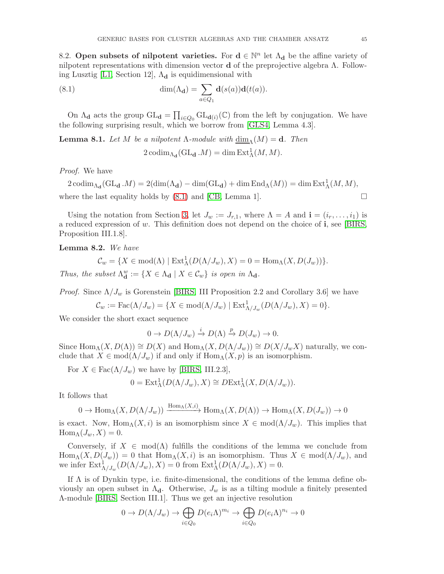8.2. Open subsets of nilpotent varieties. For  $d \in \mathbb{N}^n$  let  $\Lambda_d$  be the affine variety of nilpotent representations with dimension vector **d** of the preprojective algebra  $\Lambda$ . Follow-ing Lusztig [\[L1,](#page-54-5) Section 12],  $\Lambda_d$  is equidimensional with

(8.1) 
$$
\dim(\Lambda_{\mathbf{d}}) = \sum_{a \in Q_1} \mathbf{d}(s(a))\mathbf{d}(t(a)).
$$

On  $\Lambda_{\bf d}$  acts the group  $GL_{\bf d} = \prod_{i\in Q_0} GL_{\bf d}(i)}(\mathbb{C})$  from the left by conjugation. We have the following surprising result, which we borrow from [\[GLS4,](#page-54-6) Lemma 4.3].

<span id="page-44-0"></span>**Lemma 8.1.** Let M be a nilpotent  $\Lambda$ -module with  $\dim_{\Lambda}(M) = d$ . Then

<span id="page-44-1"></span>
$$
2\operatorname{codim}_{\Lambda_{\mathbf{d}}}(\operatorname{GL}_{\mathbf{d}}\mathcal{M}) = \dim \operatorname{Ext}^1_{\Lambda}(M, M).
$$

Proof. We have

 $2 \operatorname{codim}_{\Lambda_{\mathbf{d}}}(\operatorname{GL}_{\mathbf{d}} M) = 2(\dim(\Lambda_{\mathbf{d}}) - \dim(\operatorname{GL}_{\mathbf{d}}) + \dim \operatorname{End}_{\Lambda}(M)) = \dim \operatorname{Ext}^1_{\Lambda}(M, M),$ where the last equality holds by  $(8.1)$  and  $[CB, Lemma 1]$ .

Using the notation from Section [3,](#page-10-0) let  $J_w := J_{r,1}$ , where  $\Lambda = A$  and  $\mathbf{i} = (i_r, \ldots, i_1)$  is a reduced expression of w. This definition does not depend on the choice of  $\mathbf{i}$ , see [\[BIRS,](#page-53-10) Proposition III.1.8].

<span id="page-44-2"></span>Lemma 8.2. We have

 $\mathcal{C}_w = \{ X \in \text{mod}(\Lambda) \mid \text{Ext}^1_{\Lambda}(D(\Lambda/J_w), X) = 0 = \text{Hom}_{\Lambda}(X, D(J_w)) \}.$ Thus, the subset  $\Lambda_d^w := \{ X \in \Lambda_d \mid X \in \mathcal{C}_w \}$  is open in  $\Lambda_d$ .

*Proof.* Since  $\Lambda/J_w$  is Gorenstein [\[BIRS,](#page-53-10) III Proposition 2.2 and Corollary 3.6] we have

 $\mathcal{C}_w := \text{Fac}(\Lambda/J_w) = \{ X \in \text{mod}(\Lambda/J_w) \mid \text{Ext}^1_{\Lambda/J_w}(D(\Lambda/J_w), X) = 0 \}.$ 

We consider the short exact sequence

$$
0 \to D(\Lambda/J_w) \xrightarrow{i} D(\Lambda) \xrightarrow{p} D(J_w) \to 0.
$$

Since  $\text{Hom}_{\Lambda}(X, D(\Lambda)) \cong D(X)$  and  $\text{Hom}_{\Lambda}(X, D(\Lambda/J_w)) \cong D(X/J_wX)$  naturally, we conclude that  $X \in \text{mod}(\Lambda/J_w)$  if and only if  $\text{Hom}_{\Lambda}(X, p)$  is an isomorphism.

For  $X \in \text{Fac}(\Lambda/J_w)$  we have by [\[BIRS,](#page-53-10) III.2.3],

$$
0 = \text{Ext}^1_{\Lambda}(D(\Lambda/J_w), X) \cong D\text{Ext}^1_{\Lambda}(X, D(\Lambda/J_w)).
$$

It follows that

$$
0 \to \text{Hom}_{\Lambda}(X, D(\Lambda/J_w)) \xrightarrow{\text{Hom}_{\Lambda}(X,i)} \text{Hom}_{\Lambda}(X, D(\Lambda)) \to \text{Hom}_{\Lambda}(X, D(J_w)) \to 0
$$

is exact. Now,  $\text{Hom}_{\Lambda}(X, i)$  is an isomorphism since  $X \in \text{mod}(\Lambda/J_w)$ . This implies that  $\text{Hom}_{\Lambda}(J_w, X) = 0.$ 

Conversely, if  $X \in \text{mod}(\Lambda)$  fulfills the conditions of the lemma we conclude from  $\text{Hom}_{\Lambda}(X, D(J_w)) = 0$  that  $\text{Hom}_{\Lambda}(X, i)$  is an isomorphism. Thus  $X \in \text{mod}(\Lambda/J_w)$ , and we infer  $\text{Ext}^1_{\Lambda/J_w}(D(\Lambda/J_w), X) = 0$  from  $\text{Ext}^1_{\Lambda}(D(\Lambda/J_w), X) = 0$ .

If  $\Lambda$  is of Dynkin type, i.e. finite-dimensional, the conditions of the lemma define obviously an open subset in  $\Lambda_{d}$ . Otherwise,  $J_{w}$  is as a tilting module a finitely presented Λ-module [\[BIRS,](#page-53-10) Section III.1]. Thus we get an injective resolution

$$
0 \to D(\Lambda/J_w) \to \bigoplus_{i \in Q_0} D(e_i \Lambda)^{m_i} \to \bigoplus_{i \in Q_0} D(e_i \Lambda)^{n_i} \to 0
$$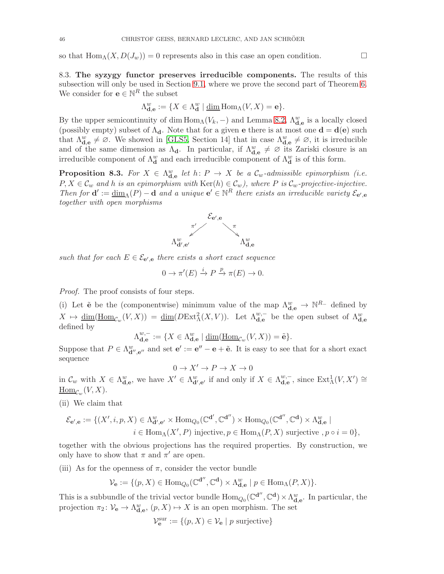so that  $\text{Hom}_{\Lambda}(X, D(J_w)) = 0$  represents also in this case an open condition.

8.3. The syzygy functor preserves irreducible components. The results of this subsection will only be used in Section [9.1,](#page-50-1) where we prove the second part of Theorem [6.](#page-6-1) We consider for  $e \in \mathbb{N}^R$  the subset

$$
\Lambda_{\mathbf{d},\mathbf{e}}^w:=\{X\in\Lambda_\mathbf{d}^w\mid\underline{\dim}\operatorname{Hom}_\Lambda(V,X)=\mathbf{e}\}.
$$

By the upper semicontinuity of dim  $\text{Hom}_{\Lambda}(V_k, -)$  and Lemma [8.2,](#page-44-2)  $\Lambda_{\mathbf{d},\mathbf{e}}^w$  is a locally closed (possibly empty) subset of  $\Lambda_d$ . Note that for a given **e** there is at most one  $\mathbf{d} = \mathbf{d}(\mathbf{e})$  such that  $\Lambda_{\mathbf{d},\mathbf{e}}^w \neq \emptyset$ . We showed in [\[GLS5,](#page-54-0) Section 14] that in case  $\Lambda_{\mathbf{d},\mathbf{e}}^w \neq \emptyset$ , it is irreducible and of the same dimension as  $\Lambda_{d}$ . In particular, if  $\Lambda_{d,e}^{w} \neq \emptyset$  its Zariski closure is an irreducible component of  $\Lambda_d^w$  and each irreducible component of  $\Lambda_d^w$  is of this form.

<span id="page-45-0"></span>**Proposition 8.3.** For  $X \in \Lambda_{\mathbf{d},\mathbf{e}}^w$  let  $h: P \to X$  be a  $\mathcal{C}_w$ -admissible epimorphism (i.e.  $P, X \in \mathcal{C}_w$  and h is an epimorphism with  $\text{Ker}(h) \in \mathcal{C}_w$ , where P is  $\mathcal{C}_w$ -projective-injective. Then for  $\mathbf{d}' := \underline{\dim}_{\Lambda}(P) - \mathbf{d}$  and a unique  $\mathbf{e}' \in \mathbb{N}^R$  there exists an irreducible variety  $\mathcal{E}_{\mathbf{e}',\mathbf{e}}$ together with open morphisms



such that for each  $E \in \mathcal{E}_{\mathbf{e}',\mathbf{e}}$  there exists a short exact sequence

$$
0 \to \pi'(E) \xrightarrow{i} P \xrightarrow{p} \pi(E) \to 0.
$$

Proof. The proof consists of four steps.

(i) Let  $\tilde{e}$  be the (componentwise) minimum value of the map  $\Lambda_{d,e}^w \to \mathbb{N}^{R_-}$  defined by  $X \mapsto \underline{\dim}(\underline{\mathrm{Hom}}_{\mathcal{C}_w}(V,X)) = \underline{\dim}(D\mathrm{Ext}^2_{\Lambda}(X,V)).$  Let  $\Lambda_{\mathbf{d,e}}^{w,-}$  be the open subset of  $\Lambda_{\mathbf{d,e}}^w$ defined by

$$
\Lambda_{\mathbf{d},\mathbf{e}}^{w,-} := \{ X \in \Lambda_{\mathbf{d},\mathbf{e}}^w \mid \underline{\dim}(\underline{\mathrm{Hom}}_{\mathcal{C}_w}(V,X)) = \tilde{\mathbf{e}} \}.
$$

Suppose that  $P \in \Lambda_{\mathbf{d}'',\mathbf{e}''}^w$  and set  $\mathbf{e}' := \mathbf{e}'' - \mathbf{e} + \tilde{\mathbf{e}}$ . It is easy to see that for a short exact sequence

$$
0\to X'\to P\to X\to 0
$$

in  $\mathcal{C}_w$  with  $X \in \Lambda_{\mathbf{d},\mathbf{e}}^w$ , we have  $X' \in \Lambda_{\mathbf{d}',\mathbf{e}'}^w$  if and only if  $X \in \Lambda_{\mathbf{d},\mathbf{e}}^{w,-}$  $_{\mathbf{d},\mathbf{e}}^{w,-}$ , since  $\mathrm{Ext}^1_\Lambda(V,X') \cong$  $\underline{\mathrm{Hom}}_{\mathcal{C}_w}(V,X).$ 

(ii) We claim that

$$
\mathcal{E}_{\mathbf{e}',\mathbf{e}} := \{ (X', i, p, X) \in \Lambda_{\mathbf{d}',\mathbf{e}'}^w \times \text{Hom}_{Q_0}(\mathbb{C}^{\mathbf{d}'}, \mathbb{C}^{\mathbf{d}'}) \times \text{Hom}_{Q_0}(\mathbb{C}^{\mathbf{d}'}, \mathbb{C}^{\mathbf{d}}) \times \Lambda_{\mathbf{d},\mathbf{e}}^w \mid i \in \text{Hom}_{\Lambda}(X', P) \text{ injective}, p \in \text{Hom}_{\Lambda}(P, X) \text{ surjective }, p \circ i = 0 \},
$$

together with the obvious projections has the required properties. By construction, we only have to show that  $\pi$  and  $\pi'$  are open.

(iii) As for the openness of  $\pi$ , consider the vector bundle

$$
\mathcal{V}_{{\bf e}}:=\{(p, X)\in \mathrm{Hom}_{Q_0}(\mathbb{C}^{\mathbf{d}''}, \mathbb{C}^{\mathbf{d}})\times \Lambda_{\mathbf{d},\mathbf{e}}^w\mid p\in \mathrm{Hom}_{\Lambda}(P, X)\}.
$$

This is a subbundle of the trivial vector bundle  $\text{Hom}_{Q_0}(\mathbb{C}^{d''}, \mathbb{C}^d) \times \Lambda_{d,e}^w$ . In particular, the projection  $\pi_2 \colon V_{\mathbf{e}} \to \Lambda_{\mathbf{d},\mathbf{e}}^w$ ,  $(p,X) \mapsto X$  is an open morphism. The set

$$
\mathcal{V}_{\mathbf{e}}^{\text{sur}} := \{ (p, X) \in \mathcal{V}_{\mathbf{e}} \mid p \text{ surjective} \}
$$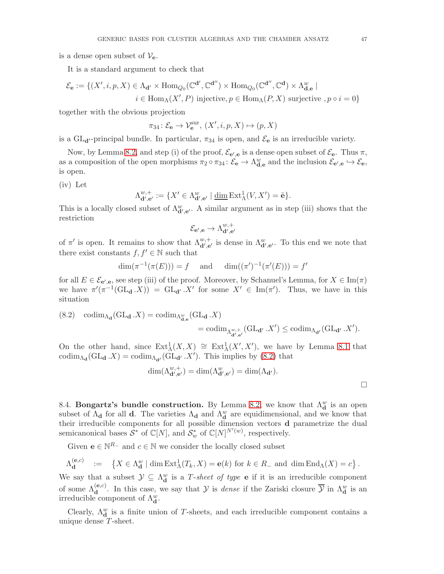is a dense open subset of  $V_{e}$ .

It is a standard argument to check that

$$
\mathcal{E}_{\mathbf{e}} := \{ (X', i, p, X) \in \Lambda_{\mathbf{d}'} \times \text{Hom}_{Q_0}(\mathbb{C}^{\mathbf{d}'}, \mathbb{C}^{\mathbf{d}'}) \times \text{Hom}_{Q_0}(\mathbb{C}^{\mathbf{d}'}, \mathbb{C}^{\mathbf{d}}) \times \Lambda_{\mathbf{d}, \mathbf{e}}^w \mid i \in \text{Hom}_{\Lambda}(X', P) \text{ injective}, p \in \text{Hom}_{\Lambda}(P, X) \text{ surjective }, p \circ i = 0 \}
$$

together with the obvious projection

$$
\pi_{34} \colon \mathcal{E}_\mathbf{e} \to \mathcal{V}_\mathbf{e}^{\text{sur}}, \ (X', i, p, X) \mapsto (p, X)
$$

is a GL<sub>d'</sub>-principal bundle. In particular,  $\pi_{34}$  is open, and  $\mathcal{E}_e$  is an irreducible variety.

Now, by Lemma [8.2,](#page-44-2) and step (i) of the proof,  $\mathcal{E}_{e',e}$  is a dense open subset of  $\mathcal{E}_{e}$ . Thus  $\pi$ , as a composition of the open morphisms  $\pi_2 \circ \pi_{34} : \mathcal{E}_e \to \Lambda_{\mathbf{d},\mathbf{e}}^w$  and the inclusion  $\mathcal{E}_{\mathbf{e}',\mathbf{e}} \hookrightarrow \mathcal{E}_{\mathbf{e}}$ , is open.

(iv) Let

$$
\Lambda_{\mathbf{d}',\mathbf{e}'}^{w,+} := \{ X' \in \Lambda_{\mathbf{d}',\mathbf{e}'}^w \mid \underline{\dim} \operatorname{Ext}^1_{\Lambda}(V, X') = \tilde{\mathbf{e}} \}.
$$

This is a locally closed subset of  $\Lambda_{\mathbf{d}',\mathbf{e}'}^w$ . A similar argument as in step (iii) shows that the restriction

$$
\mathcal{E}_{\mathbf{e}',\mathbf{e}} \to \Lambda_{\mathbf{d}',\mathbf{e}'}^{w,+}
$$

of  $\pi'$  is open. It remains to show that  $\Lambda_{\mathbf{d}',\mathbf{e}'}^{w,+}$  is dense in  $\Lambda_{\mathbf{d}',\mathbf{e}'}^w$ . To this end we note that there exist constants  $f, f' \in \mathbb{N}$  such that

$$
\dim(\pi^{-1}(\pi(E))) = f
$$
 and  $\dim((\pi')^{-1}(\pi'(E))) = f'$ 

for all  $E \in \mathcal{E}_{\mathbf{e}',\mathbf{e}}$ , see step (iii) of the proof. Moreover, by Schanuel's Lemma, for  $X \in \text{Im}(\pi)$ we have  $\pi'(\pi^{-1}(\text{GL}_{d}.X)) = \text{GL}_{d'}X'$  for some  $X' \in \text{Im}(\pi')$ . Thus, we have in this situation

<span id="page-46-0"></span>(8.2) 
$$
\operatorname{codim}_{\Lambda_{\mathbf{d}}}(\operatorname{GL}_{\mathbf{d}}.X) = \operatorname{codim}_{\Lambda_{\mathbf{d},\mathbf{e}}^w}(\operatorname{GL}_{\mathbf{d}}.X)
$$

$$
= \operatorname{codim}_{\Lambda_{\mathbf{d}',\mathbf{e}'}}(\operatorname{GL}_{\mathbf{d}'}.X') \le \operatorname{codim}_{\Lambda_{\mathbf{d}'}}(\operatorname{GL}_{\mathbf{d}'}.X').
$$

On the other hand, since  $Ext^1_{\Lambda}(X,X) \cong Ext^1_{\Lambda}(X',X')$ , we have by Lemma [8.1](#page-44-0) that codim<sub> $\Lambda_{\mathbf{d}}(\mathrm{GL}_{\mathbf{d}}\cdot X) = \text{codim}_{\Lambda_{\mathbf{d'}}}(\mathrm{GL}_{\mathbf{d'}}\cdot X')$ . This implies by [\(8.2\)](#page-46-0) that</sub>

$$
\dim(\Lambda_{\mathbf{d}',\mathbf{e}'}^{w,+}) = \dim(\Lambda_{\mathbf{d}',\mathbf{e}'}^{w}) = \dim(\Lambda_{\mathbf{d}'}).
$$

8.4. Bongartz's bundle construction. By Lemma [8.2,](#page-44-2) we know that  $\Lambda_d^w$  is an open subset of  $\Lambda_{d}$  for all **d**. The varieties  $\Lambda_{d}$  and  $\Lambda_{d}^{w}$  are equidimensional, and we know that their irreducible components for all possible dimension vectors d parametrize the dual semicanonical bases  $\mathcal{S}^*$  of  $\mathbb{C}[N]$ , and  $\mathcal{S}_w^*$  of  $\mathbb{C}[N]^{N'(w)}$ , respectively.

Given  $\mathbf{e} \in \mathbb{N}^{R_-}$  and  $c \in \mathbb{N}$  we consider the locally closed subset

$$
\Lambda_{\mathbf{d}}^{(\mathbf{e},c)} \quad := \quad \left\{ X \in \Lambda_{\mathbf{d}}^w \mid \dim \mathrm{Ext}^1_{\Lambda}(T_k,X) = \mathbf{e}(k) \text{ for } k \in R_- \text{ and } \dim \mathrm{End}_{\Lambda}(X) = c \right\}.
$$

We say that a subset  $\mathcal{Y} \subseteq \Lambda_d^w$  is a T-sheet of type **e** if it is an irreducible component of some  $\Lambda_{\bf d}^{(e,c)}$ . In this case, we say that  $\mathcal Y$  is *dense* if the Zariski closure  $\overline{\mathcal Y}$  in  $\Lambda_{\bf d}^w$  is an irreducible component of  $\Lambda_d^w$ .

Clearly,  $\Lambda_d^w$  is a finite union of T-sheets, and each irreducible component contains a unique dense T-sheet.

 $\Box$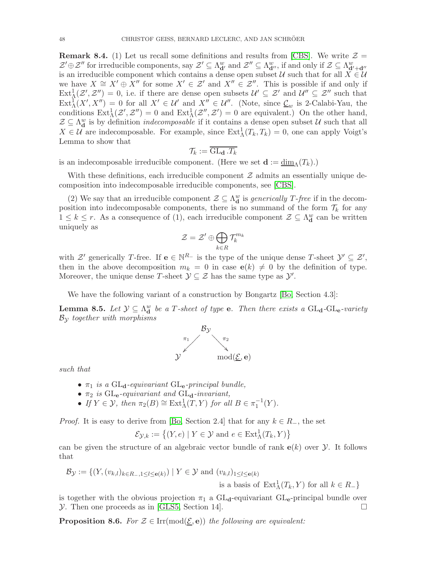**Remark 8.4.** (1) Let us recall some definitions and results from [\[CBS\]](#page-53-20). We write  $\mathcal{Z} =$  $\mathcal{Z}'\oplus\mathcal{Z}''$  for irreducible components, say  $\mathcal{Z}'\subseteq \Lambda_{\mathbf{d}'}^w$  and  $\mathcal{Z}''\subseteq \Lambda_{\mathbf{d}''}^w$ , if and only if  $\mathcal{Z}\subseteq \Lambda_{\mathbf{d}'+\mathbf{d}''}^w$ is an irreducible component which contains a dense open subset U such that for all  $X \in U$ we have  $X \cong X' \oplus X''$  for some  $X' \in \mathcal{Z}'$  and  $X'' \in \mathcal{Z}''$ . This is possible if and only if  $Ext^1_{\Lambda}(\mathcal{Z}',\mathcal{Z}'')=0$ , i.e. if there are dense open subsets  $\mathcal{U}'\subseteq \mathcal{Z}'$  and  $\mathcal{U}''\subseteq \mathcal{Z}''$  such that  $\text{Ext}^1_\Lambda(X',X'') = 0$  for all  $X' \in \mathcal{U}'$  and  $X'' \in \mathcal{U}''$ . (Note, since  $\underline{\mathcal{C}}_w$  is 2-Calabi-Yau, the conditions  $\text{Ext}^1_{\Lambda}(\mathcal{Z}', \mathcal{Z}'') = 0$  and  $\text{Ext}^1_{\Lambda}(\mathcal{Z}'', \mathcal{Z}') = 0$  are equivalent.) On the other hand,  $\mathcal{Z} \subseteq \Lambda_d^w$  is by definition *indecomposable* if it contains a dense open subset  $\mathcal{U}$  such that all  $X \in \mathcal{U}$  are indecomposable. For example, since  $\text{Ext}^1_{\Lambda}(T_k, T_k) = 0$ , one can apply Voigt's Lemma to show that

$$
\mathcal{T}_k := \overline{\mathrm{GL}_{\mathbf{d}}\,.\,T_k}
$$

is an indecomposable irreducible component. (Here we set  $\mathbf{d} := \underline{\dim}_{\Lambda}(T_k)$ .)

With these definitions, each irreducible component  $\mathcal Z$  admits an essentially unique decomposition into indecomposable irreducible components, see [\[CBS\]](#page-53-20).

(2) We say that an irreducible component  $\mathcal{Z} \subseteq \Lambda_d^w$  is *generically T-free* if in the decomposition into indecomposable components, there is no summand of the form  $\mathcal{T}_k$  for any  $1 \leq k \leq r$ . As a consequence of (1), each irreducible component  $\mathcal{Z} \subseteq \Lambda_d^w$  can be written uniquely as

$$
\mathcal{Z} = \mathcal{Z}' \oplus \bigoplus_{k \in R} \mathcal{T}_k^{m_k}
$$

with  $\mathcal{Z}'$  generically T-free. If  $e \in \mathbb{N}^{R-}$  is the type of the unique dense T-sheet  $\mathcal{Y}' \subseteq \mathcal{Z}'$ , then in the above decomposition  $m_k = 0$  in case  $e(k) \neq 0$  by the definition of type. Moreover, the unique dense T-sheet  $\mathcal{Y} \subseteq \mathcal{Z}$  has the same type as  $\mathcal{Y}'$ .

We have the following variant of a construction by Bongartz [\[Bo,](#page-53-21) Section 4.3]:

**Lemma 8.5.** Let  $\mathcal{Y} \subseteq \Lambda_d^w$  be a T-sheet of type **e**. Then there exists a  $GL_d$ - $GL_e$ -variety  $\mathcal{B}_{\mathcal{Y}}$  together with morphisms



such that

- $\pi_1$  is a GL<sub>d</sub>-equivariant GL<sub>e</sub>-principal bundle,
- $\bullet$   $\pi_2$  is GL<sub>e</sub>-equivariant and GL<sub>d</sub>-invariant,
- If  $Y \in \mathcal{Y}$ , then  $\pi_2(B) \cong \text{Ext}^1_{\Lambda}(T, Y)$  for all  $B \in \pi_1^{-1}(Y)$ .

*Proof.* It is easy to derive from [\[Bo,](#page-53-21) Section 2.4] that for any  $k \in R_-,$  the set

$$
\mathcal{E}_{\mathcal{Y},k} := \left\{ (Y,e) \mid Y \in \mathcal{Y} \text{ and } e \in \text{Ext}^1_{\Lambda}(T_k,Y) \right\}
$$

can be given the structure of an algebraic vector bundle of rank  $e(k)$  over  $\mathcal Y$ . It follows that

$$
\mathcal{B}_{\mathcal{Y}} := \{ (Y, (v_{k,l})_{k \in R_-, 1 \le l \le \mathbf{e}(k)}) \mid Y \in \mathcal{Y} \text{ and } (v_{k,l})_{1 \le l \le \mathbf{e}(k)}
$$

is a basis of  $\text{Ext}^1_{\Lambda}(T_k, Y)$  for all  $k \in R_-\}$ 

is together with the obvious projection  $\pi_1$  a GL<sub>d</sub>-equivariant GL<sub>e</sub>-principal bundle over  $\mathcal Y$ . Then one proceeds as in [\[GLS5,](#page-54-0) Section 14].

<span id="page-47-0"></span>**Proposition 8.6.** For  $\mathcal{Z} \in \text{Irr}(\text{mod}(\underline{\mathcal{E}}, e))$  the following are equivalent: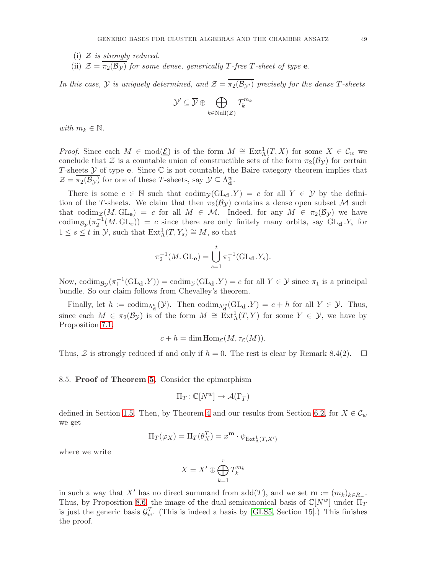- (i)  $\mathcal Z$  is strongly reduced.
- (ii)  $\mathcal{Z} = \overline{\pi_2(\mathcal{B}_\mathcal{Y})}$  for some dense, generically T-free T-sheet of type **e**.

In this case, Y is uniquely determined, and  $\mathcal{Z} = \overline{\pi_2(\mathcal{B}_{\mathcal{Y}'})}$  precisely for the dense T-sheets

$$
\mathcal{Y}' \subseteq \overline{\mathcal{Y}} \oplus \bigoplus_{k \in \text{Null}(\mathcal{Z})} \mathcal{T}_k^{m_k}
$$

with  $m_k \in \mathbb{N}$ .

*Proof.* Since each  $M \in \text{mod}(\underline{\mathcal{E}})$  is of the form  $M \cong \text{Ext}^1_{\Lambda}(T,X)$  for some  $X \in \mathcal{C}_w$  we conclude that  $\mathcal Z$  is a countable union of constructible sets of the form  $\pi_2(\mathcal B_{\mathcal Y})$  for certain T-sheets  $Y$  of type e. Since  $\mathbb C$  is not countable, the Baire category theorem implies that  $\mathcal{Z} = \overline{\pi_2(\mathcal{B}_\mathcal{Y})}$  for one of these T-sheets, say  $\mathcal{Y} \subseteq \Lambda_d^w$ .

There is some  $c \in \mathbb{N}$  such that  $\text{codim}_{\mathcal{Y}}(\text{GL}_{d}.Y) = c$  for all  $Y \in \mathcal{Y}$  by the definition of the T-sheets. We claim that then  $\pi_2(\mathcal{B}_{\mathcal{Y}})$  contains a dense open subset M such that codim<sub>Z</sub>(M. GL<sub>e</sub>) = c for all  $M \in \mathcal{M}$ . Indeed, for any  $M \in \pi_2(\mathcal{B}_{\mathcal{Y}})$  we have codim<sub>By</sub> $(\pi_2^{-1}(M, GL_e)) = c$  since there are only finitely many orbits, say  $GL_d Y_s$  for  $1 \leq s \leq t$  in  $\mathcal{Y}$ , such that  $\text{Ext}^1_{\Lambda}(T, Y_s) \cong M$ , so that

$$
\pi_2^{-1}(M, GL_{\mathbf{e}}) = \bigcup_{s=1}^t \pi_1^{-1}(GL_{\mathbf{d}}.Y_s).
$$

Now, codim<sub>By</sub> $(\pi_1^{-1}(\text{GL}_d \cdot Y)) = \text{codim}_y(\text{GL}_d \cdot Y) = c$  for all  $Y \in \mathcal{Y}$  since  $\pi_1$  is a principal bundle. So our claim follows from Chevalley's theorem.

Finally, let  $h := \text{codim}_{\Lambda_d^w}(\mathcal{Y})$ . Then  $\text{codim}_{\Lambda_d^w}(\text{GL}_d \cdot Y) = c + h$  for all  $Y \in \mathcal{Y}$ . Thus, since each  $M \in \pi_2(\mathcal{B}_{\mathcal{Y}})$  is of the form  $M \cong \text{Ext}^1_{\Lambda}(T, Y)$  for some  $Y \in \mathcal{Y}$ , we have by Proposition [7.1,](#page-42-2)

$$
c + h = \dim \operatorname{Hom}_{\underline{\mathcal{E}}}(M, \tau_{\underline{\mathcal{E}}}(M)).
$$

Thus, Z is strongly reduced if and only if  $h = 0$ . The rest is clear by Remark 8.4(2).  $\Box$ 

8.5. Proof of Theorem [5.](#page-5-0) Consider the epimorphism

$$
\Pi_T \colon \mathbb{C}[N^w] \to \mathcal{A}(\underline{\Gamma}_T)
$$

defined in Section [1.5.](#page-4-2) Then, by Theorem [4](#page-4-1) and our results from Section [6.2,](#page-36-3) for  $X \in \mathcal{C}_w$ we get

$$
\Pi_T(\varphi_X) = \Pi_T(\theta_X^T) = x^{\mathbf{m}} \cdot \psi_{\text{Ext}^1_{\Lambda}(T,X')}
$$

where we write

$$
X = X' \oplus \bigoplus_{k=1}^r T_k^{m_k}
$$

in such a way that X' has no direct summand from  $add(T)$ , and we set  $\mathbf{m} := (m_k)_{k \in R}$ . Thus, by Proposition [8.6,](#page-47-0) the image of the dual semicanonical basis of  $\mathbb{C}[N^w]$  under  $\Pi_T$ is just the generic basis  $\mathcal{G}_{w}^{T}$ . (This is indeed a basis by [\[GLS5,](#page-54-0) Section 15].) This finishes the proof.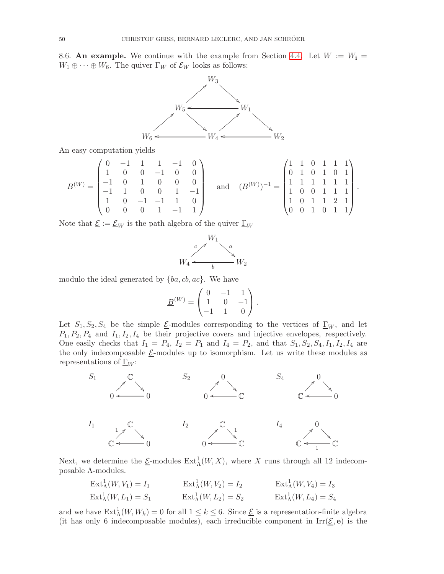<span id="page-49-0"></span>8.6. An example. We continue with the example from Section [4.4.](#page-27-1) Let  $W := W_i =$  $W_1 \oplus \cdots \oplus W_6$ . The quiver  $\Gamma_W$  of  $\mathcal{E}_W$  looks as follows:



An easy computation yields

$$
B^{(W)} = \begin{pmatrix} 0 & -1 & 1 & 1 & -1 & 0 \\ 1 & 0 & 0 & -1 & 0 & 0 \\ -1 & 0 & 1 & 0 & 0 & 0 \\ -1 & 1 & 0 & 0 & 1 & -1 \\ 1 & 0 & -1 & -1 & 1 & 0 \\ 0 & 0 & 0 & 1 & -1 & 1 \end{pmatrix} \quad \text{and} \quad (B^{(W)})^{-1} = \begin{pmatrix} 1 & 1 & 0 & 1 & 1 & 1 \\ 0 & 1 & 0 & 1 & 0 & 1 \\ 1 & 1 & 1 & 1 & 1 & 1 \\ 1 & 0 & 0 & 1 & 1 & 1 \\ 1 & 0 & 1 & 1 & 2 & 1 \\ 0 & 0 & 1 & 0 & 1 & 1 \end{pmatrix}.
$$

Note that  $\underline{\mathcal{E}} := \underline{\mathcal{E}}_W$  is the path algebra of the quiver  $\underline{\Gamma}_W$ 



modulo the ideal generated by  ${ba, cb, ac}$ . We have

$$
\underline{B}^{(W)} = \begin{pmatrix} 0 & -1 & 1 \\ 1 & 0 & -1 \\ -1 & 1 & 0 \end{pmatrix}.
$$

Let  $S_1, S_2, S_4$  be the simple *E*-modules corresponding to the vertices of  $\Gamma_W$ , and let  $P_1, P_2, P_4$  and  $I_1, I_2, I_4$  be their projective covers and injective envelopes, respectively. One easily checks that  $I_1 = P_4$ ,  $I_2 = P_1$  and  $I_4 = P_2$ , and that  $S_1, S_2, S_4, I_1, I_2, I_4$  are the only indecomposable  $E$ -modules up to isomorphism. Let us write these modules as representations of  $\underline{\Gamma}_W$ :



Next, we determine the  $\underline{\mathcal{E}}$ -modules  $\mathrm{Ext}^1_\Lambda(W,X)$ , where X runs through all 12 indecomposable Λ-modules.

$$
\operatorname{Ext}_{\Lambda}^{1}(W, V_{1}) = I_{1} \qquad \qquad \operatorname{Ext}_{\Lambda}^{1}(W, V_{2}) = I_{2} \qquad \qquad \operatorname{Ext}_{\Lambda}^{1}(W, V_{4}) = I_{3}
$$
\n
$$
\operatorname{Ext}_{\Lambda}^{1}(W, L_{1}) = S_{1} \qquad \qquad \operatorname{Ext}_{\Lambda}^{1}(W, L_{2}) = S_{2} \qquad \qquad \operatorname{Ext}_{\Lambda}^{1}(W, L_{4}) = S_{4}
$$

and we have  $\text{Ext}^1_\Lambda(W, W_k) = 0$  for all  $1 \leq k \leq 6$ . Since  $\underline{\mathcal{E}}$  is a representation-finite algebra (it has only 6 indecomposable modules), each irreducible component in  $\text{Irr}(\underline{\mathcal{E}},\mathbf{e})$  is the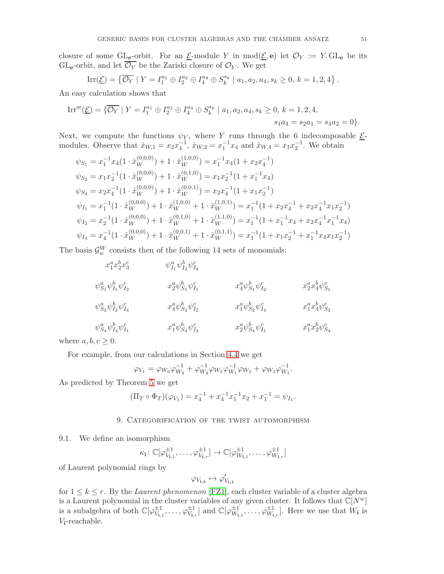closure of some GL<sub>e</sub>-orbit. For an <u>E</u>-module Y in mod $(\underline{\mathcal{E}}, \mathbf{e})$  let  $\mathcal{O}_Y := Y$ . GL<sub>e</sub> be its GL<sub>e</sub>-orbit, and let  $\overline{\mathcal{O}_Y}$  be the Zariski closure of  $\mathcal{O}_Y$ . We get

$$
\operatorname{Irr}(\underline{\mathcal{E}}) = \left\{ \overline{\mathcal{O}_Y} \mid Y = I_1^{a_1} \oplus I_2^{a_2} \oplus I_4^{a_4} \oplus S_k^{s_k} \mid a_1, a_2, a_4, s_k \ge 0, k = 1, 2, 4 \right\}.
$$

An easy calculation shows that

$$
\operatorname{Irr}^{\operatorname{sr}}(\underline{\mathcal{E}}) = \{ \overline{\mathcal{O}_Y} \mid Y = I_1^{a_1} \oplus I_2^{a_2} \oplus I_4^{a_4} \oplus S_k^{s_k} \mid a_1, a_2, a_4, s_k \ge 0, k = 1, 2, 4, s_1 a_4 = s_2 a_1 = s_4 a_2 = 0 \}.
$$

Next, we compute the functions  $\psi_Y$ , where Y runs through the 6 indecomposable  $\underline{\mathcal{E}}$ modules. Observe that  $\hat{x}_{W,1} = x_2 x_4^{-1}$ ,  $\hat{x}_{W,2} = x_1^{-1} x_4$  and  $\hat{x}_{W,4} = x_1 x_2^{-1}$ . We obtain

$$
\psi_{S_1} = x_1^{-1} x_4 (1 \cdot \hat{x}_W^{(0,0,0)}) + 1 \cdot \hat{x}_W^{(1,0,0)}) = x_1^{-1} x_4 (1 + x_2 x_4^{-1})
$$
  
\n
$$
\psi_{S_2} = x_1 x_2^{-1} (1 \cdot \hat{x}_W^{(0,0,0)}) + 1 \cdot \hat{x}_W^{(0,1,0)}) = x_1 x_2^{-1} (1 + x_1^{-1} x_4)
$$
  
\n
$$
\psi_{S_4} = x_2 x_4^{-1} (1 \cdot \hat{x}_W^{(0,0,0)}) + 1 \cdot \hat{x}_W^{(0,0,1)}) = x_2 x_4^{-1} (1 + x_1 x_2^{-1})
$$
  
\n
$$
\psi_{I_1} = x_1^{-1} (1 \cdot \hat{x}_W^{(0,0,0)}) + 1 \cdot \hat{x}_W^{(1,0,0)} + 1 \cdot \hat{x}_W^{(1,0,1)}) = x_1^{-1} (1 + x_2 x_4^{-1} + x_2 x_4^{-1} x_1 x_2^{-1})
$$
  
\n
$$
\psi_{I_2} = x_2^{-1} (1 \cdot \hat{x}_W^{(0,0,0)}) + 1 \cdot \hat{x}_W^{(0,1,0)} + 1 \cdot \hat{x}_W^{(1,1,0)}) = x_1^{-1} (1 + x_1^{-1} x_4 + x_2 x_4^{-1} x_1^{-1} x_4)
$$
  
\n
$$
\psi_{I_4} = x_4^{-1} (1 \cdot \hat{x}_W^{(0,0,0)}) + 1 \cdot \hat{x}_W^{(0,0,1)} + 1 \cdot \hat{x}_W^{(0,1,1)}) = x_1^{-1} (1 + x_1 x_2^{-1} + x_1^{-1} x_4 x_1 x_2^{-1})
$$

The basis  $\mathcal{G}_{w}^{W}$  consists then of the following 14 sets of monomials:

| $x_1^a x_2^b x_3^c$                    | $\psi^a_{I_1}\psi^b_{I_2}\psi^c_{I_4}$ |                                   |                            |
|----------------------------------------|----------------------------------------|-----------------------------------|----------------------------|
| $\psi^a_{S_1}\psi^b_{I_1}\psi^c_{I_2}$ | $x_2^a \psi^b_{S_1} \psi^c_{I_1}$      | $x_4^a \psi_{S_1}^b \psi_{I_2}^c$ | $x_2^ax_4^b\psi^c_{S_1}$   |
| $\psi^a_{S_2}\psi^b_{I_2}\psi^c_{I_4}$ | $x_4^a \psi_{S_2}^b \psi_{I_2}^c$      | $x_1^a \psi_{S_2}^b \psi_{I_4}^c$ | $x_1^a x_4^b \psi_{S_2}^c$ |
| $\psi^a_{S_4}\psi^b_{I_4}\psi^c_{I_1}$ | $x_1^a \psi_{S_4}^b \psi_{I_4}^c$      | $x_2^a \psi^b_{S_4} \psi^c_{I_1}$ | $x_1^a x_2^b \psi_{S_4}^c$ |
| c > 0                                  |                                        |                                   |                            |

where  $a, b, c \geq 0$ .

For example, from our calculations in Section [4.4](#page-27-1) we get

$$
\varphi_{V_1} = \varphi_{W_6} \varphi_{W_4}^{-1} + \varphi_{W_4}^{-1} \varphi_{W_5} \varphi_{W_1}^{-1} \varphi_{W_2} + \varphi_{W_3} \varphi_{W_1}^{-1}.
$$

<span id="page-50-0"></span>As predicted by Theorem [5](#page-5-0) we get

$$
(\Pi_T \circ \Phi_T)(\varphi_{V_1}) = x_4^{-1} + x_4^{-1}x_1^{-1}x_2 + x_1^{-1} = \psi_{I_1}.
$$

# 9. Categorification of the twist automorphism

# <span id="page-50-1"></span>9.1. We define an isomorphism

$$
\kappa_{\mathbf{i}} \colon \mathbb{C}[\varphi^{\pm 1}_{V_{\mathbf{i},1}}, \dots, \varphi^{\pm 1}_{V_{\mathbf{i},r}}] \to \mathbb{C}[\varphi^{\pm 1}_{W_{\mathbf{i},1}}, \dots, \varphi^{\pm 1}_{W_{\mathbf{i},r}}]
$$

of Laurent polynomial rings by

$$
\varphi_{V_{{\mathbf i},k}} \mapsto \varphi'_{V_{{\mathbf i},k}}
$$

for  $1 \leq k \leq r$ . By the *Laurent phenomenon* [\[FZ1\]](#page-53-22), each cluster variable of a cluster algebra is a Laurent polynomial in the cluster variables of any given cluster. It follows that  $\mathbb{C}[N^w]$ is a subalgebra of both  $\mathbb{C}[\varphi^{\pm 1}_{V_{i,1}}, \ldots, \varphi^{\pm 1}_{V_{i,r}}]$  and  $\mathbb{C}[\varphi^{\pm 1}_{W_{i,1}}, \ldots, \varphi^{\pm 1}_{W_{i,r}}]$ . Here we use that  $W_i$  is Vi-reachable.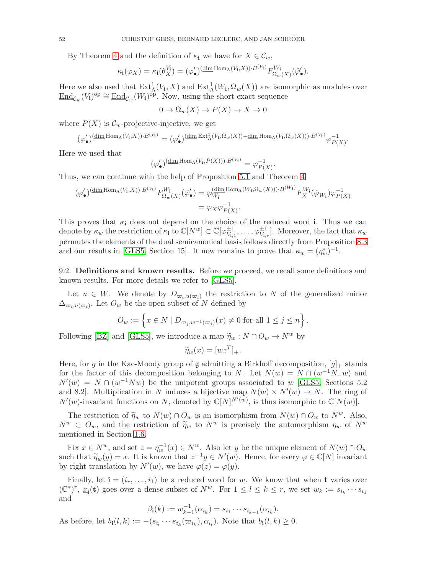By Theorem [4](#page-4-1) and the definition of  $\kappa_i$  we have for  $X \in \mathcal{C}_w$ ,

$$
\kappa_{\mathbf{i}}(\varphi_X) = \kappa_{\mathbf{i}}(\theta_X^{V_{\mathbf{i}}}) = (\varphi_{\bullet}')^{\left(\underline{\dim} \operatorname{Hom}_{\Lambda}(V_{\mathbf{i}},X)\right) \cdot B^{(V_{\mathbf{i}})}} F_{\Omega_w(X)}^{W_{\mathbf{i}}}(\hat{\varphi}_{\bullet}').
$$

Here we also used that  $Ext^1_\Lambda(V_i,X)$  and  $Ext^1_\Lambda(W_i,\Omega_w(X))$  are isomorphic as modules over  $\underline{\text{End}}_{\mathcal{C}_w}(V_{\mathbf{i}})^{\text{op}} \cong \underline{\text{End}}_{\mathcal{C}_w}(W_{\mathbf{i}})^{\text{op}}.$  Now, using the short exact sequence

$$
0 \to \Omega_w(X) \to P(X) \to X \to 0
$$

where  $P(X)$  is  $\mathcal{C}_w$ -projective-injective, we get

$$
(\varphi'_\bullet)(\underline{\dim} \operatorname{Hom}_\Lambda(V_i,X))\cdot B^{(V_i)} = (\varphi'_\bullet)(\underline{\dim} \operatorname{Ext}^1_\Lambda(V_i,\Omega_w(X)) - \underline{\dim} \operatorname{Hom}_\Lambda(V_i,\Omega_w(X)))\cdot B^{(V_i)}\varphi_{P(X)}^{-1}.
$$

Here we used that

$$
(\varphi_\bullet')^{(\underline{\dim} \operatorname{Hom}_\Lambda(V_i, P(X))) \cdot B^{(V_i)}} = \varphi_{P(X)}^{-1}.
$$

Thus, we can continue with the help of Proposition [5.1](#page-28-1) and Theorem [4:](#page-4-1)

$$
\begin{split} (\varphi_{\bullet}')^{(\underline{\dim}\operatorname{Hom}_{\Lambda}(V_{\mathbf{i}},X))\cdot B^{(V_{\mathbf{i}})}} F_{\Omega_{w}(X)}^{W_{\mathbf{i}}}(\hat{\varphi}_{\bullet}') &= \varphi_{W_{\mathbf{i}}}^{(\underline{\dim}\operatorname{Hom}_{\Lambda}(W_{\mathbf{i}},\Omega_{w}(X)))\cdot B^{(W_{\mathbf{i}})}} F_{X}^{W_{\mathbf{i}}}(\hat{\varphi}_{W_{\mathbf{i}}}) \varphi_{P(X)}^{-1} \\ &= \varphi_{X}\varphi_{P(X)}^{-1} .\end{split}
$$

This proves that  $\kappa_i$  does not depend on the choice of the reduced word i. Thus we can denote by  $\kappa_w$  the restriction of  $\kappa_i$  to  $\mathbb{C}[N^w] \subset \mathbb{C}[\varphi_{V_i}^{\pm 1}]$  $\psi_{V_{i,1}}^{\pm 1}, \ldots, \varphi_{V_{i,r}}^{\pm 1}$ . Moreover, the fact that  $\kappa_w$ permutes the elements of the dual semicanonical basis follows directly from Proposition [8.3](#page-45-0) and our results in [\[GLS5,](#page-54-0) Section 15]. It now remains to prove that  $\kappa_w = (\eta_w^*)^{-1}$ .

9.2. Definitions and known results. Before we proceed, we recall some definitions and known results. For more details we refer to [\[GLS5\]](#page-54-0).

Let  $u \in W$ . We denote by  $D_{\varpi_i, u(\varpi_i)}$  the restriction to N of the generalized minor  $\Delta_{\varpi_i, u(\varpi_i)}$ . Let  $O_w$  be the open subset of N defined by

$$
O_w := \left\{ x \in N \mid D_{\varpi_j, w^{-1}(\varpi_j)}(x) \neq 0 \text{ for all } 1 \leq j \leq n \right\}.
$$

Following [\[BZ\]](#page-53-8) and [\[GLS5\]](#page-54-0), we introduce a map  $\widetilde{\eta}_w : N \cap O_w \to N^w$  by

$$
\widetilde{\eta}_w(x) = [wz^T]_+.
$$

Here, for g in the Kac-Moody group of g admitting a Birkhoff decomposition,  $[g]_+$  stands for the factor of this decomposition belonging to N. Let  $N(w) = N \cap (w^{-1}N_{-}w)$  and  $N'(w) = N \cap (w^{-1}Nw)$  be the unipotent groups associated to w [\[GLS5,](#page-54-0) Sections 5.2] and 8.2. Multiplication in N induces a bijective map  $N(w) \times N'(w) \to N$ . The ring of  $N'(w)$ -invariant functions on N, denoted by  $\mathbb{C}[N]^{N'(w)}$ , is thus isomorphic to  $\mathbb{C}[N(w)]$ .

The restriction of  $\widetilde{\eta}_w$  to  $N(w) \cap O_w$  is an isomorphism from  $N(w) \cap O_w$  to  $N^w$ . Also,  $N^w \subset O_w$ , and the restriction of  $\widetilde{\eta}_w$  to  $N^w$  is precisely the automorphism  $\eta_w$  of  $N^w$ mentioned in Section [1.6.](#page-6-0)

Fix  $x \in N^w$ , and set  $z = \eta_w^{-1}(x) \in N^w$ . Also let y be the unique element of  $N(w) \cap O_w$ such that  $\widetilde{\eta}_w(y) = x$ . It is known that  $z^{-1}y \in N'(w)$ . Hence, for every  $\varphi \in \mathbb{C}[N]$  invariant by right translation by  $N'(w)$ , we have  $\varphi(z) = \varphi(y)$ .

Finally, let  $\mathbf{i} = (i_r, \dots, i_1)$  be a reduced word for w. We know that when **t** varies over  $(\mathbb{C}^*)^r, \underline{x_i}(\mathbf{t})$  goes over a dense subset of  $N^w$ . For  $1 \leq l \leq k \leq r$ , we set  $w_k := s_{i_k} \cdots s_{i_1}$ and

$$
\beta_{\mathbf{i}}(k) := w_{k-1}^{-1}(\alpha_{i_k}) = s_{i_1} \cdots s_{i_{k-1}}(\alpha_{i_k}).
$$

As before, let  $b_i(l,k) := -(s_{i_l} \cdots s_{i_k}(\varpi_{i_k}), \alpha_{i_l})$ . Note that  $b_i(l,k) \geq 0$ .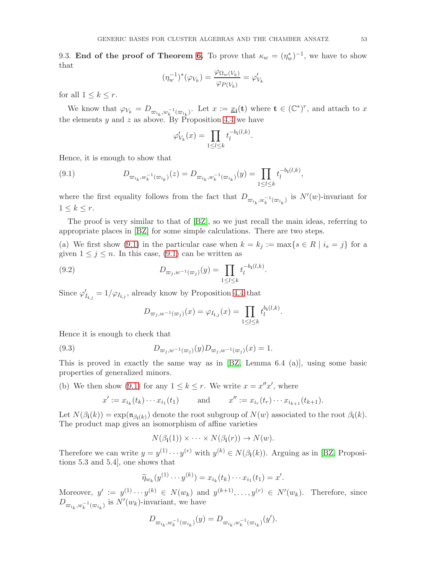9.3. End of the proof of Theorem [6.](#page-6-1) To prove that  $\kappa_w = (\eta_w^*)^{-1}$ , we have to show that

$$
(\eta_w^{-1})^*(\varphi_{V_k}) = \frac{\varphi_{\Omega_w(V_k)}}{\varphi_{P(V_k)}} = \varphi'_{V_k}
$$

for all  $1 \leq k \leq r$ .

We know that  $\varphi_{V_k} = D_{\varpi_{i_k}, w_k^{-1}(\varpi_{i_k})}$ . Let  $x := \underline{x_i}(\mathbf{t})$  where  $\mathbf{t} \in (\mathbb{C}^*)^r$ , and attach to x the elements y and z as above. By Proposition [4.4](#page-26-0) we have

<span id="page-52-0"></span>
$$
\varphi'_{V_k}(x) = \prod_{1 \le l \le k} t_l^{-b_1(l,k)}.
$$

Hence, it is enough to show that

(9.1) 
$$
D_{\varpi_{i_k}, w_k^{-1}(\varpi_{i_k})}(z) = D_{\varpi_{i_k}, w_k^{-1}(\varpi_{i_k})}(y) = \prod_{1 \leq l \leq k} t_l^{-b_l(l,k)},
$$

where the first equality follows from the fact that  $D_{\varpi_{i_k},w_k^{-1}(\varpi_{i_k})}$  is  $N'(w)$ -invariant for  $1 \leq k \leq r$ .

The proof is very similar to that of [\[BZ\]](#page-53-8), so we just recall the main ideas, referring to appropriate places in [\[BZ\]](#page-53-8) for some simple calculations. There are two steps.

(a) We first show [\(9.1\)](#page-52-0) in the particular case when  $k = k_j := \max\{s \in R \mid i_s = j\}$  for a given  $1 \leq j \leq n$ . In this case, [\(9.1\)](#page-52-0) can be written as

.

(9.2) 
$$
D_{\varpi_j, w^{-1}(\varpi_j)}(y) = \prod_{1 \le l \le k} t_l^{-b_i(l,k)}
$$

Since  $\varphi'_{I_{i,j}} = 1/\varphi_{I_{i,j}}$ , already know by Proposition [4.4](#page-26-0) that

$$
D_{\varpi_j, w^{-1}(\varpi_j)}(x) = \varphi_{I_{{\bf i},j}}(x) = \prod_{1 \leq l \leq k} t_l^{b_{\bf i}(l,k)}.
$$

Hence it is enough to check that

(9.3) 
$$
D_{\varpi_j, w^{-1}(\varpi_j)}(y) D_{\varpi_j, w^{-1}(\varpi_j)}(x) = 1.
$$

This is proved in exactly the same way as in [\[BZ,](#page-53-8) Lemma 6.4 (a)], using some basic properties of generalized minors.

(b) We then show [\(9.1\)](#page-52-0) for any  $1 \leq k \leq r$ . We write  $x = x''x'$ , where

$$
x' := x_{i_k}(t_k) \cdots x_{i_1}(t_1)
$$
 and  $x'' := x_{i_r}(t_r) \cdots x_{i_{k+1}}(t_{k+1}).$ 

Let  $N(\beta_i(k)) = \exp(\mathfrak{n}_{\beta_i(k)})$  denote the root subgroup of  $N(w)$  associated to the root  $\beta_i(k)$ . The product map gives an isomorphism of affine varieties

$$
N(\beta_{\mathbf{i}}(1)) \times \cdots \times N(\beta_{\mathbf{i}}(r)) \to N(w).
$$

Therefore we can write  $y = y^{(1)} \cdots y^{(r)}$  with  $y^{(k)} \in N(\beta_i(k))$ . Arguing as in [\[BZ,](#page-53-8) Propositions 5.3 and 5.4], one shows that

$$
\widetilde{\eta}_{w_k}(y^{(1)} \cdots y^{(k)}) = x_{i_k}(t_k) \cdots x_{i_1}(t_1) = x'.
$$

Moreover,  $y' := y^{(1)} \cdots y^{(k)} \in N(w_k)$  and  $y^{(k+1)} \dots, y^{(r)} \in N'(w_k)$ . Therefore, since  $D_{\varpi_{i_k},w_k^{-1}(\varpi_{i_k})}$  is  $N'(w_k)$ -invariant, we have

$$
D_{\varpi_{i_k},w_k^{-1}(\varpi_{i_k})}(y)=D_{\varpi_{i_k},w_k^{-1}(\varpi_{i_k})}(y').
$$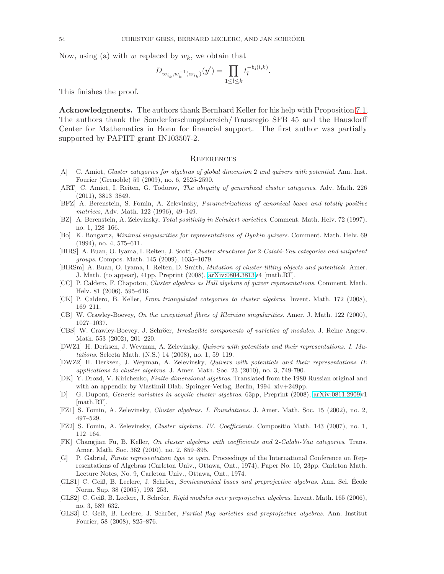Now, using (a) with w replaced by  $w_k$ , we obtain that

$$
D_{\varpi_{i_k}, w_k^{-1}(\varpi_{i_k})}(y') = \prod_{1 \leq l \leq k} t_l^{-b_l(l,k)}.
$$

This finishes the proof.

Acknowledgments. The authors thank Bernhard Keller for his help with Proposition [7.1.](#page-42-2) The authors thank the Sonderforschungsbereich/Transregio SFB 45 and the Hausdorff Center for Mathematics in Bonn for financial support. The first author was partially supported by PAPIIT grant IN103507-2.

### <span id="page-53-0"></span>**REFERENCES**

- <span id="page-53-17"></span>[A] C. Amiot, Cluster categories for algebras of global dimension 2 and quivers with potential. Ann. Inst. Fourier (Grenoble) 59 (2009), no. 6, 2525-2590.
- <span id="page-53-18"></span>[ART] C. Amiot, I. Reiten, G. Todorov, The ubiquity of generalized cluster categories. Adv. Math. 226 (2011), 3813–3849.
- <span id="page-53-7"></span>[BFZ] A. Berenstein, S. Fomin, A. Zelevinsky, Parametrizations of canonical bases and totally positive matrices, Adv. Math. 122 (1996), 49–149.
- <span id="page-53-8"></span>[BZ] A. Berenstein, A. Zelevinsky, Total positivity in Schubert varieties. Comment. Math. Helv. 72 (1997), no. 1, 128–166.
- <span id="page-53-21"></span>[Bo] K. Bongartz, Minimal singularities for representations of Dynkin quivers. Comment. Math. Helv. 69 (1994), no. 4, 575–611.
- <span id="page-53-10"></span>[BIRS] A. Buan, O. Iyama, I. Reiten, J. Scott, Cluster structures for 2-Calabi-Yau categories and unipotent groups. Compos. Math. 145 (2009), 1035–1079.
- <span id="page-53-12"></span>[BIRSm] A. Buan, O. Iyama, I. Reiten, D. Smith, Mutation of cluster-tilting objects and potentials. Amer. J. Math. (to appear), 41pp, Preprint (2008), [arXiv:0804.3813v](http://arxiv.org/abs/0804.3813)4 [math.RT].
- <span id="page-53-3"></span>[CC] P. Caldero, F. Chapoton, Cluster algebras as Hall algebras of quiver representations. Comment. Math. Helv. 81 (2006), 595–616.
- <span id="page-53-4"></span>[CK] P. Caldero, B. Keller, From triangulated categories to cluster algebras. Invent. Math. 172 (2008), 169–211.
- <span id="page-53-19"></span>[CB] W. Crawley-Boevey, On the exceptional fibres of Kleinian singularities. Amer. J. Math. 122 (2000), 1027–1037.
- <span id="page-53-20"></span>[CBS] W. Crawley-Boevey, J. Schröer, Irreducible components of varieties of modules. J. Reine Angew. Math. 553 (2002), 201–220.
- <span id="page-53-15"></span>[DWZ1] H. Derksen, J. Weyman, A. Zelevinsky, Quivers with potentials and their representations. I. Mutations. Selecta Math. (N.S.) 14 (2008), no. 1, 59–119.
- <span id="page-53-6"></span>[DWZ2] H. Derksen, J. Weyman, A. Zelevinsky, Quivers with potentials and their representations II: applications to cluster algebras. J. Amer. Math. Soc. 23 (2010), no. 3, 749-790.
- <span id="page-53-14"></span>[DK] Y. Drozd, V. Kirichenko, Finite-dimensional algebras. Translated from the 1980 Russian original and with an appendix by Vlastimil Dlab. Springer-Verlag, Berlin, 1994. xiv+249pp.
- <span id="page-53-9"></span>[D] G. Dupont, Generic variables in acyclic cluster algebras. 63pp, Preprint (2008), [arXiv:0811.2909v](http://arxiv.org/abs/0811.2909)1 [math.RT].
- <span id="page-53-22"></span>[FZ1] S. Fomin, A. Zelevinsky, Cluster algebras. I. Foundations. J. Amer. Math. Soc. 15 (2002), no. 2, 497–529.
- <span id="page-53-16"></span>[FZ2] S. Fomin, A. Zelevinsky, Cluster algebras. IV. Coefficients. Compositio Math. 143 (2007), no. 1, 112–164.
- <span id="page-53-5"></span>[FK] Changjian Fu, B. Keller, On cluster algebras with coefficients and 2-Calabi-Yau categories. Trans. Amer. Math. Soc. 362 (2010), no. 2, 859–895.
- <span id="page-53-11"></span>[G] P. Gabriel, Finite representation type is open. Proceedings of the International Conference on Representations of Algebras (Carleton Univ., Ottawa, Ont., 1974), Paper No. 10, 23pp. Carleton Math. Lecture Notes, No. 9, Carleton Univ., Ottawa, Ont., 1974.
- <span id="page-53-13"></span>[GLS1] C. Geiß, B. Leclerc, J. Schröer, Semicanonical bases and preprojective algebras. Ann. Sci. Ecole Norm. Sup. 38 (2005), 193–253.
- <span id="page-53-1"></span>[GLS2] C. Geiß, B. Leclerc, J. Schröer, Rigid modules over preprojective algebras. Invent. Math. 165 (2006), no. 3, 589–632.
- <span id="page-53-2"></span>[GLS3] C. Geiß, B. Leclerc, J. Schröer, Partial flag varieties and preprojective algebras. Ann. Institut Fourier, 58 (2008), 825–876.